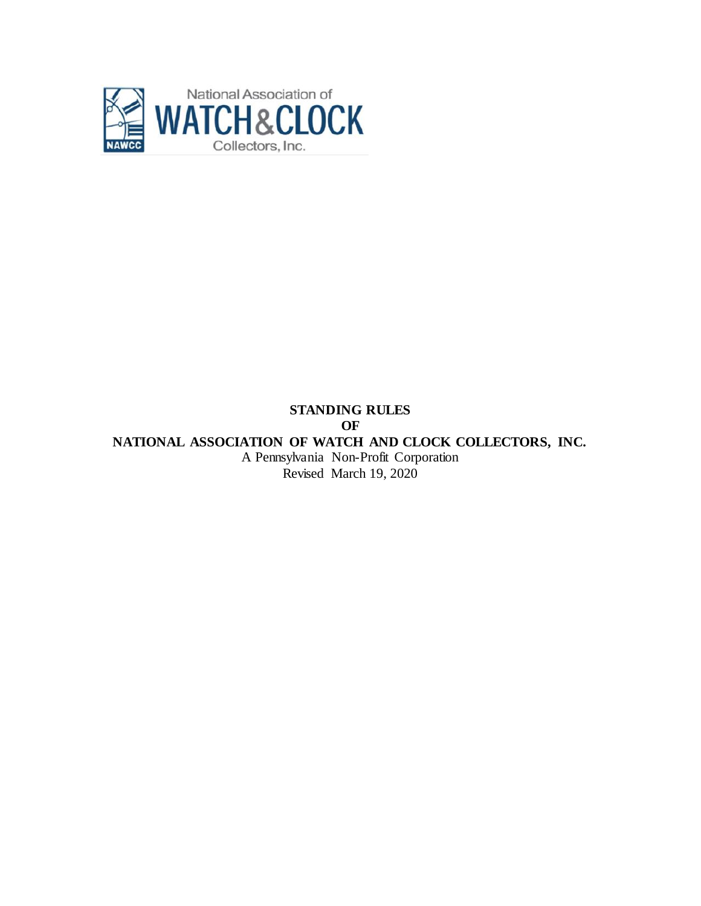

# **STANDING RULES OF NATIONAL ASSOCIATION OF WATCH AND CLOCK COLLECTORS, INC.** A Pennsylvania Non-Profit Corporation Revised March 19, 2020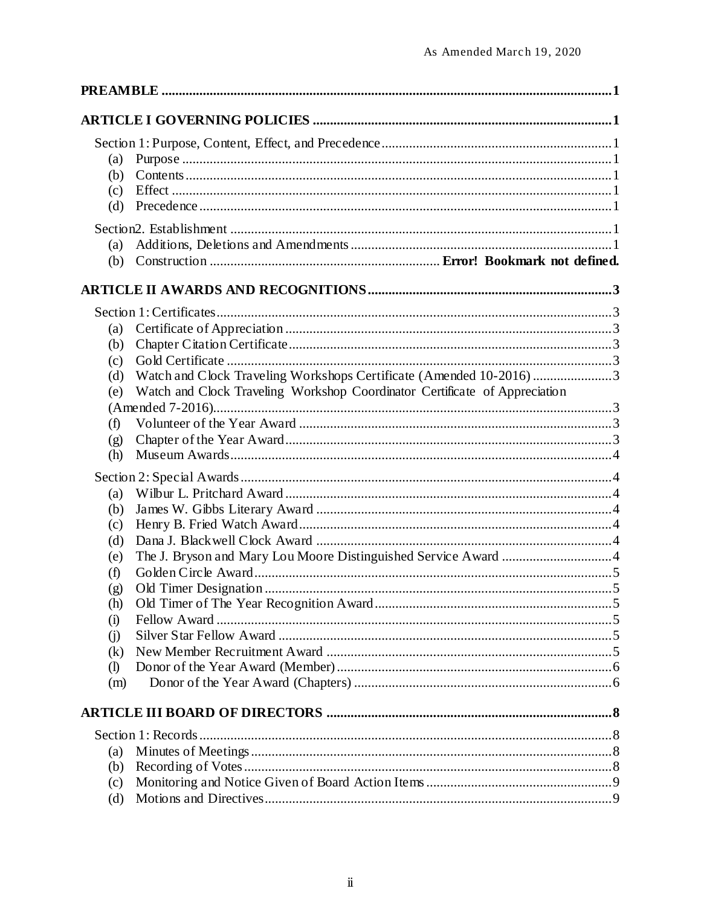| (a)<br>(b)<br>(c)<br>(d)                                |                                                                                                                                                  |  |
|---------------------------------------------------------|--------------------------------------------------------------------------------------------------------------------------------------------------|--|
| (a)<br>(b)                                              |                                                                                                                                                  |  |
|                                                         |                                                                                                                                                  |  |
| (a)<br>(b)<br>(c)<br>(d)<br>(e)                         | Watch and Clock Traveling Workshops Certificate (Amended 10-2016)3<br>Watch and Clock Traveling Workshop Coordinator Certificate of Appreciation |  |
|                                                         |                                                                                                                                                  |  |
| (f)<br>(g)<br>(h)                                       |                                                                                                                                                  |  |
|                                                         |                                                                                                                                                  |  |
| (a)<br>(b)<br>(c)<br>(d)<br>(e)<br>(f)<br>(g)           |                                                                                                                                                  |  |
| (h)                                                     |                                                                                                                                                  |  |
| (i)<br>(i)<br>(k)<br>$\left( \mathbf{I} \right)$<br>(m) |                                                                                                                                                  |  |
|                                                         |                                                                                                                                                  |  |
| (a)                                                     |                                                                                                                                                  |  |
| (b)<br>(c)                                              |                                                                                                                                                  |  |
| (d)                                                     |                                                                                                                                                  |  |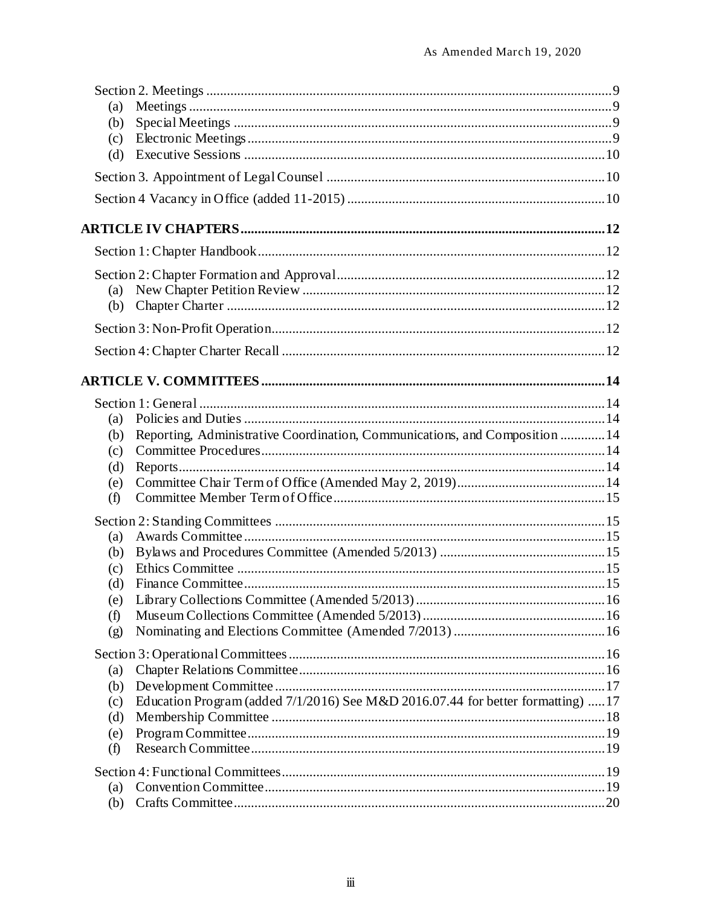| (a)<br>(b) |                                                                                 |  |
|------------|---------------------------------------------------------------------------------|--|
| (c)        |                                                                                 |  |
| (d)        |                                                                                 |  |
|            |                                                                                 |  |
|            |                                                                                 |  |
|            |                                                                                 |  |
|            |                                                                                 |  |
|            |                                                                                 |  |
| (a)        |                                                                                 |  |
| (b)        |                                                                                 |  |
|            |                                                                                 |  |
|            |                                                                                 |  |
|            |                                                                                 |  |
|            |                                                                                 |  |
| (a)        |                                                                                 |  |
| (b)        | Reporting, Administrative Coordination, Communications, and Composition  14     |  |
| (c)        |                                                                                 |  |
| (d)        |                                                                                 |  |
| (e)        |                                                                                 |  |
| (f)        |                                                                                 |  |
|            |                                                                                 |  |
| (a)        |                                                                                 |  |
| (b)        |                                                                                 |  |
| (c)        |                                                                                 |  |
| (d)        |                                                                                 |  |
| (e)        |                                                                                 |  |
| (f)        |                                                                                 |  |
| (g)        |                                                                                 |  |
|            |                                                                                 |  |
| (a)        |                                                                                 |  |
| (b)        |                                                                                 |  |
| (c)        | Education Program (added 7/1/2016) See M&D 2016.07.44 for better formatting) 17 |  |
| (d)        |                                                                                 |  |
| (e)        |                                                                                 |  |
| (f)        |                                                                                 |  |
|            |                                                                                 |  |
| (a)        |                                                                                 |  |
| (b)        |                                                                                 |  |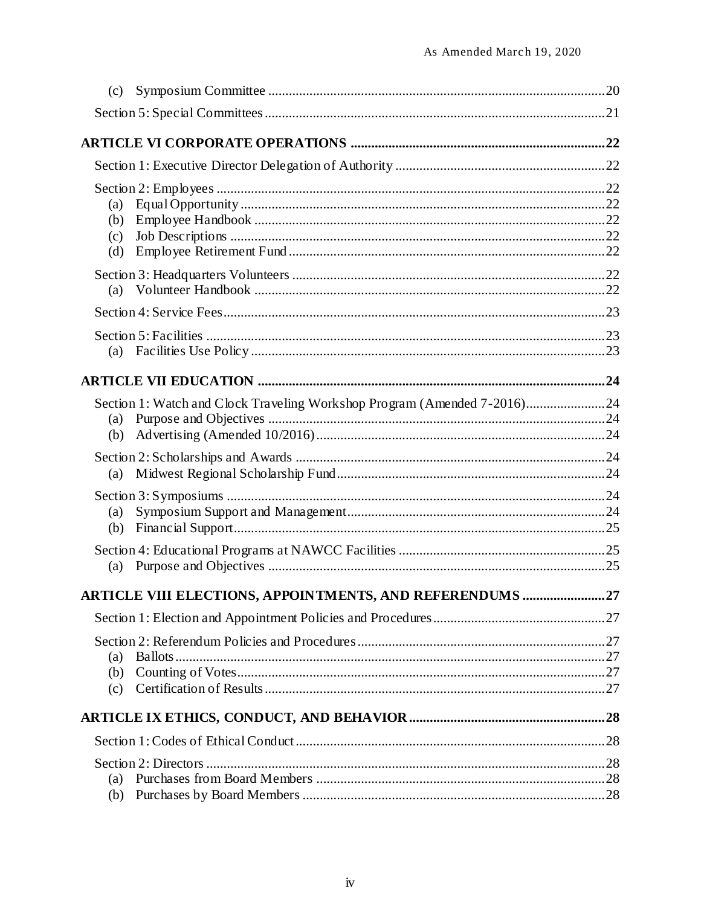| (c) |                                                                          |  |
|-----|--------------------------------------------------------------------------|--|
|     |                                                                          |  |
|     |                                                                          |  |
|     |                                                                          |  |
|     |                                                                          |  |
| (a) |                                                                          |  |
| (b) |                                                                          |  |
| (c) |                                                                          |  |
| (d) |                                                                          |  |
|     |                                                                          |  |
|     |                                                                          |  |
|     |                                                                          |  |
|     |                                                                          |  |
| (a) |                                                                          |  |
|     |                                                                          |  |
|     | Section 1: Watch and Clock Traveling Workshop Program (Amended 7-2016)24 |  |
| (a) |                                                                          |  |
| (b) |                                                                          |  |
|     |                                                                          |  |
| (a) |                                                                          |  |
|     |                                                                          |  |
| (a) |                                                                          |  |
| (b) |                                                                          |  |
|     |                                                                          |  |
|     |                                                                          |  |
|     | <b>ARTICLE VIII ELECTIONS, APPOINTMENTS, AND REFERENDUMS 27</b>          |  |
|     |                                                                          |  |
|     |                                                                          |  |
| (a) |                                                                          |  |
| (b) |                                                                          |  |
| (c) |                                                                          |  |
|     |                                                                          |  |
|     |                                                                          |  |
|     |                                                                          |  |
| (a) |                                                                          |  |
| (b) |                                                                          |  |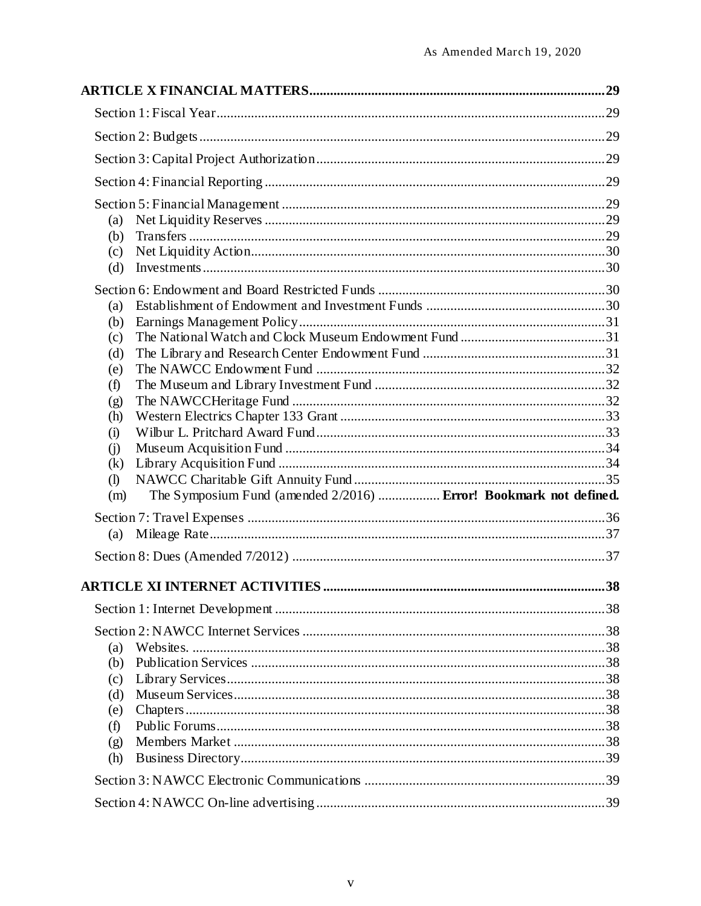| (a)<br>(b)<br>(c)<br>(d)<br>(a)<br>(b)<br>(c)<br>(d)<br>(e)<br>(f)<br>(g) |                                                                   |  |
|---------------------------------------------------------------------------|-------------------------------------------------------------------|--|
| (h)<br>(i)<br>(i)<br>(k)<br>$\left( \mathbf{I} \right)$<br>(m)            | The Symposium Fund (amended 2/2016)  Error! Bookmark not defined. |  |
| (a)                                                                       |                                                                   |  |
|                                                                           |                                                                   |  |
|                                                                           |                                                                   |  |
|                                                                           |                                                                   |  |
| (a)<br>(b)<br>(c)<br>(d)<br>(e)<br>(f)<br>(g)<br>(h)                      |                                                                   |  |
|                                                                           |                                                                   |  |
|                                                                           |                                                                   |  |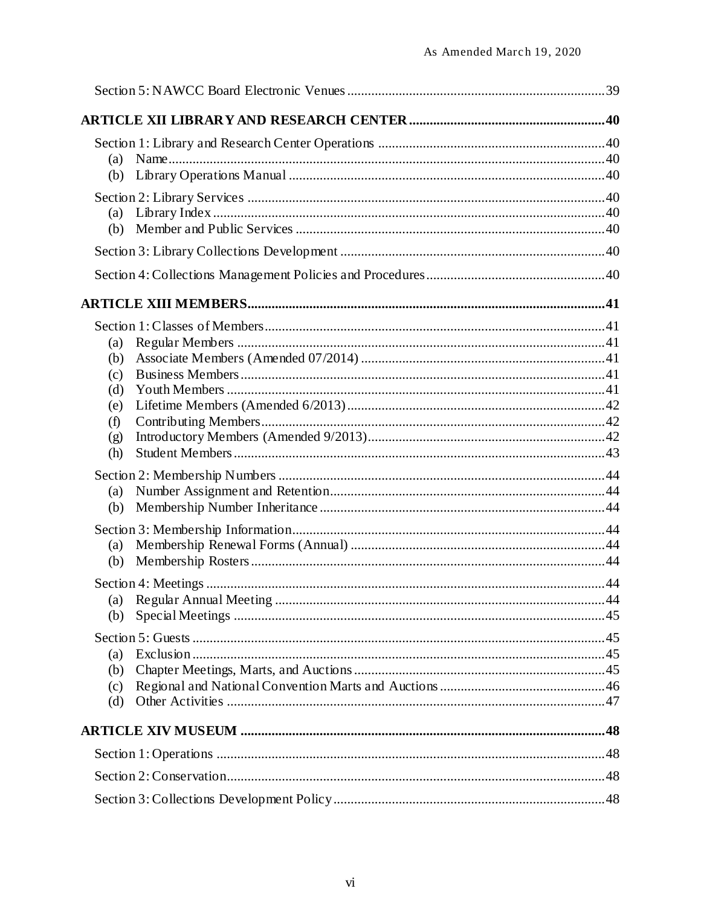| (a)                                                  |  |
|------------------------------------------------------|--|
| (a)<br>(b)                                           |  |
|                                                      |  |
|                                                      |  |
|                                                      |  |
| (a)<br>(b)<br>(c)<br>(d)<br>(e)<br>(f)<br>(g)<br>(h) |  |
| (a)<br>(b)                                           |  |
| (a)<br>(b)                                           |  |
| (a)<br>(b)                                           |  |
| (a)<br>(b)<br>(c)<br>(d)                             |  |
|                                                      |  |
|                                                      |  |
|                                                      |  |
|                                                      |  |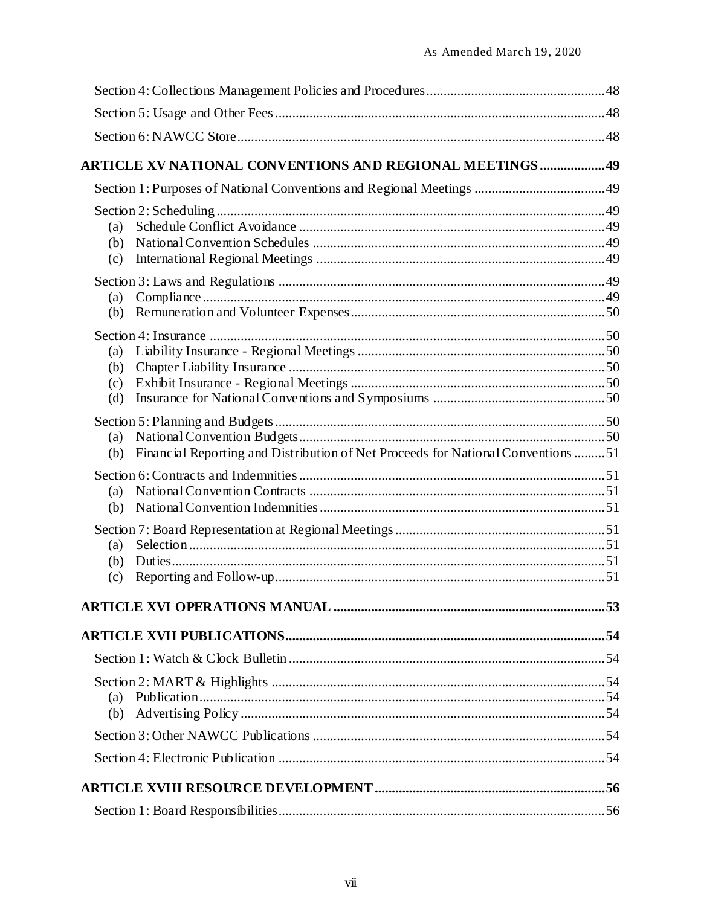|                          | <b>ARTICLE XV NATIONAL CONVENTIONS AND REGIONAL MEETINGS  49</b>                 |  |
|--------------------------|----------------------------------------------------------------------------------|--|
|                          |                                                                                  |  |
| (a)<br>(b)<br>(c)        |                                                                                  |  |
| (a)<br>(b)               |                                                                                  |  |
| (a)<br>(b)<br>(c)<br>(d) |                                                                                  |  |
| (a)<br>(b)               | Financial Reporting and Distribution of Net Proceeds for National Conventions 51 |  |
| (a)<br>(b)               |                                                                                  |  |
| (a)<br>(b)<br>(c)        |                                                                                  |  |
|                          |                                                                                  |  |
|                          |                                                                                  |  |
|                          |                                                                                  |  |
| (a)                      |                                                                                  |  |
|                          |                                                                                  |  |
|                          |                                                                                  |  |
|                          |                                                                                  |  |
|                          |                                                                                  |  |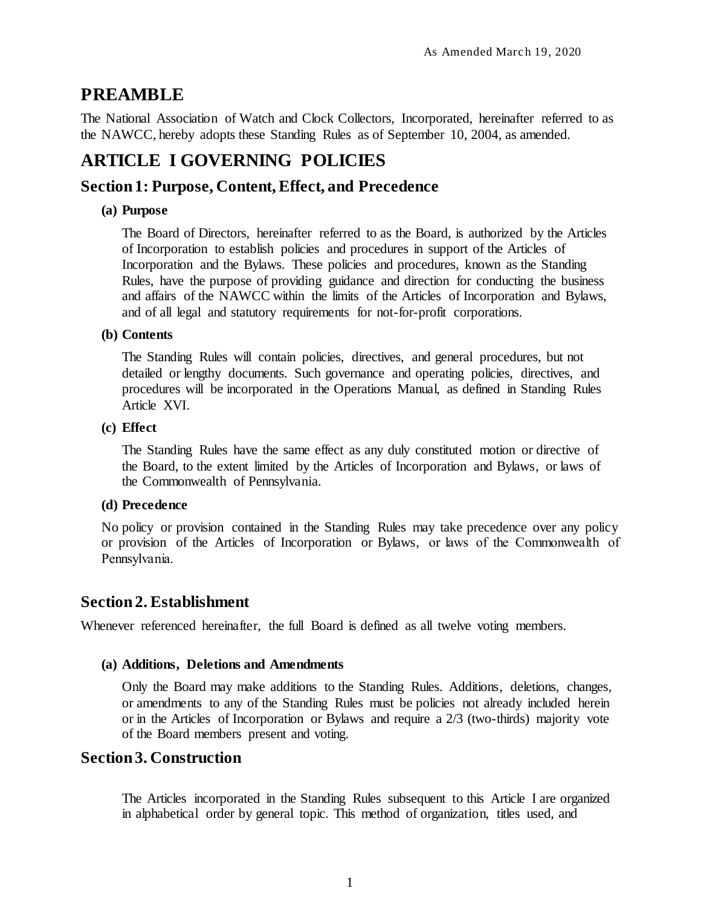# <span id="page-8-0"></span>**PREAMBLE**

The National Association of Watch and Clock Collectors, Incorporated, hereinafter referred to as the NAWCC, hereby adopts these Standing Rules as of September 10, 2004, as amended.

# <span id="page-8-1"></span>**ARTICLE I GOVERNING POLICIES**

# <span id="page-8-2"></span>**Section 1: Purpose, Content, Effect, and Precedence**

## <span id="page-8-3"></span>**(a) Purpose**

The Board of Directors, hereinafter referred to as the Board, is authorized by the Articles of Incorporation to establish policies and procedures in support of the Articles of Incorporation and the Bylaws. These policies and procedures, known as the Standing Rules, have the purpose of providing guidance and direction for conducting the business and affairs of the NAWCC within the limits of the Articles of Incorporation and Bylaws, and of all legal and statutory requirements for not-for-profit corporations.

### <span id="page-8-4"></span>**(b) Contents**

The Standing Rules will contain policies, directives, and general procedures, but not detailed or lengthy documents. Such governance and operating policies, directives, and procedures will be incorporated in the Operations Manual, as defined in Standing Rules Article XVI.

### <span id="page-8-5"></span>**(c) Effect**

The Standing Rules have the same effect as any duly constituted motion or directive of the Board, to the extent limited by the Articles of Incorporation and Bylaws, or laws of the Commonwealth of Pennsylvania.

### <span id="page-8-6"></span>**(d) Precedence**

No policy or provision contained in the Standing Rules may take precedence over any policy or provision of the Articles of Incorporation or Bylaws, or laws of the Commonwealth of Pennsylvania.

# <span id="page-8-7"></span>**Section2. Establishment**

Whenever referenced hereinafter, the full Board is defined as all twelve voting members.

### <span id="page-8-8"></span>**(a) Additions, Deletions and Amendments**

Only the Board may make additions to the Standing Rules. Additions, deletions, changes, or amendments to any of the Standing Rules must be policies not already included herein or in the Articles of Incorporation or Bylaws and require a 2/3 (two-thirds) majority vote of the Board members present and voting.

# **Section 3. Construction**

The Articles incorporated in the Standing Rules subsequent to this Article I are organized in alphabetical order by general topic. This method of organization, titles used, and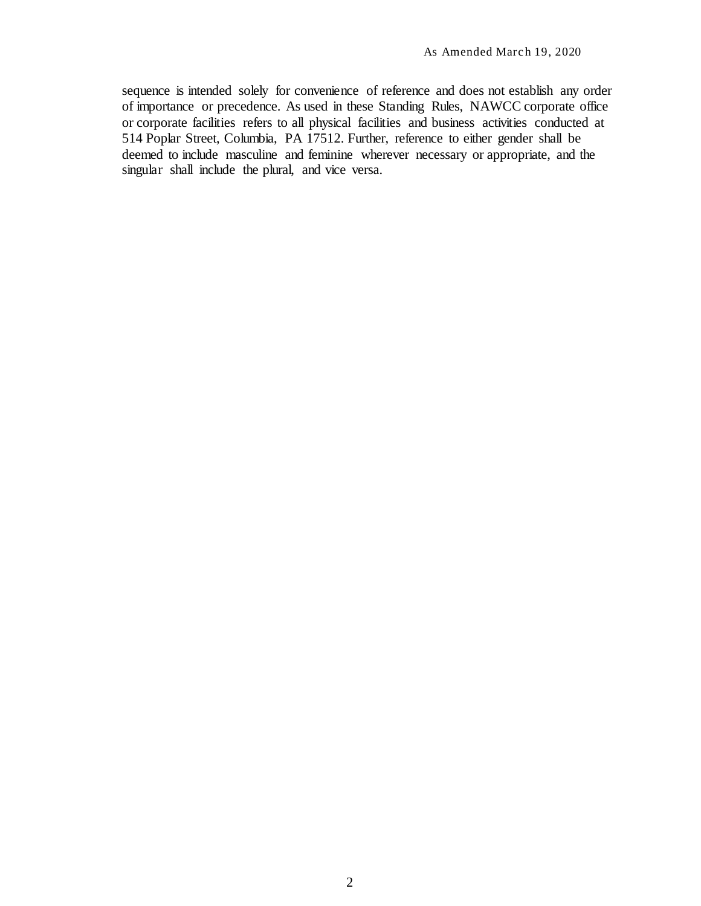sequence is intended solely for convenience of reference and does not establish any order of importance or precedence. As used in these Standing Rules, NAWCC corporate office or corporate facilities refers to all physical facilities and business activities conducted at 514 Poplar Street, Columbia, PA 17512. Further, reference to either gender shall be deemed to include masculine and feminine wherever necessary or appropriate, and the singular shall include the plural, and vice versa.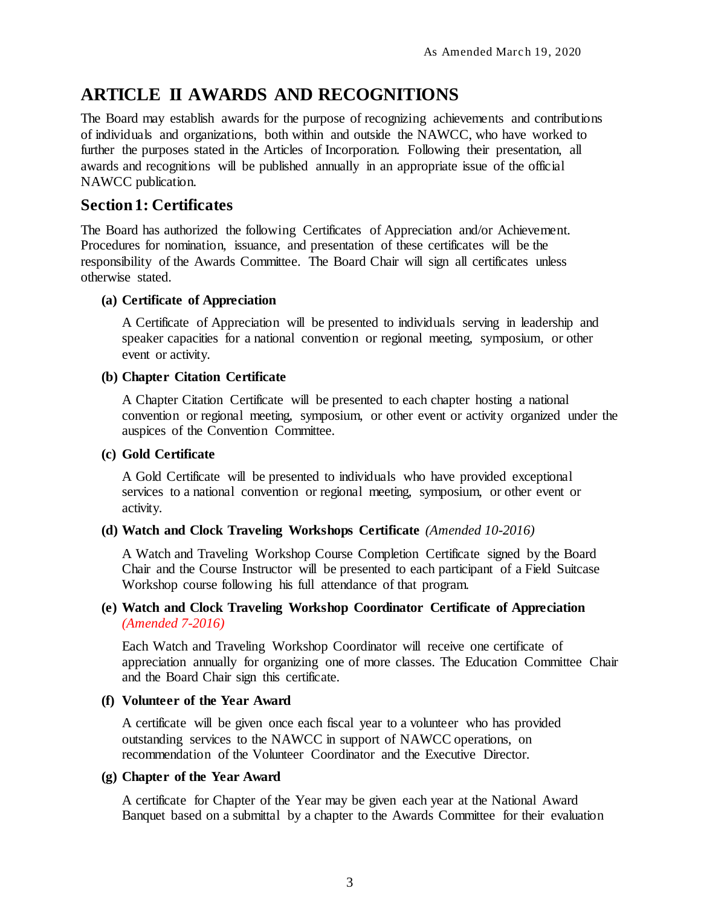# <span id="page-10-0"></span>**ARTICLE II AWARDS AND RECOGNITIONS**

The Board may establish awards for the purpose of recognizing achievements and contributions of individuals and organizations, both within and outside the NAWCC, who have worked to further the purposes stated in the Articles of Incorporation. Following their presentation, all awards and recognitions will be published annually in an appropriate issue of the official NAWCC publication.

# <span id="page-10-1"></span>**Section 1: Certificates**

The Board has authorized the following Certificates of Appreciation and/or Achievement. Procedures for nomination, issuance, and presentation of these certificates will be the responsibility of the Awards Committee. The Board Chair will sign all certificates unless otherwise stated.

### <span id="page-10-2"></span>**(a) Certificate of Appreciation**

A Certificate of Appreciation will be presented to individuals serving in leadership and speaker capacities for a national convention or regional meeting, symposium, or other event or activity.

### <span id="page-10-3"></span>**(b) Chapter Citation Certificate**

A Chapter Citation Certificate will be presented to each chapter hosting a national convention or regional meeting, symposium, or other event or activity organized under the auspices of the Convention Committee.

### <span id="page-10-4"></span>**(c) Gold Certificate**

A Gold Certificate will be presented to individuals who have provided exceptional services to a national convention or regional meeting, symposium, or other event or activity.

### <span id="page-10-5"></span>**(d) Watch and Clock Traveling Workshops Certificate** *(Amended 10-2016)*

A Watch and Traveling Workshop Course Completion Certificate signed by the Board Chair and the Course Instructor will be presented to each participant of a Field Suitcase Workshop course following his full attendance of that program.

## <span id="page-10-6"></span>**(e) Watch and Clock Traveling Workshop Coordinator Certificate of Appreciation**  *(Amended 7-2016)*

Each Watch and Traveling Workshop Coordinator will receive one certificate of appreciation annually for organizing one of more classes. The Education Committee Chair and the Board Chair sign this certificate.

### <span id="page-10-7"></span>**(f) Volunteer of the Year Award**

A certificate will be given once each fiscal year to a volunteer who has provided outstanding services to the NAWCC in support of NAWCC operations, on recommendation of the Volunteer Coordinator and the Executive Director.

### <span id="page-10-8"></span>**(g) Chapter of the Year Award**

A certificate for Chapter of the Year may be given each year at the National Award Banquet based on a submittal by a chapter to the Awards Committee for their evaluation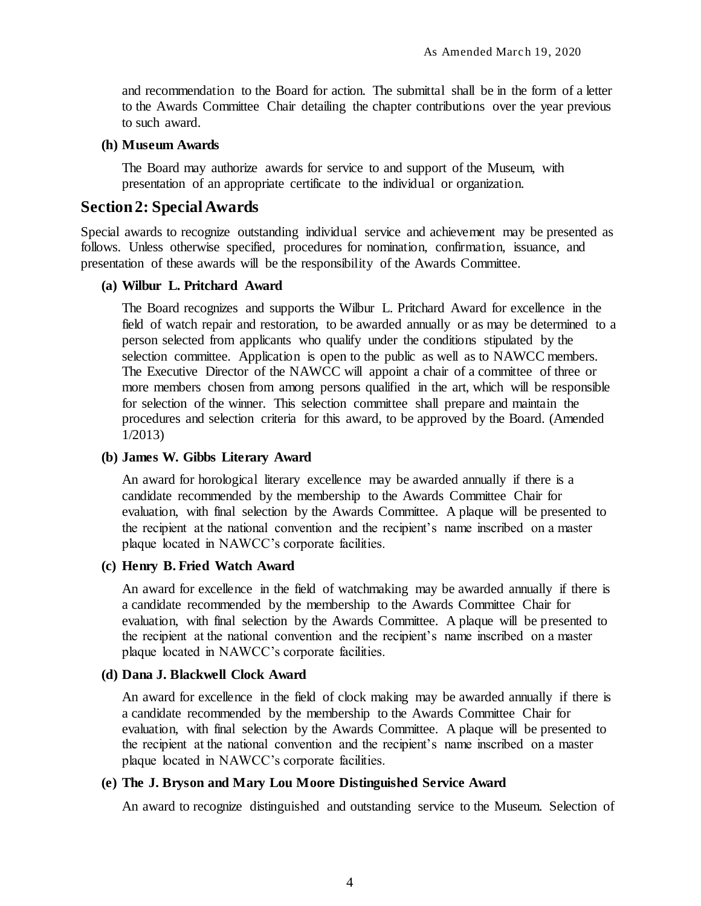and recommendation to the Board for action. The submittal shall be in the form of a letter to the Awards Committee Chair detailing the chapter contributions over the year previous to such award.

#### <span id="page-11-0"></span>**(h) Museum Awards**

The Board may authorize awards for service to and support of the Museum, with presentation of an appropriate certificate to the individual or organization.

## <span id="page-11-1"></span>**Section 2: Special Awards**

Special awards to recognize outstanding individual service and achievement may be presented as follows. Unless otherwise specified, procedures for nomination, confirmation, issuance, and presentation of these awards will be the responsibility of the Awards Committee.

#### <span id="page-11-2"></span>**(a) Wilbur L. Pritchard Award**

The Board recognizes and supports the Wilbur L. Pritchard Award for excellence in the field of watch repair and restoration, to be awarded annually or as may be determined to a person selected from applicants who qualify under the conditions stipulated by the selection committee. Application is open to the public as well as to NAWCC members. The Executive Director of the NAWCC will appoint a chair of a committee of three or more members chosen from among persons qualified in the art, which will be responsible for selection of the winner. This selection committee shall prepare and maintain the procedures and selection criteria for this award, to be approved by the Board. (Amended 1/2013)

#### <span id="page-11-3"></span>**(b) James W. Gibbs Literary Award**

An award for horological literary excellence may be awarded annually if there is a candidate recommended by the membership to the Awards Committee Chair for evaluation, with final selection by the Awards Committee. A plaque will be presented to the recipient at the national convention and the recipient's name inscribed on a master plaque located in NAWCC's corporate facilities.

### <span id="page-11-4"></span>**(c) Henry B. Fried Watch Award**

An award for excellence in the field of watchmaking may be awarded annually if there is a candidate recommended by the membership to the Awards Committee Chair for evaluation, with final selection by the Awards Committee. A plaque will be presented to the recipient at the national convention and the recipient's name inscribed on a master plaque located in NAWCC's corporate facilities.

#### <span id="page-11-5"></span>**(d) Dana J. Blackwell Clock Award**

An award for excellence in the field of clock making may be awarded annually if there is a candidate recommended by the membership to the Awards Committee Chair for evaluation, with final selection by the Awards Committee. A plaque will be presented to the recipient at the national convention and the recipient's name inscribed on a master plaque located in NAWCC's corporate facilities.

#### <span id="page-11-6"></span>**(e) The J. Bryson and Mary Lou Moore Distinguished Service Award**

An award to recognize distinguished and outstanding service to the Museum. Selection of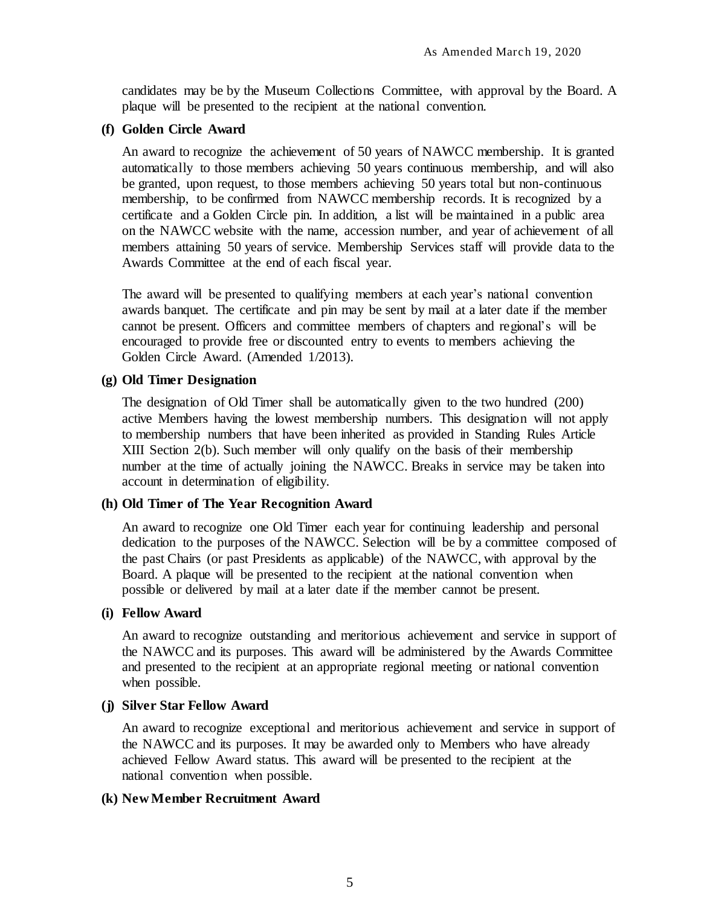candidates may be by the Museum Collections Committee, with approval by the Board. A plaque will be presented to the recipient at the national convention.

#### <span id="page-12-0"></span>**(f) Golden Circle Award**

An award to recognize the achievement of 50 years of NAWCC membership. It is granted automatically to those members achieving 50 years continuous membership, and will also be granted, upon request, to those members achieving 50 years total but non-continuous membership, to be confirmed from NAWCC membership records. It is recognized by a certificate and a Golden Circle pin. In addition, a list will be maintained in a public area on the NAWCC website with the name, accession number, and year of achievement of all members attaining 50 years of service. Membership Services staff will provide data to the Awards Committee at the end of each fiscal year.

The award will be presented to qualifying members at each year's national convention awards banquet. The certificate and pin may be sent by mail at a later date if the member cannot be present. Officers and committee members of chapters and regional's will be encouraged to provide free or discounted entry to events to members achieving the Golden Circle Award. (Amended 1/2013).

#### <span id="page-12-1"></span>**(g) Old Timer Designation**

The designation of Old Timer shall be automatically given to the two hundred (200) active Members having the lowest membership numbers. This designation will not apply to membership numbers that have been inherited as provided in Standing Rules Article XIII Section 2(b). Such member will only qualify on the basis of their membership number at the time of actually joining the NAWCC. Breaks in service may be taken into account in determination of eligibility.

### <span id="page-12-2"></span>**(h) Old Timer of The Year Recognition Award**

An award to recognize one Old Timer each year for continuing leadership and personal dedication to the purposes of the NAWCC. Selection will be by a committee composed of the past Chairs (or past Presidents as applicable) of the NAWCC, with approval by the Board. A plaque will be presented to the recipient at the national convention when possible or delivered by mail at a later date if the member cannot be present.

#### <span id="page-12-3"></span>**(i) Fellow Award**

An award to recognize outstanding and meritorious achievement and service in support of the NAWCC and its purposes. This award will be administered by the Awards Committee and presented to the recipient at an appropriate regional meeting or national convention when possible.

### <span id="page-12-4"></span>**(j) Silver Star Fellow Award**

An award to recognize exceptional and meritorious achievement and service in support of the NAWCC and its purposes. It may be awarded only to Members who have already achieved Fellow Award status. This award will be presented to the recipient at the national convention when possible.

### <span id="page-12-5"></span>**(k) New Member Recruitment Award**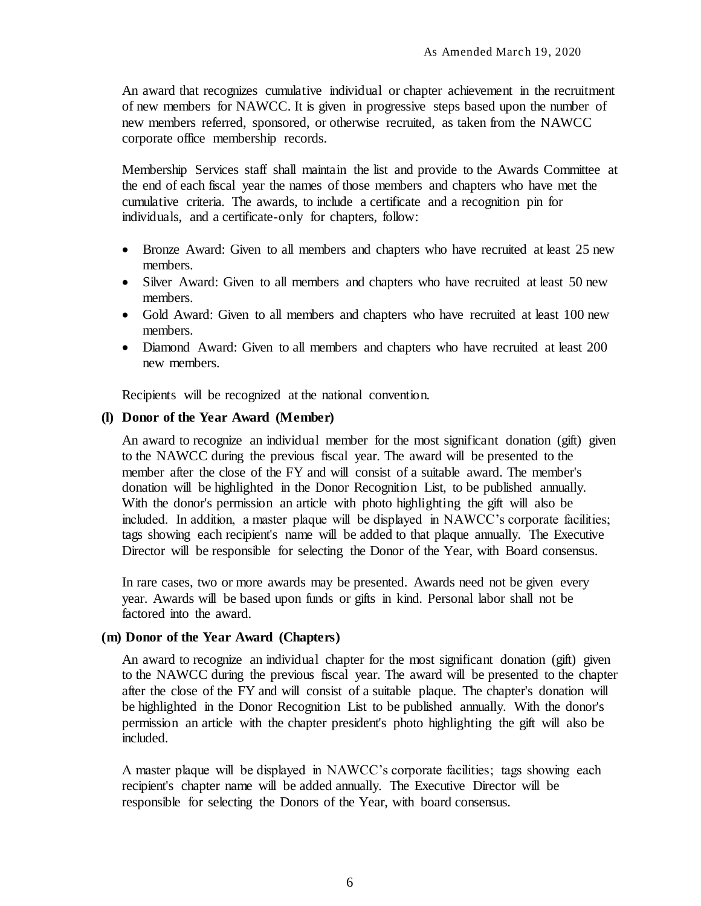An award that recognizes cumulative individual or chapter achievement in the recruitment of new members for NAWCC. It is given in progressive steps based upon the number of new members referred, sponsored, or otherwise recruited, as taken from the NAWCC corporate office membership records.

Membership Services staff shall maintain the list and provide to the Awards Committee at the end of each fiscal year the names of those members and chapters who have met the cumulative criteria. The awards, to include a certificate and a recognition pin for individuals, and a certificate-only for chapters, follow:

- Bronze Award: Given to all members and chapters who have recruited at least 25 new members.
- Silver Award: Given to all members and chapters who have recruited at least 50 new members.
- Gold Award: Given to all members and chapters who have recruited at least 100 new members.
- Diamond Award: Given to all members and chapters who have recruited at least 200 new members.

Recipients will be recognized at the national convention.

#### <span id="page-13-0"></span>**(l) Donor of the Year Award (Member)**

An award to recognize an individual member for the most significant donation (gift) given to the NAWCC during the previous fiscal year. The award will be presented to the member after the close of the FY and will consist of a suitable award. The member's donation will be highlighted in the Donor Recognition List, to be published annually. With the donor's permission an article with photo highlighting the gift will also be included. In addition, a master plaque will be displayed in NAWCC's corporate facilities; tags showing each recipient's name will be added to that plaque annually. The Executive Director will be responsible for selecting the Donor of the Year, with Board consensus.

In rare cases, two or more awards may be presented. Awards need not be given every year. Awards will be based upon funds or gifts in kind. Personal labor shall not be factored into the award.

#### <span id="page-13-1"></span>**(m) Donor of the Year Award (Chapters)**

An award to recognize an individual chapter for the most significant donation (gift) given to the NAWCC during the previous fiscal year. The award will be presented to the chapter after the close of the FY and will consist of a suitable plaque. The chapter's donation will be highlighted in the Donor Recognition List to be published annually. With the donor's permission an article with the chapter president's photo highlighting the gift will also be included.

A master plaque will be displayed in NAWCC's corporate facilities; tags showing each recipient's chapter name will be added annually. The Executive Director will be responsible for selecting the Donors of the Year, with board consensus.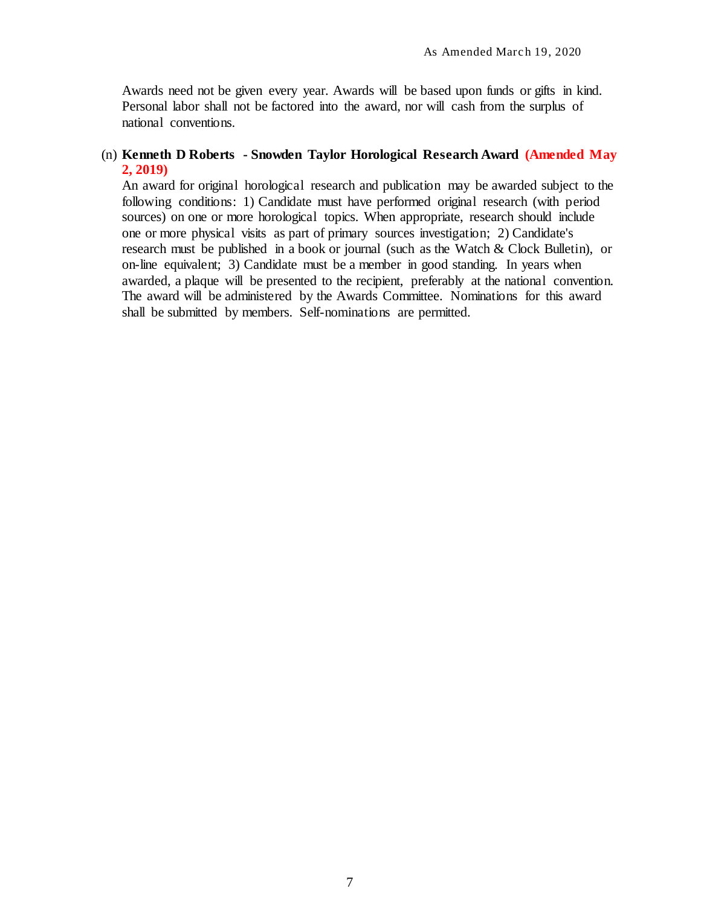Awards need not be given every year. Awards will be based upon funds or gifts in kind. Personal labor shall not be factored into the award, nor will cash from the surplus of national conventions.

## (n) **Kenneth D Roberts - Snowden Taylor Horological Research Award (Amended May 2, 2019)**

An award for original horological research and publication may be awarded subject to the following conditions: 1) Candidate must have performed original research (with period sources) on one or more horological topics. When appropriate, research should include one or more physical visits as part of primary sources investigation; 2) Candidate's research must be published in a book or journal (such as the Watch & Clock Bulletin), or on-line equivalent; 3) Candidate must be a member in good standing. In years when awarded, a plaque will be presented to the recipient, preferably at the national convention. The award will be administered by the Awards Committee. Nominations for this award shall be submitted by members. Self-nominations are permitted.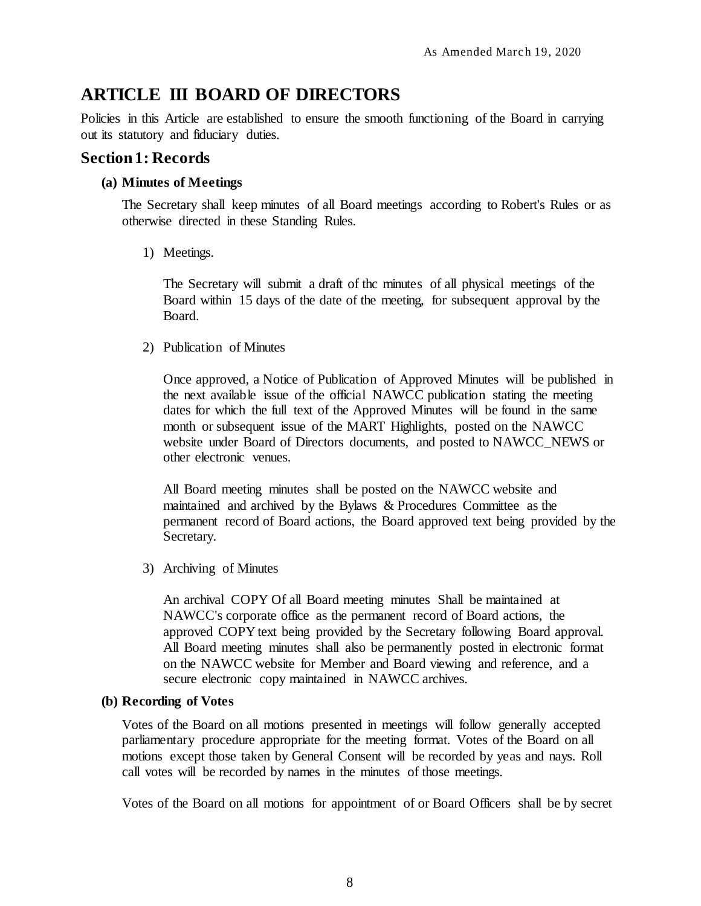# <span id="page-15-0"></span>**ARTICLE III BOARD OF DIRECTORS**

Policies in this Article are established to ensure the smooth functioning of the Board in carrying out its statutory and fiduciary duties.

# <span id="page-15-1"></span>**Section 1: Records**

### <span id="page-15-2"></span>**(a) Minutes of Meetings**

The Secretary shall keep minutes of all Board meetings according to Robert's Rules or as otherwise directed in these Standing Rules.

1) Meetings.

The Secretary will submit a draft of thc minutes of all physical meetings of the Board within 15 days of the date of the meeting, for subsequent approval by the Board.

2) Publication of Minutes

Once approved, a Notice of Publication of Approved Minutes will be published in the next available issue of the official NAWCC publication stating the meeting dates for which the full text of the Approved Minutes will be found in the same month or subsequent issue of the MART Highlights, posted on the NAWCC website under Board of Directors documents, and posted to NAWCC\_NEWS or other electronic venues.

All Board meeting minutes shall be posted on the NAWCC website and maintained and archived by the Bylaws & Procedures Committee as the permanent record of Board actions, the Board approved text being provided by the Secretary.

3) Archiving of Minutes

An archival COPY Of all Board meeting minutes Shall be maintained at NAWCC's corporate office as the permanent record of Board actions, the approved COPY text being provided by the Secretary following Board approval. All Board meeting minutes shall also be permanently posted in electronic format on the NAWCC website for Member and Board viewing and reference, and a secure electronic copy maintained in NAWCC archives.

### <span id="page-15-3"></span>**(b) Recording of Votes**

Votes of the Board on all motions presented in meetings will follow generally accepted parliamentary procedure appropriate for the meeting format. Votes of the Board on all motions except those taken by General Consent will be recorded by yeas and nays. Roll call votes will be recorded by names in the minutes of those meetings.

Votes of the Board on all motions for appointment of or Board Officers shall be by secret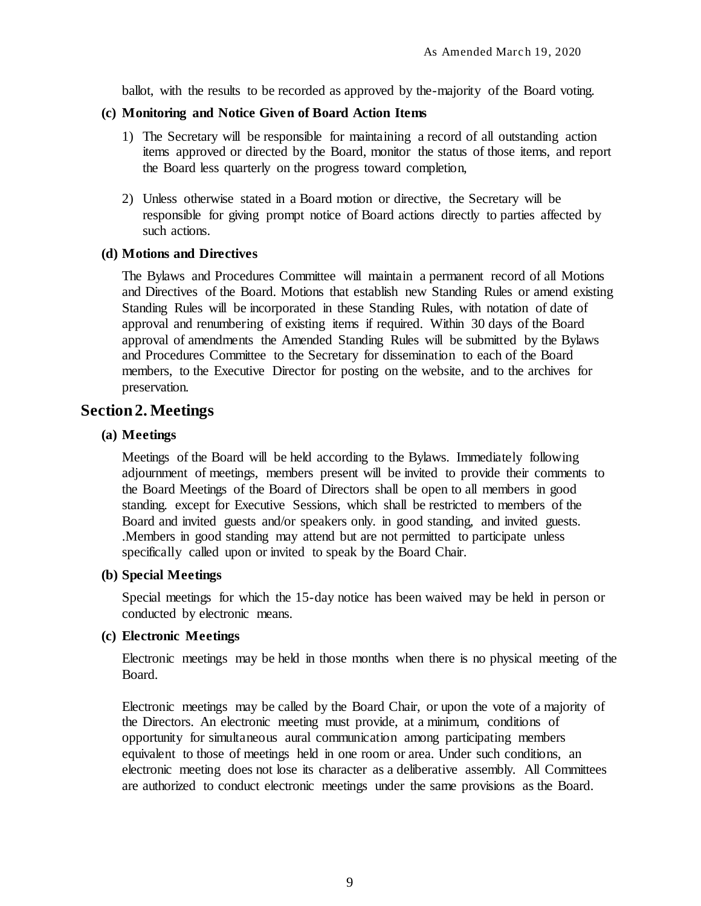ballot, with the results to be recorded as approved by the-majority of the Board voting.

### <span id="page-16-0"></span>**(c) Monitoring and Notice Given of Board Action Items**

- 1) The Secretary will be responsible for maintaining a record of all outstanding action items approved or directed by the Board, monitor the status of those items, and report the Board less quarterly on the progress toward completion,
- 2) Unless otherwise stated in a Board motion or directive, the Secretary will be responsible for giving prompt notice of Board actions directly to parties affected by such actions.

#### <span id="page-16-1"></span>**(d) Motions and Directives**

The Bylaws and Procedures Committee will maintain a permanent record of all Motions and Directives of the Board. Motions that establish new Standing Rules or amend existing Standing Rules will be incorporated in these Standing Rules, with notation of date of approval and renumbering of existing items if required. Within 30 days of the Board approval of amendments the Amended Standing Rules will be submitted by the Bylaws and Procedures Committee to the Secretary for dissemination to each of the Board members, to the Executive Director for posting on the website, and to the archives for preservation.

# <span id="page-16-2"></span>**Section 2. Meetings**

### <span id="page-16-3"></span>**(a) Meetings**

Meetings of the Board will be held according to the Bylaws. Immediately following adjournment of meetings, members present will be invited to provide their comments to the Board Meetings of the Board of Directors shall be open to all members in good standing. except for Executive Sessions, which shall be restricted to members of the Board and invited guests and/or speakers only. in good standing, and invited guests. .Members in good standing may attend but are not permitted to participate unless specifically called upon or invited to speak by the Board Chair.

### <span id="page-16-4"></span>**(b) Special Meetings**

Special meetings for which the 15-day notice has been waived may be held in person or conducted by electronic means.

### <span id="page-16-5"></span>**(c) Electronic Meetings**

Electronic meetings may be held in those months when there is no physical meeting of the Board.

Electronic meetings may be called by the Board Chair, or upon the vote of a majority of the Directors. An electronic meeting must provide, at a minimum, conditions of opportunity for simultaneous aural communication among participating members equivalent to those of meetings held in one room or area. Under such conditions, an electronic meeting does not lose its character as a deliberative assembly. All Committees are authorized to conduct electronic meetings under the same provisions as the Board.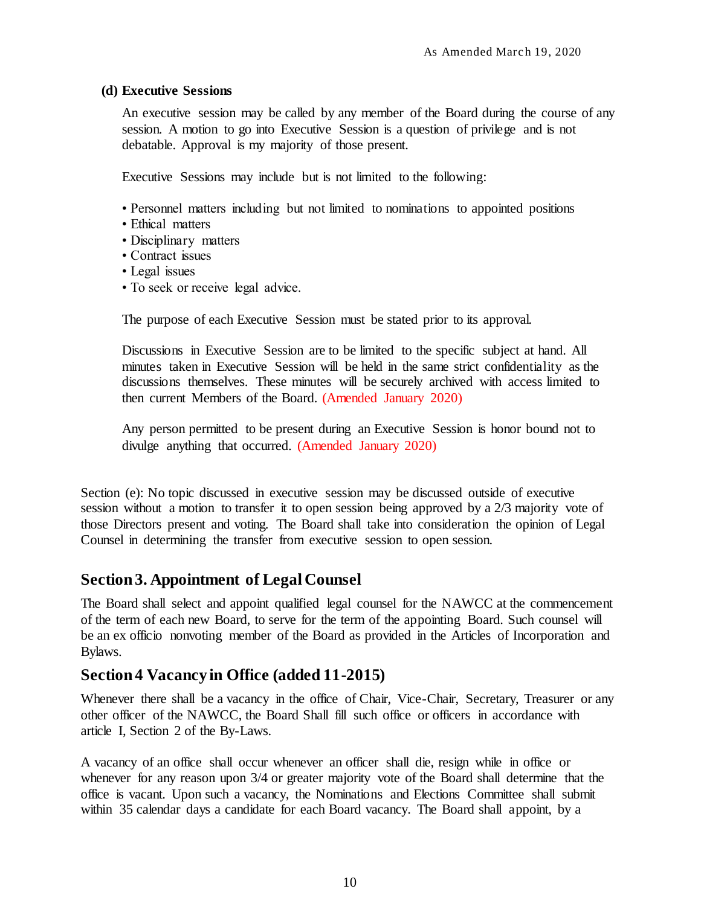## <span id="page-17-0"></span>**(d) Executive Sessions**

An executive session may be called by any member of the Board during the course of any session. A motion to go into Executive Session is a question of privilege and is not debatable. Approval is my majority of those present.

Executive Sessions may include but is not limited to the following:

- Personnel matters including but not limited to nominations to appointed positions
- Ethical matters
- Disciplinary matters
- Contract issues
- Legal issues
- To seek or receive legal advice.

The purpose of each Executive Session must be stated prior to its approval.

Discussions in Executive Session are to be limited to the specific subject at hand. All minutes taken in Executive Session will be held in the same strict confidentiality as the discussions themselves. These minutes will be securely archived with access limited to then current Members of the Board. (Amended January 2020)

Any person permitted to be present during an Executive Session is honor bound not to divulge anything that occurred. (Amended January 2020)

Section (e): No topic discussed in executive session may be discussed outside of executive session without a motion to transfer it to open session being approved by a 2/3 majority vote of those Directors present and voting. The Board shall take into consideration the opinion of Legal Counsel in determining the transfer from executive session to open session.

# <span id="page-17-1"></span>**Section 3. Appointment of Legal Counsel**

The Board shall select and appoint qualified legal counsel for the NAWCC at the commencement of the term of each new Board, to serve for the term of the appointing Board. Such counsel will be an ex officio nonvoting member of the Board as provided in the Articles of Incorporation and Bylaws.

# <span id="page-17-2"></span>**Section 4 Vacancy in Office (added 11-2015)**

Whenever there shall be a vacancy in the office of Chair, Vice-Chair, Secretary, Treasurer or any other officer of the NAWCC, the Board Shall fill such office or officers in accordance with article I, Section 2 of the By-Laws.

A vacancy of an office shall occur whenever an officer shall die, resign while in office or whenever for any reason upon 3/4 or greater majority vote of the Board shall determine that the office is vacant. Upon such a vacancy, the Nominations and Elections Committee shall submit within 35 calendar days a candidate for each Board vacancy. The Board shall appoint, by a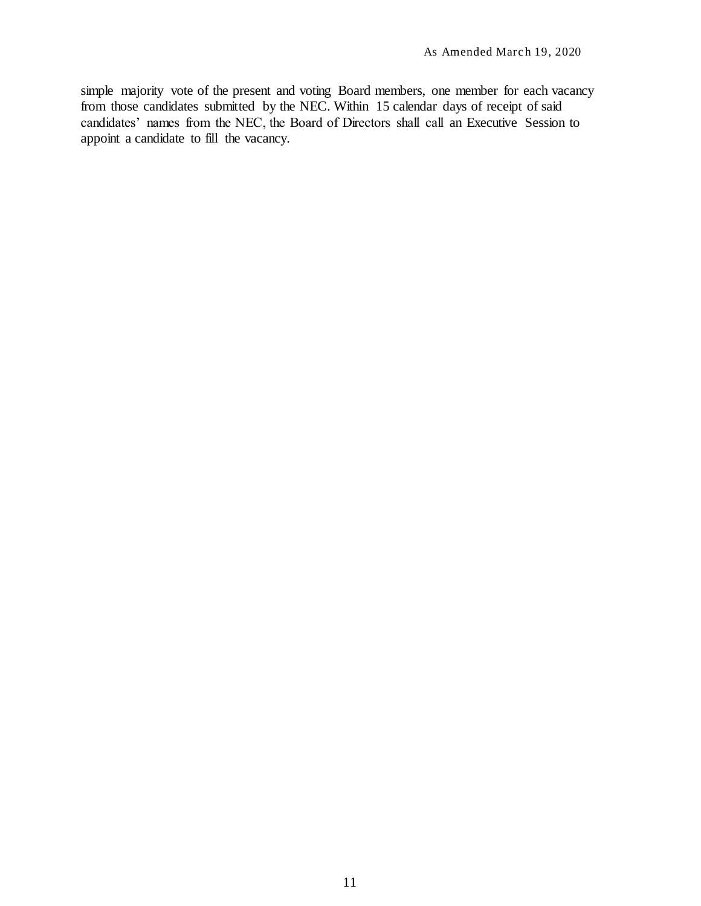simple majority vote of the present and voting Board members, one member for each vacancy from those candidates submitted by the NEC. Within 15 calendar days of receipt of said candidates' names from the NEC, the Board of Directors shall call an Executive Session to appoint a candidate to fill the vacancy.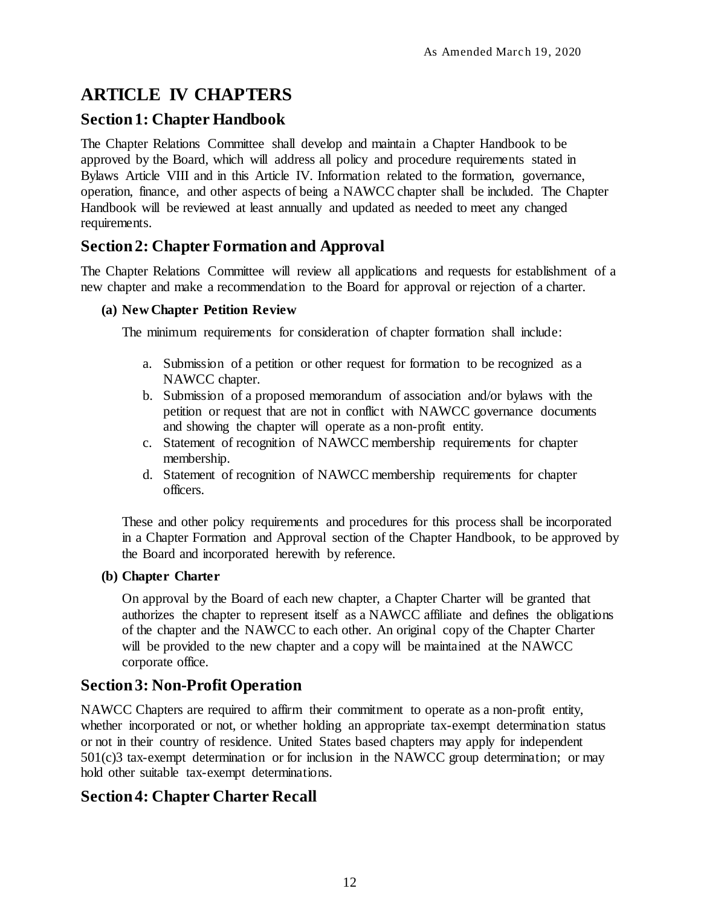# <span id="page-19-0"></span>**ARTICLE IV CHAPTERS**

# <span id="page-19-1"></span>**Section 1: Chapter Handbook**

The Chapter Relations Committee shall develop and maintain a Chapter Handbook to be approved by the Board, which will address all policy and procedure requirements stated in Bylaws Article VIII and in this Article IV. Information related to the formation, governance, operation, finance, and other aspects of being a NAWCC chapter shall be included. The Chapter Handbook will be reviewed at least annually and updated as needed to meet any changed requirements.

# <span id="page-19-2"></span>**Section 2: Chapter Formation and Approval**

The Chapter Relations Committee will review all applications and requests for establishment of a new chapter and make a recommendation to the Board for approval or rejection of a charter.

## <span id="page-19-3"></span>**(a) New Chapter Petition Review**

The minimum requirements for consideration of chapter formation shall include:

- a. Submission of a petition or other request for formation to be recognized as a NAWCC chapter.
- b. Submission of a proposed memorandum of association and/or bylaws with the petition or request that are not in conflict with NAWCC governance documents and showing the chapter will operate as a non-profit entity.
- c. Statement of recognition of NAWCC membership requirements for chapter membership.
- d. Statement of recognition of NAWCC membership requirements for chapter officers.

These and other policy requirements and procedures for this process shall be incorporated in a Chapter Formation and Approval section of the Chapter Handbook, to be approved by the Board and incorporated herewith by reference.

### <span id="page-19-4"></span>**(b) Chapter Charter**

On approval by the Board of each new chapter, a Chapter Charter will be granted that authorizes the chapter to represent itself as a NAWCC affiliate and defines the obligations of the chapter and the NAWCC to each other. An original copy of the Chapter Charter will be provided to the new chapter and a copy will be maintained at the NAWCC corporate office.

# <span id="page-19-5"></span>**Section 3: Non-Profit Operation**

NAWCC Chapters are required to affirm their commitment to operate as a non-profit entity, whether incorporated or not, or whether holding an appropriate tax-exempt determination status or not in their country of residence. United States based chapters may apply for independent 501(c)3 tax-exempt determination or for inclusion in the NAWCC group determination; or may hold other suitable tax-exempt determinations.

# <span id="page-19-6"></span>**Section 4: Chapter Charter Recall**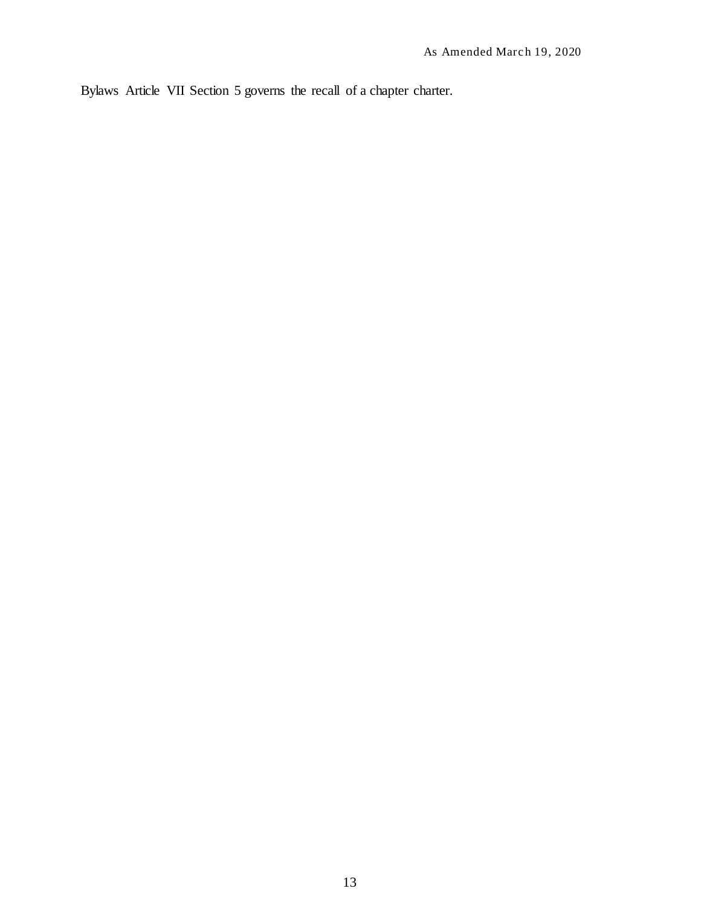Bylaws Article VII Section 5 governs the recall of a chapter charter.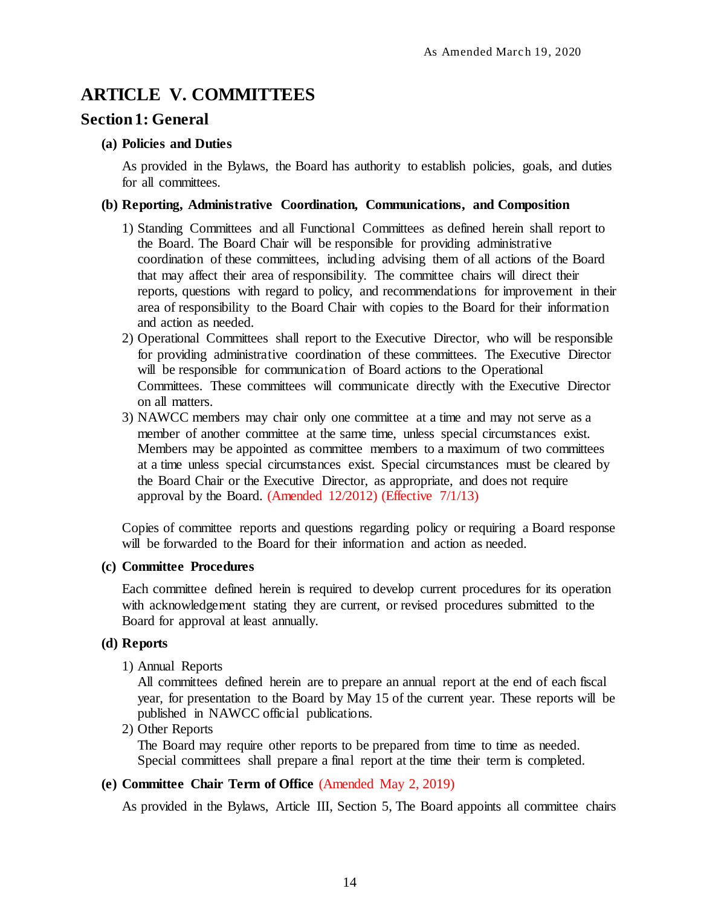# <span id="page-21-0"></span>**ARTICLE V. COMMITTEES**

## <span id="page-21-1"></span>**Section 1: General**

#### <span id="page-21-2"></span>**(a) Policies and Duties**

As provided in the Bylaws, the Board has authority to establish policies, goals, and duties for all committees.

#### <span id="page-21-3"></span>**(b) Reporting, Administrative Coordination, Communications, and Composition**

- 1) Standing Committees and all Functional Committees as defined herein shall report to the Board. The Board Chair will be responsible for providing administrative coordination of these committees, including advising them of all actions of the Board that may affect their area of responsibility. The committee chairs will direct their reports, questions with regard to policy, and recommendations for improvement in their area of responsibility to the Board Chair with copies to the Board for their information and action as needed.
- 2) Operational Committees shall report to the Executive Director, who will be responsible for providing administrative coordination of these committees. The Executive Director will be responsible for communication of Board actions to the Operational Committees. These committees will communicate directly with the Executive Director on all matters.
- 3) NAWCC members may chair only one committee at a time and may not serve as a member of another committee at the same time, unless special circumstances exist. Members may be appointed as committee members to a maximum of two committees at a time unless special circumstances exist. Special circumstances must be cleared by the Board Chair or the Executive Director, as appropriate, and does not require approval by the Board. (Amended 12/2012) (Effective 7/1/13)

Copies of committee reports and questions regarding policy or requiring a Board response will be forwarded to the Board for their information and action as needed.

### <span id="page-21-4"></span>**(c) Committee Procedures**

Each committee defined herein is required to develop current procedures for its operation with acknowledgement stating they are current, or revised procedures submitted to the Board for approval at least annually.

#### <span id="page-21-5"></span>**(d) Reports**

1) Annual Reports

All committees defined herein are to prepare an annual report at the end of each fiscal year, for presentation to the Board by May 15 of the current year. These reports will be published in NAWCC official publications.

2) Other Reports

The Board may require other reports to be prepared from time to time as needed. Special committees shall prepare a final report at the time their term is completed.

### <span id="page-21-6"></span>**(e) Committee Chair Term of Office** (Amended May 2, 2019)

As provided in the Bylaws, Article III, Section 5, The Board appoints all committee chairs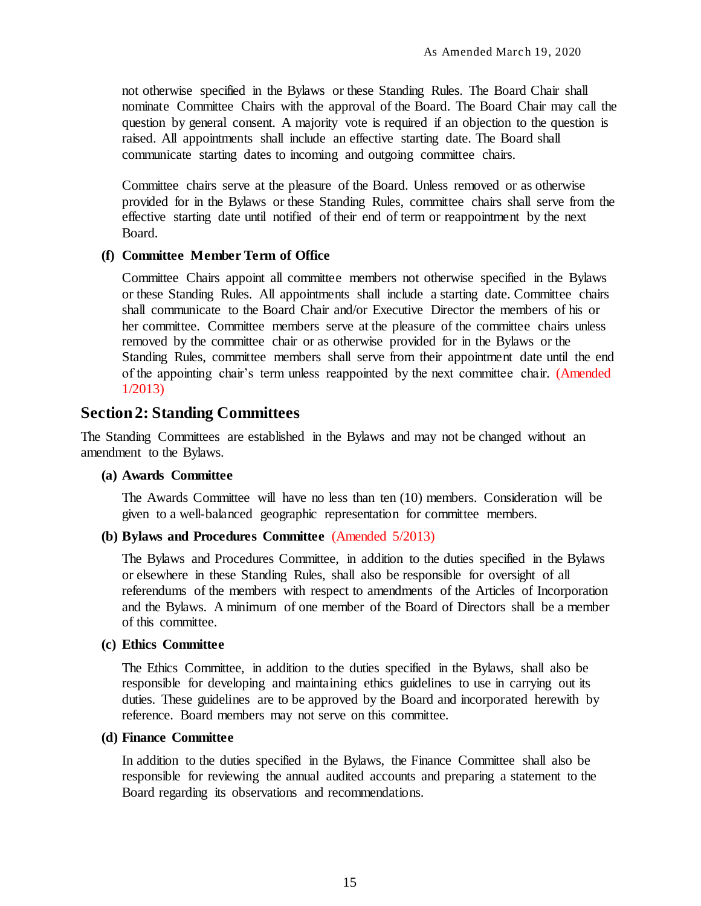not otherwise specified in the Bylaws or these Standing Rules. The Board Chair shall nominate Committee Chairs with the approval of the Board. The Board Chair may call the question by general consent. A majority vote is required if an objection to the question is raised. All appointments shall include an effective starting date. The Board shall communicate starting dates to incoming and outgoing committee chairs.

Committee chairs serve at the pleasure of the Board. Unless removed or as otherwise provided for in the Bylaws or these Standing Rules, committee chairs shall serve from the effective starting date until notified of their end of term or reappointment by the next Board.

#### <span id="page-22-0"></span>**(f) Committee Member Term of Office**

Committee Chairs appoint all committee members not otherwise specified in the Bylaws or these Standing Rules. All appointments shall include a starting date. Committee chairs shall communicate to the Board Chair and/or Executive Director the members of his or her committee. Committee members serve at the pleasure of the committee chairs unless removed by the committee chair or as otherwise provided for in the Bylaws or the Standing Rules, committee members shall serve from their appointment date until the end of the appointing chair's term unless reappointed by the next committee chair. (Amended 1/2013)

### <span id="page-22-1"></span>**Section 2: Standing Committees**

The Standing Committees are established in the Bylaws and may not be changed without an amendment to the Bylaws.

#### <span id="page-22-2"></span>**(a) Awards Committee**

The Awards Committee will have no less than ten (10) members. Consideration will be given to a well-balanced geographic representation for committee members.

#### <span id="page-22-3"></span>**(b) Bylaws and Procedures Committee** (Amended 5/2013)

The Bylaws and Procedures Committee, in addition to the duties specified in the Bylaws or elsewhere in these Standing Rules, shall also be responsible for oversight of all referendums of the members with respect to amendments of the Articles of Incorporation and the Bylaws. A minimum of one member of the Board of Directors shall be a member of this committee.

#### <span id="page-22-4"></span>**(c) Ethics Committee**

The Ethics Committee, in addition to the duties specified in the Bylaws, shall also be responsible for developing and maintaining ethics guidelines to use in carrying out its duties. These guidelines are to be approved by the Board and incorporated herewith by reference. Board members may not serve on this committee.

#### <span id="page-22-5"></span>**(d) Finance Committee**

In addition to the duties specified in the Bylaws, the Finance Committee shall also be responsible for reviewing the annual audited accounts and preparing a statement to the Board regarding its observations and recommendations.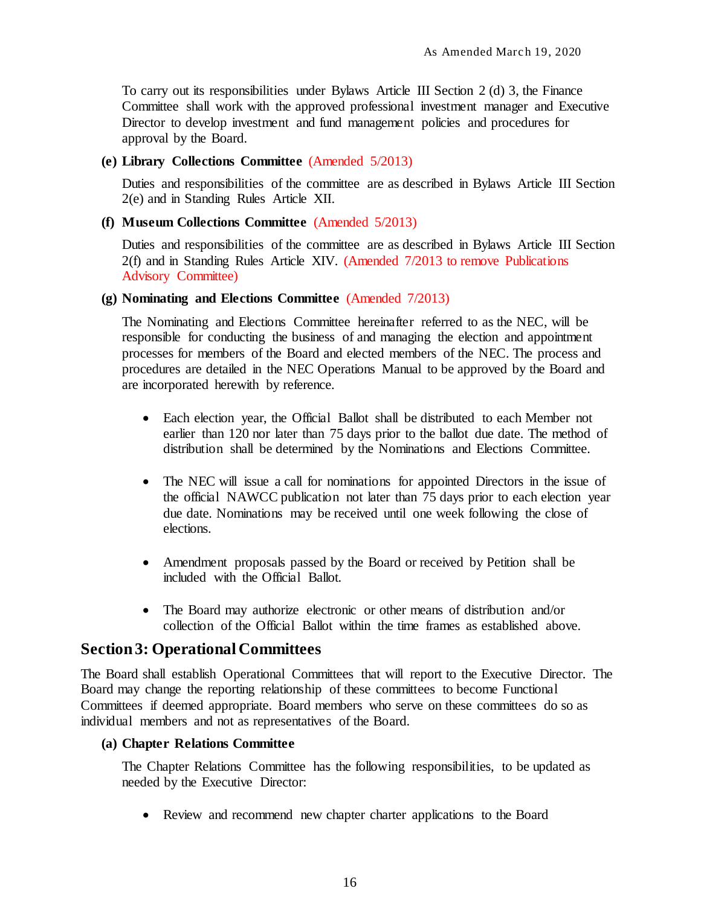To carry out its responsibilities under Bylaws Article III Section 2 (d) 3, the Finance Committee shall work with the approved professional investment manager and Executive Director to develop investment and fund management policies and procedures for approval by the Board.

## <span id="page-23-0"></span>**(e) Library Collections Committee** (Amended 5/2013)

Duties and responsibilities of the committee are as described in Bylaws Article III Section 2(e) and in Standing Rules Article XII.

## <span id="page-23-1"></span>**(f) Museum Collections Committee** (Amended 5/2013)

Duties and responsibilities of the committee are as described in Bylaws Article III Section 2(f) and in Standing Rules Article XIV. (Amended 7/2013 to remove Publications Advisory Committee)

### <span id="page-23-2"></span>**(g) Nominating and Elections Committee** (Amended 7/2013)

The Nominating and Elections Committee hereinafter referred to as the NEC, will be responsible for conducting the business of and managing the election and appointment processes for members of the Board and elected members of the NEC. The process and procedures are detailed in the NEC Operations Manual to be approved by the Board and are incorporated herewith by reference.

- Each election year, the Official Ballot shall be distributed to each Member not earlier than 120 nor later than 75 days prior to the ballot due date. The method of distribution shall be determined by the Nominations and Elections Committee.
- The NEC will issue a call for nominations for appointed Directors in the issue of the official NAWCC publication not later than 75 days prior to each election year due date. Nominations may be received until one week following the close of elections.
- Amendment proposals passed by the Board or received by Petition shall be included with the Official Ballot.
- The Board may authorize electronic or other means of distribution and/or collection of the Official Ballot within the time frames as established above.

# <span id="page-23-3"></span>**Section 3: Operational Committees**

The Board shall establish Operational Committees that will report to the Executive Director. The Board may change the reporting relationship of these committees to become Functional Committees if deemed appropriate. Board members who serve on these committees do so as individual members and not as representatives of the Board.

### <span id="page-23-4"></span>**(a) Chapter Relations Committee**

The Chapter Relations Committee has the following responsibilities, to be updated as needed by the Executive Director:

Review and recommend new chapter charter applications to the Board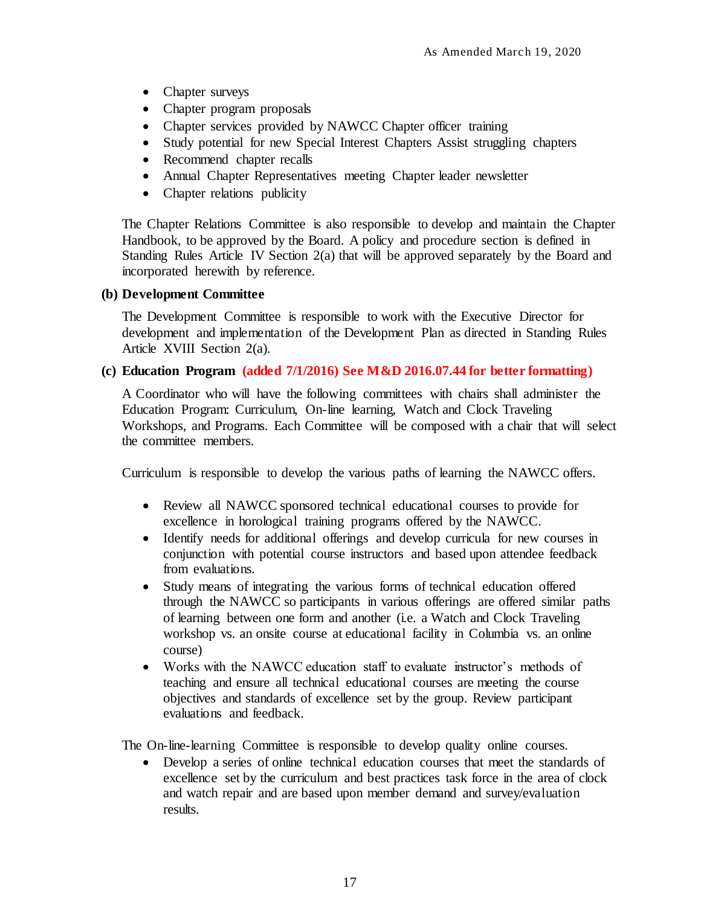- Chapter surveys
- Chapter program proposals
- Chapter services provided by NAWCC Chapter officer training
- Study potential for new Special Interest Chapters Assist struggling chapters
- Recommend chapter recalls
- Annual Chapter Representatives meeting Chapter leader newsletter
- Chapter relations publicity

The Chapter Relations Committee is also responsible to develop and maintain the Chapter Handbook, to be approved by the Board. A policy and procedure section is defined in Standing Rules Article IV Section 2(a) that will be approved separately by the Board and incorporated herewith by reference.

#### <span id="page-24-0"></span>**(b) Development Committee**

The Development Committee is responsible to work with the Executive Director for development and implementation of the Development Plan as directed in Standing Rules Article XVIII Section 2(a).

#### <span id="page-24-1"></span>**(c) Education Program (added 7/1/2016) See M&D 2016.07.44 for better formatting)**

A Coordinator who will have the following committees with chairs shall administer the Education Program: Curriculum, On-line learning, Watch and Clock Traveling Workshops, and Programs. Each Committee will be composed with a chair that will select the committee members.

Curriculum is responsible to develop the various paths of learning the NAWCC offers.

- Review all NAWCC sponsored technical educational courses to provide for excellence in horological training programs offered by the NAWCC.
- Identify needs for additional offerings and develop curricula for new courses in conjunction with potential course instructors and based upon attendee feedback from evaluations.
- Study means of integrating the various forms of technical education offered through the NAWCC so participants in various offerings are offered similar paths of learning between one form and another (i.e. a Watch and Clock Traveling workshop vs. an onsite course at educational facility in Columbia vs. an online course)
- Works with the NAWCC education staff to evaluate instructor's methods of teaching and ensure all technical educational courses are meeting the course objectives and standards of excellence set by the group. Review participant evaluations and feedback.

The On-line-learning Committee is responsible to develop quality online courses.

 Develop a series of online technical education courses that meet the standards of excellence set by the curriculum and best practices task force in the area of clock and watch repair and are based upon member demand and survey/evaluation results.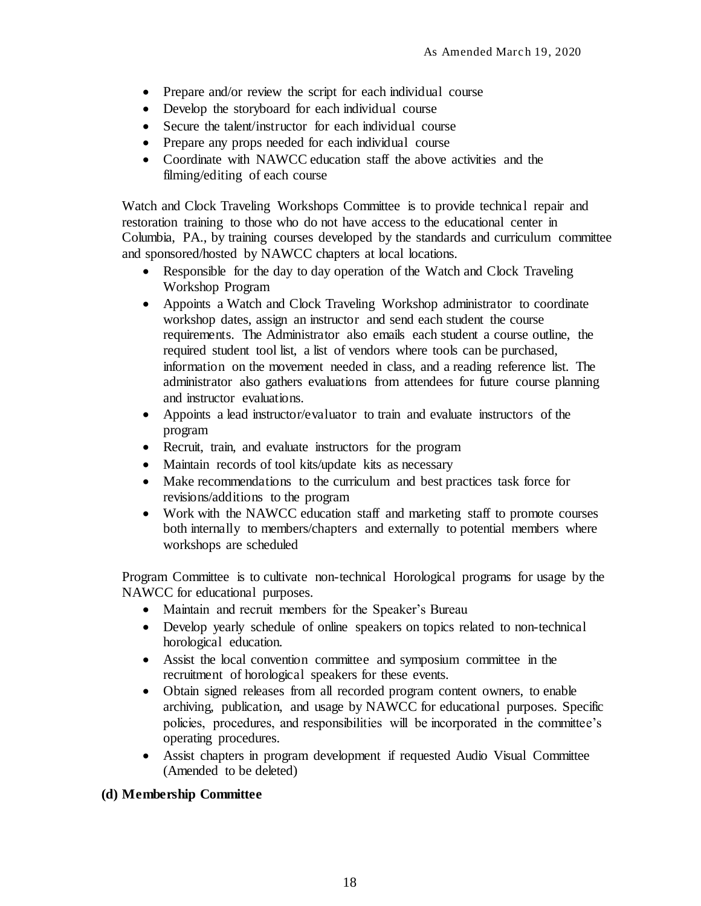- Prepare and/or review the script for each individual course
- Develop the storyboard for each individual course
- Secure the talent/instructor for each individual course
- Prepare any props needed for each individual course
- Coordinate with NAWCC education staff the above activities and the filming/editing of each course

Watch and Clock Traveling Workshops Committee is to provide technical repair and restoration training to those who do not have access to the educational center in Columbia, PA., by training courses developed by the standards and curriculum committee and sponsored/hosted by NAWCC chapters at local locations.

- Responsible for the day to day operation of the Watch and Clock Traveling Workshop Program
- Appoints a Watch and Clock Traveling Workshop administrator to coordinate workshop dates, assign an instructor and send each student the course requirements. The Administrator also emails each student a course outline, the required student tool list, a list of vendors where tools can be purchased, information on the movement needed in class, and a reading reference list. The administrator also gathers evaluations from attendees for future course planning and instructor evaluations.
- Appoints a lead instructor/evaluator to train and evaluate instructors of the program
- Recruit, train, and evaluate instructors for the program
- Maintain records of tool kits/update kits as necessary
- Make recommendations to the curriculum and best practices task force for revisions/additions to the program
- Work with the NAWCC education staff and marketing staff to promote courses both internally to members/chapters and externally to potential members where workshops are scheduled

Program Committee is to cultivate non-technical Horological programs for usage by the NAWCC for educational purposes.

- Maintain and recruit members for the Speaker's Bureau
- Develop yearly schedule of online speakers on topics related to non-technical horological education.
- Assist the local convention committee and symposium committee in the recruitment of horological speakers for these events.
- Obtain signed releases from all recorded program content owners, to enable archiving, publication, and usage by NAWCC for educational purposes. Specific policies, procedures, and responsibilities will be incorporated in the committee's operating procedures.
- Assist chapters in program development if requested Audio Visual Committee (Amended to be deleted)

### <span id="page-25-0"></span>**(d) Membership Committee**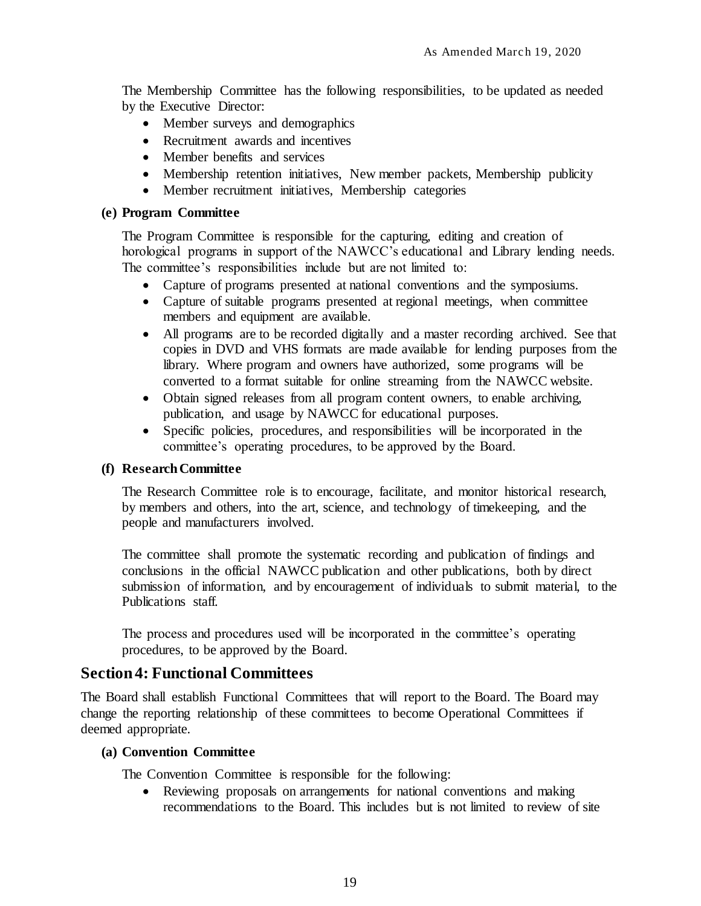The Membership Committee has the following responsibilities, to be updated as needed by the Executive Director:

- Member surveys and demographics
- Recruitment awards and incentives
- Member benefits and services
- Membership retention initiatives, New member packets, Membership publicity
- Member recruitment initiatives, Membership categories

#### <span id="page-26-0"></span>**(e) Program Committee**

The Program Committee is responsible for the capturing, editing and creation of horological programs in support of the NAWCC's educational and Library lending needs. The committee's responsibilities include but are not limited to:

- Capture of programs presented at national conventions and the symposiums.
- Capture of suitable programs presented at regional meetings, when committee members and equipment are available.
- All programs are to be recorded digitally and a master recording archived. See that copies in DVD and VHS formats are made available for lending purposes from the library. Where program and owners have authorized, some programs will be converted to a format suitable for online streaming from the NAWCC website.
- Obtain signed releases from all program content owners, to enable archiving, publication, and usage by NAWCC for educational purposes.
- Specific policies, procedures, and responsibilities will be incorporated in the committee's operating procedures, to be approved by the Board.

### <span id="page-26-1"></span>**(f) Research Committee**

The Research Committee role is to encourage, facilitate, and monitor historical research, by members and others, into the art, science, and technology of timekeeping, and the people and manufacturers involved.

The committee shall promote the systematic recording and publication of findings and conclusions in the official NAWCC publication and other publications, both by direct submission of information, and by encouragement of individuals to submit material, to the Publications staff.

The process and procedures used will be incorporated in the committee's operating procedures, to be approved by the Board.

# <span id="page-26-2"></span>**Section 4: Functional Committees**

The Board shall establish Functional Committees that will report to the Board. The Board may change the reporting relationship of these committees to become Operational Committees if deemed appropriate.

### <span id="page-26-3"></span>**(a) Convention Committee**

The Convention Committee is responsible for the following:

 Reviewing proposals on arrangements for national conventions and making recommendations to the Board. This includes but is not limited to review of site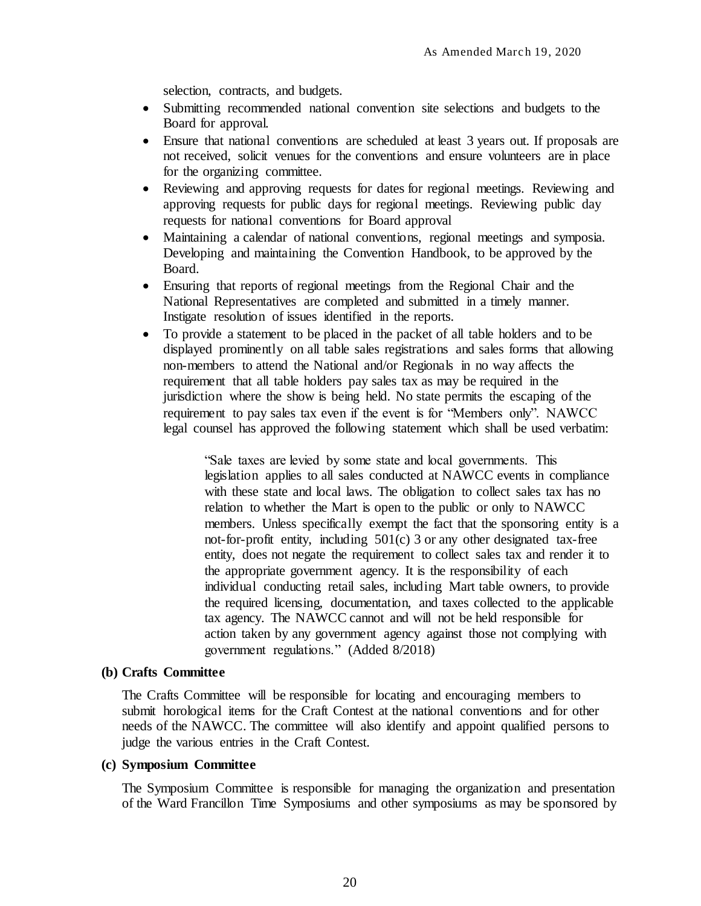selection, contracts, and budgets.

- Submitting recommended national convention site selections and budgets to the Board for approval.
- Ensure that national conventions are scheduled at least 3 years out. If proposals are not received, solicit venues for the conventions and ensure volunteers are in place for the organizing committee.
- Reviewing and approving requests for dates for regional meetings. Reviewing and approving requests for public days for regional meetings. Reviewing public day requests for national conventions for Board approval
- Maintaining a calendar of national conventions, regional meetings and symposia. Developing and maintaining the Convention Handbook, to be approved by the Board.
- Ensuring that reports of regional meetings from the Regional Chair and the National Representatives are completed and submitted in a timely manner. Instigate resolution of issues identified in the reports.
- To provide a statement to be placed in the packet of all table holders and to be displayed prominently on all table sales registrations and sales forms that allowing non-members to attend the National and/or Regionals in no way affects the requirement that all table holders pay sales tax as may be required in the jurisdiction where the show is being held. No state permits the escaping of the requirement to pay sales tax even if the event is for "Members only". NAWCC legal counsel has approved the following statement which shall be used verbatim:

"Sale taxes are levied by some state and local governments. This legislation applies to all sales conducted at NAWCC events in compliance with these state and local laws. The obligation to collect sales tax has no relation to whether the Mart is open to the public or only to NAWCC members. Unless specifically exempt the fact that the sponsoring entity is a not-for-profit entity, including 501(c) 3 or any other designated tax-free entity, does not negate the requirement to collect sales tax and render it to the appropriate government agency. It is the responsibility of each individual conducting retail sales, including Mart table owners, to provide the required licensing, documentation, and taxes collected to the applicable tax agency. The NAWCC cannot and will not be held responsible for action taken by any government agency against those not complying with government regulations." (Added 8/2018)

#### <span id="page-27-0"></span>**(b) Crafts Committee**

The Crafts Committee will be responsible for locating and encouraging members to submit horological items for the Craft Contest at the national conventions and for other needs of the NAWCC. The committee will also identify and appoint qualified persons to judge the various entries in the Craft Contest.

#### <span id="page-27-1"></span>**(c) Symposium Committee**

The Symposium Committee is responsible for managing the organization and presentation of the Ward Francillon Time Symposiums and other symposiums as may be sponsored by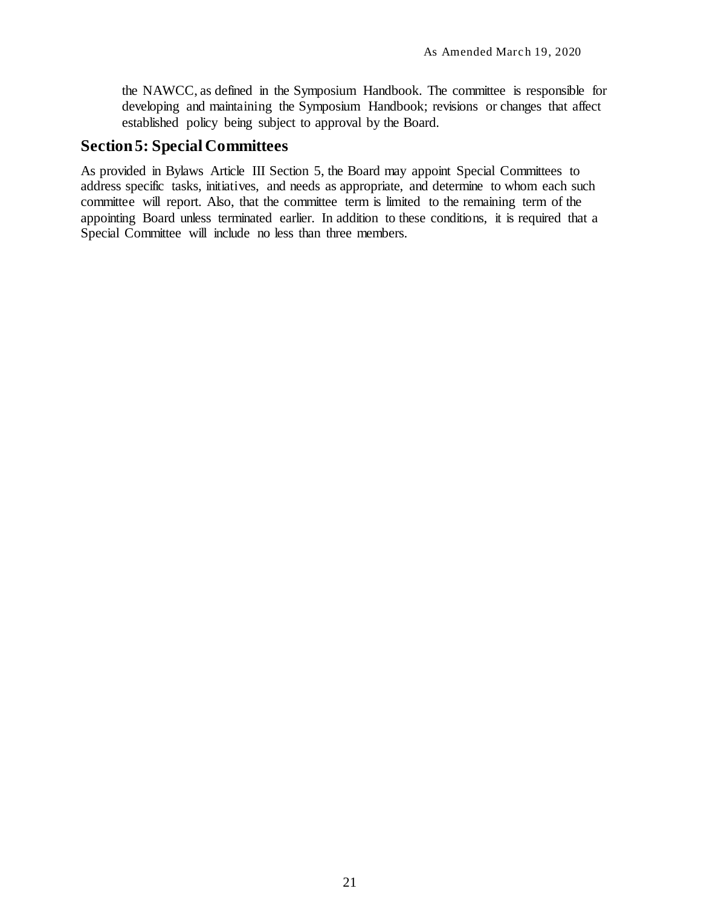the NAWCC, as defined in the Symposium Handbook. The committee is responsible for developing and maintaining the Symposium Handbook; revisions or changes that affect established policy being subject to approval by the Board.

# <span id="page-28-0"></span>**Section 5: Special Committees**

As provided in Bylaws Article III Section 5, the Board may appoint Special Committees to address specific tasks, initiatives, and needs as appropriate, and determine to whom each such committee will report. Also, that the committee term is limited to the remaining term of the appointing Board unless terminated earlier. In addition to these conditions, it is required that a Special Committee will include no less than three members.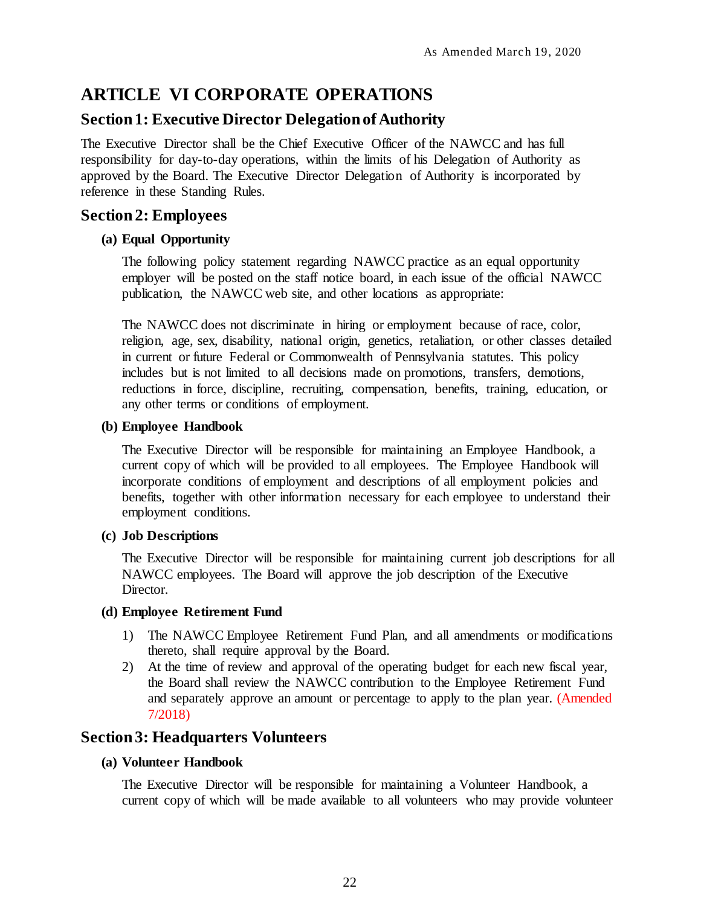# <span id="page-29-0"></span>**ARTICLE VI CORPORATE OPERATIONS**

# <span id="page-29-1"></span>**Section 1: Executive Director Delegation of Authority**

The Executive Director shall be the Chief Executive Officer of the NAWCC and has full responsibility for day-to-day operations, within the limits of his Delegation of Authority as approved by the Board. The Executive Director Delegation of Authority is incorporated by reference in these Standing Rules.

# <span id="page-29-2"></span>**Section2: Employees**

## <span id="page-29-3"></span>**(a) Equal Opportunity**

The following policy statement regarding NAWCC practice as an equal opportunity employer will be posted on the staff notice board, in each issue of the official NAWCC publication, the NAWCC web site, and other locations as appropriate:

The NAWCC does not discriminate in hiring or employment because of race, color, religion, age, sex, disability, national origin, genetics, retaliation, or other classes detailed in current or future Federal or Commonwealth of Pennsylvania statutes. This policy includes but is not limited to all decisions made on promotions, transfers, demotions, reductions in force, discipline, recruiting, compensation, benefits, training, education, or any other terms or conditions of employment.

### <span id="page-29-4"></span>**(b) Employee Handbook**

The Executive Director will be responsible for maintaining an Employee Handbook, a current copy of which will be provided to all employees. The Employee Handbook will incorporate conditions of employment and descriptions of all employment policies and benefits, together with other information necessary for each employee to understand their employment conditions.

# <span id="page-29-5"></span>**(c) Job Descriptions**

The Executive Director will be responsible for maintaining current job descriptions for all NAWCC employees. The Board will approve the job description of the Executive Director.

### <span id="page-29-6"></span>**(d) Employee Retirement Fund**

- 1) The NAWCC Employee Retirement Fund Plan, and all amendments or modifications thereto, shall require approval by the Board.
- 2) At the time of review and approval of the operating budget for each new fiscal year, the Board shall review the NAWCC contribution to the Employee Retirement Fund and separately approve an amount or percentage to apply to the plan year. (Amended 7/2018)

# <span id="page-29-7"></span>**Section 3: Headquarters Volunteers**

## <span id="page-29-8"></span>**(a) Volunteer Handbook**

The Executive Director will be responsible for maintaining a Volunteer Handbook, a current copy of which will be made available to all volunteers who may provide volunteer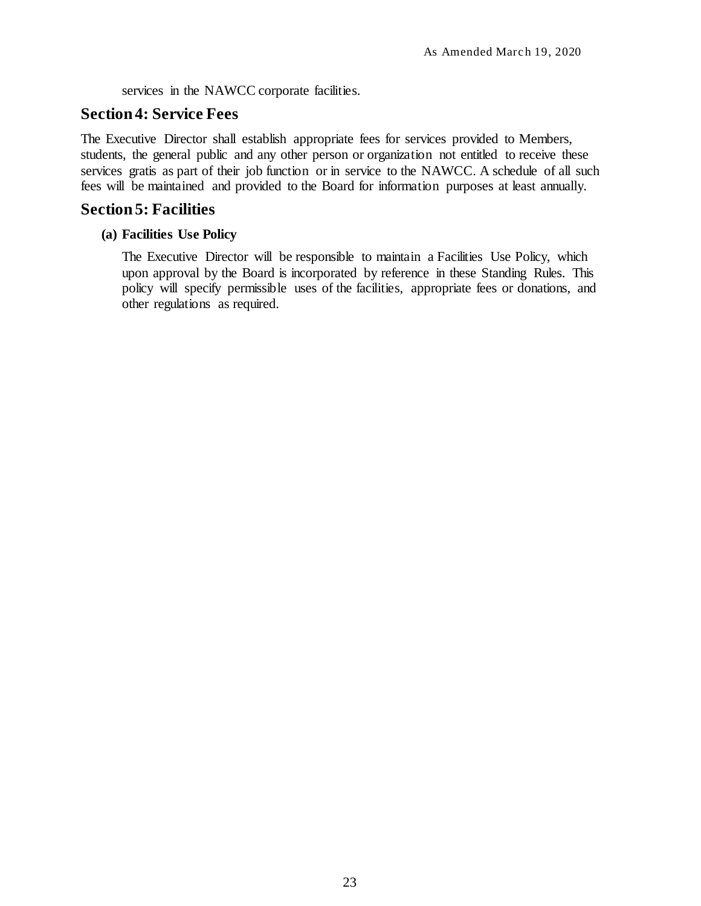services in the NAWCC corporate facilities.

# <span id="page-30-0"></span>**Section 4: Service Fees**

The Executive Director shall establish appropriate fees for services provided to Members, students, the general public and any other person or organization not entitled to receive these services gratis as part of their job function or in service to the NAWCC. A schedule of all such fees will be maintained and provided to the Board for information purposes at least annually.

# <span id="page-30-1"></span>**Section5: Facilities**

# <span id="page-30-2"></span>**(a) Facilities Use Policy**

The Executive Director will be responsible to maintain a Facilities Use Policy, which upon approval by the Board is incorporated by reference in these Standing Rules. This policy will specify permissible uses of the facilities, appropriate fees or donations, and other regulations as required.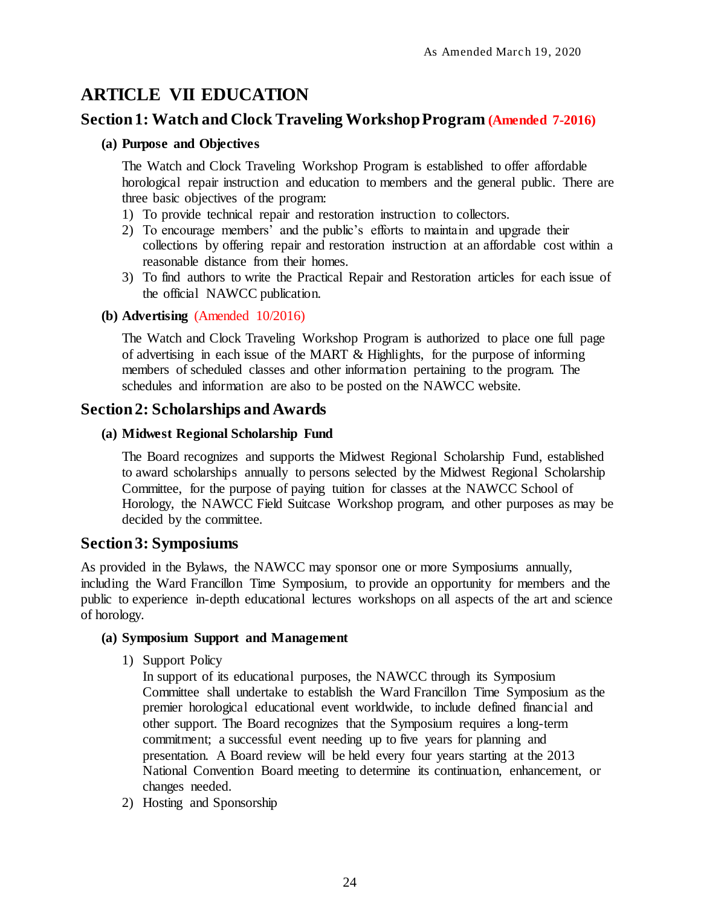# <span id="page-31-0"></span>**ARTICLE VII EDUCATION**

# <span id="page-31-1"></span>**Section 1: Watch and Clock Traveling Workshop Program (Amended 7-2016)**

## <span id="page-31-2"></span>**(a) Purpose and Objectives**

The Watch and Clock Traveling Workshop Program is established to offer affordable horological repair instruction and education to members and the general public. There are three basic objectives of the program:

- 1) To provide technical repair and restoration instruction to collectors.
- 2) To encourage members' and the public's efforts to maintain and upgrade their collections by offering repair and restoration instruction at an affordable cost within a reasonable distance from their homes.
- 3) To find authors to write the Practical Repair and Restoration articles for each issue of the official NAWCC publication.

## <span id="page-31-3"></span>**(b) Advertising** (Amended 10/2016)

The Watch and Clock Traveling Workshop Program is authorized to place one full page of advertising in each issue of the MART & Highlights, for the purpose of informing members of scheduled classes and other information pertaining to the program. The schedules and information are also to be posted on the NAWCC website.

# <span id="page-31-4"></span>**Section 2: Scholarships and Awards**

## <span id="page-31-5"></span>**(a) Midwest Regional Scholarship Fund**

The Board recognizes and supports the Midwest Regional Scholarship Fund, established to award scholarships annually to persons selected by the Midwest Regional Scholarship Committee, for the purpose of paying tuition for classes at the NAWCC School of Horology, the NAWCC Field Suitcase Workshop program, and other purposes as may be decided by the committee.

# <span id="page-31-6"></span>**Section 3: Symposiums**

As provided in the Bylaws, the NAWCC may sponsor one or more Symposiums annually, including the Ward Francillon Time Symposium, to provide an opportunity for members and the public to experience in-depth educational lectures workshops on all aspects of the art and science of horology.

### <span id="page-31-7"></span>**(a) Symposium Support and Management**

1) Support Policy

In support of its educational purposes, the NAWCC through its Symposium Committee shall undertake to establish the Ward Francillon Time Symposium as the premier horological educational event worldwide, to include defined financial and other support. The Board recognizes that the Symposium requires a long-term commitment; a successful event needing up to five years for planning and presentation. A Board review will be held every four years starting at the 2013 National Convention Board meeting to determine its continuation, enhancement, or changes needed.

2) Hosting and Sponsorship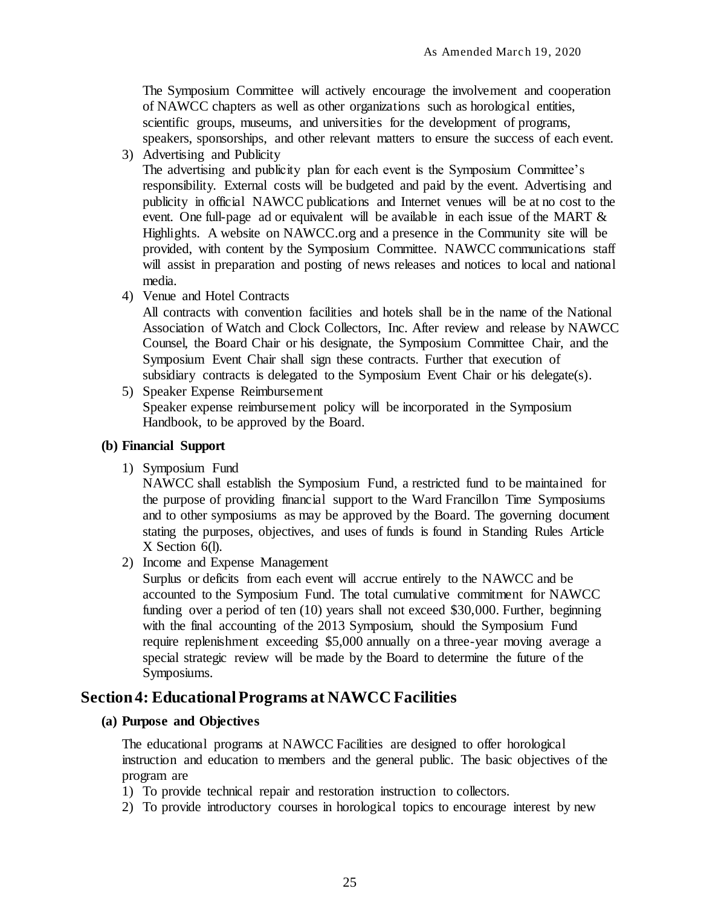The Symposium Committee will actively encourage the involvement and cooperation of NAWCC chapters as well as other organizations such as horological entities, scientific groups, museums, and universities for the development of programs, speakers, sponsorships, and other relevant matters to ensure the success of each event.

3) Advertising and Publicity

The advertising and publicity plan for each event is the Symposium Committee's responsibility. External costs will be budgeted and paid by the event. Advertising and publicity in official NAWCC publications and Internet venues will be at no cost to the event. One full-page ad or equivalent will be available in each issue of the MART  $\&$ Highlights. A website on NAWCC.org and a presence in the Community site will be provided, with content by the Symposium Committee. NAWCC communications staff will assist in preparation and posting of news releases and notices to local and national media.

4) Venue and Hotel Contracts

All contracts with convention facilities and hotels shall be in the name of the National Association of Watch and Clock Collectors, Inc. After review and release by NAWCC Counsel, the Board Chair or his designate, the Symposium Committee Chair, and the Symposium Event Chair shall sign these contracts. Further that execution of subsidiary contracts is delegated to the Symposium Event Chair or his delegate(s).

5) Speaker Expense Reimbursement Speaker expense reimbursement policy will be incorporated in the Symposium Handbook, to be approved by the Board.

### <span id="page-32-0"></span>**(b) Financial Support**

1) Symposium Fund

NAWCC shall establish the Symposium Fund, a restricted fund to be maintained for the purpose of providing financial support to the Ward Francillon Time Symposiums and to other symposiums as may be approved by the Board. The governing document stating the purposes, objectives, and uses of funds is found in Standing Rules Article X Section 6(l).

2) Income and Expense Management

Surplus or deficits from each event will accrue entirely to the NAWCC and be accounted to the Symposium Fund. The total cumulative commitment for NAWCC funding over a period of ten (10) years shall not exceed \$30,000. Further, beginning with the final accounting of the 2013 Symposium, should the Symposium Fund require replenishment exceeding \$5,000 annually on a three-year moving average a special strategic review will be made by the Board to determine the future of the Symposiums.

# <span id="page-32-1"></span>**Section 4: Educational Programs at NAWCC Facilities**

### <span id="page-32-2"></span>**(a) Purpose and Objectives**

The educational programs at NAWCC Facilities are designed to offer horological instruction and education to members and the general public. The basic objectives of the program are

- 1) To provide technical repair and restoration instruction to collectors.
- 2) To provide introductory courses in horological topics to encourage interest by new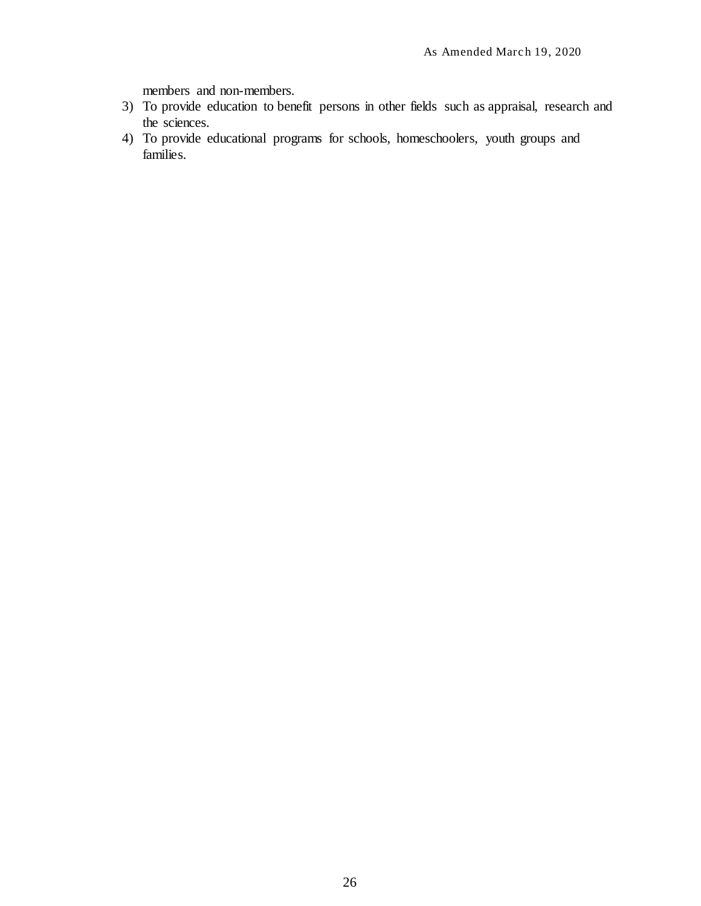members and non-members.

- 3) To provide education to benefit persons in other fields such as appraisal, research and the sciences.
- 4) To provide educational programs for schools, homeschoolers, youth groups and families.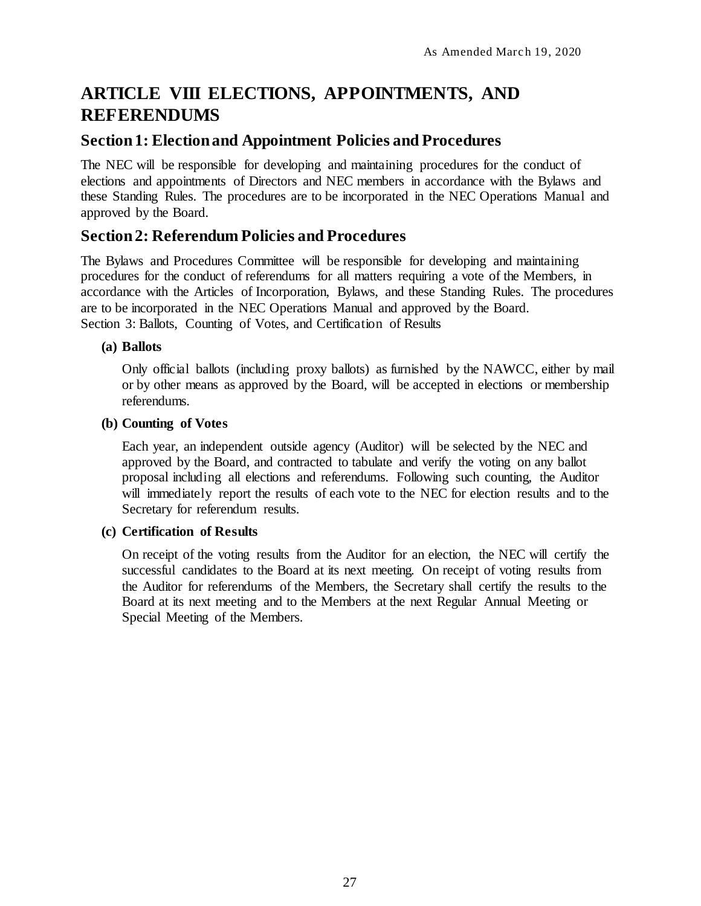# <span id="page-34-0"></span>**ARTICLE VIII ELECTIONS, APPOINTMENTS, AND REFERENDUMS**

# <span id="page-34-1"></span>**Section 1: Election and Appointment Policies and Procedures**

The NEC will be responsible for developing and maintaining procedures for the conduct of elections and appointments of Directors and NEC members in accordance with the Bylaws and these Standing Rules. The procedures are to be incorporated in the NEC Operations Manual and approved by the Board.

# <span id="page-34-2"></span>**Section 2: Referendum Policies and Procedures**

The Bylaws and Procedures Committee will be responsible for developing and maintaining procedures for the conduct of referendums for all matters requiring a vote of the Members, in accordance with the Articles of Incorporation, Bylaws, and these Standing Rules. The procedures are to be incorporated in the NEC Operations Manual and approved by the Board. Section 3: Ballots, Counting of Votes, and Certification of Results

## <span id="page-34-3"></span>**(a) Ballots**

Only official ballots (including proxy ballots) as furnished by the NAWCC, either by mail or by other means as approved by the Board, will be accepted in elections or membership referendums.

### <span id="page-34-4"></span>**(b) Counting of Votes**

Each year, an independent outside agency (Auditor) will be selected by the NEC and approved by the Board, and contracted to tabulate and verify the voting on any ballot proposal including all elections and referendums. Following such counting, the Auditor will immediately report the results of each vote to the NEC for election results and to the Secretary for referendum results.

### <span id="page-34-5"></span>**(c) Certification of Results**

On receipt of the voting results from the Auditor for an election, the NEC will certify the successful candidates to the Board at its next meeting. On receipt of voting results from the Auditor for referendums of the Members, the Secretary shall certify the results to the Board at its next meeting and to the Members at the next Regular Annual Meeting or Special Meeting of the Members.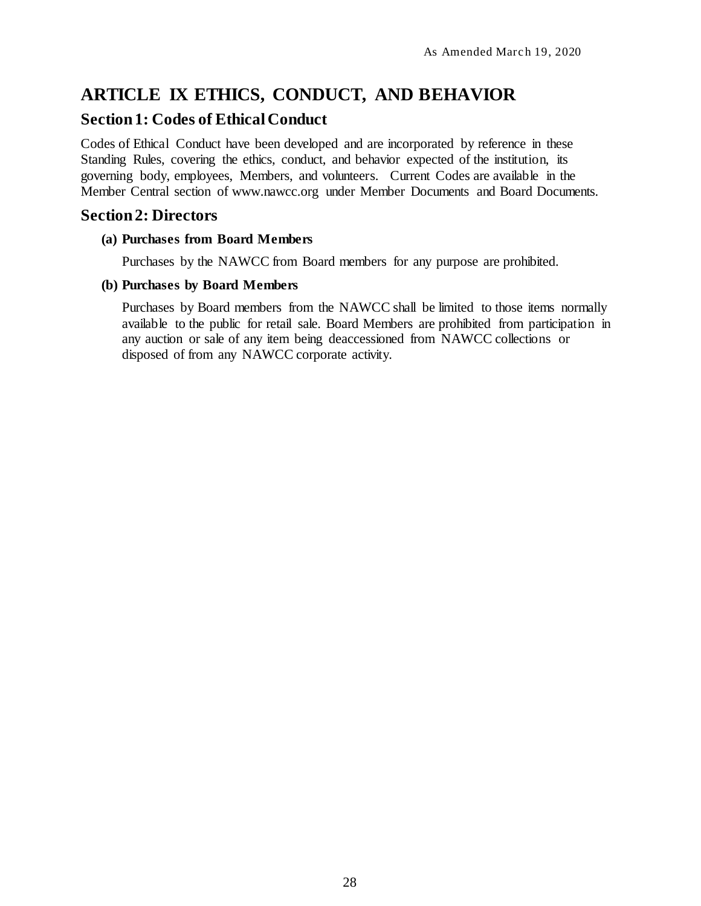# <span id="page-35-0"></span>**ARTICLE IX ETHICS, CONDUCT, AND BEHAVIOR**

# <span id="page-35-1"></span>**Section 1: Codes of Ethical Conduct**

Codes of Ethical Conduct have been developed and are incorporated by reference in these Standing Rules, covering the ethics, conduct, and behavior expected of the institution, its governing body, employees, Members, and volunteers. Current Codes are available in the Member Central section of [www.nawcc.org](http://www.nawcc.org/) under Member Documents and Board Documents.

# <span id="page-35-2"></span>**Section 2: Directors**

### <span id="page-35-3"></span>**(a) Purchases from Board Members**

Purchases by the NAWCC from Board members for any purpose are prohibited.

### <span id="page-35-4"></span>**(b) Purchases by Board Members**

Purchases by Board members from the NAWCC shall be limited to those items normally available to the public for retail sale. Board Members are prohibited from participation in any auction or sale of any item being deaccessioned from NAWCC collections or disposed of from any NAWCC corporate activity.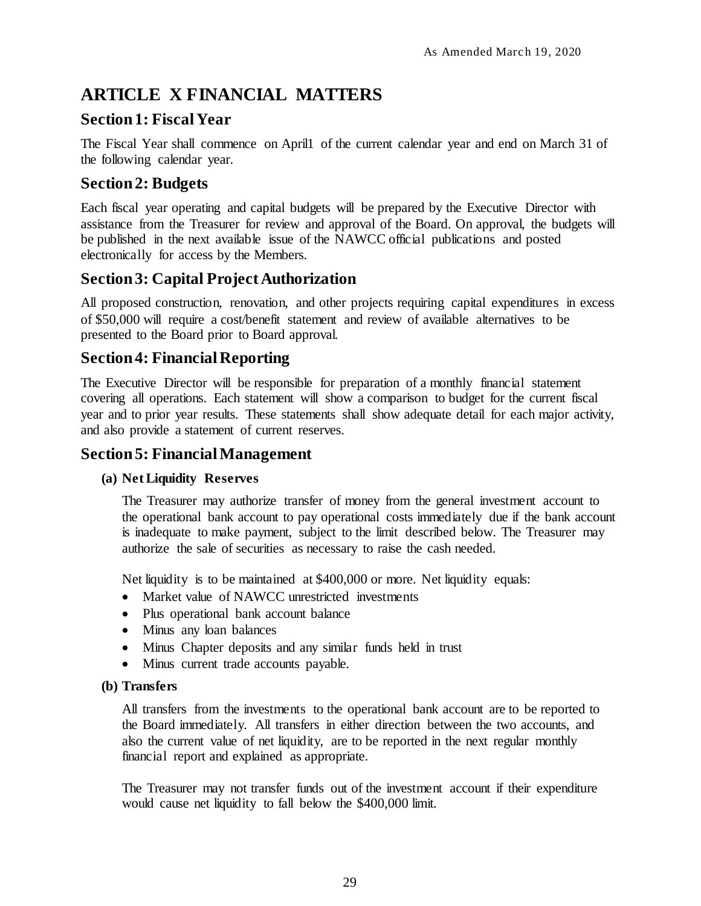# <span id="page-36-0"></span>**ARTICLE X FINANCIAL MATTERS**

# <span id="page-36-1"></span>**Section 1: Fiscal Year**

The Fiscal Year shall commence on April1 of the current calendar year and end on March 31 of the following calendar year.

# <span id="page-36-2"></span>**Section 2: Budgets**

Each fiscal year operating and capital budgets will be prepared by the Executive Director with assistance from the Treasurer for review and approval of the Board. On approval, the budgets will be published in the next available issue of the NAWCC official publications and posted electronically for access by the Members.

# <span id="page-36-3"></span>**Section 3: Capital Project Authorization**

All proposed construction, renovation, and other projects requiring capital expenditures in excess of \$50,000 will require a cost/benefit statement and review of available alternatives to be presented to the Board prior to Board approval.

# <span id="page-36-4"></span>**Section 4: Financial Reporting**

The Executive Director will be responsible for preparation of a monthly financial statement covering all operations. Each statement will show a comparison to budget for the current fiscal year and to prior year results. These statements shall show adequate detail for each major activity, and also provide a statement of current reserves.

# <span id="page-36-5"></span>**Section 5: Financial Management**

# <span id="page-36-6"></span>**(a) Net Liquidity Reserves**

The Treasurer may authorize transfer of money from the general investment account to the operational bank account to pay operational costs immediately due if the bank account is inadequate to make payment, subject to the limit described below. The Treasurer may authorize the sale of securities as necessary to raise the cash needed.

Net liquidity is to be maintained at \$400,000 or more. Net liquidity equals:

- Market value of NAWCC unrestricted investments
- Plus operational bank account balance
- Minus any loan balances
- Minus Chapter deposits and any similar funds held in trust
- Minus current trade accounts payable.

### <span id="page-36-7"></span>**(b) Transfers**

All transfers from the investments to the operational bank account are to be reported to the Board immediately. All transfers in either direction between the two accounts, and also the current value of net liquidity, are to be reported in the next regular monthly financial report and explained as appropriate.

The Treasurer may not transfer funds out of the investment account if their expenditure would cause net liquidity to fall below the \$400,000 limit.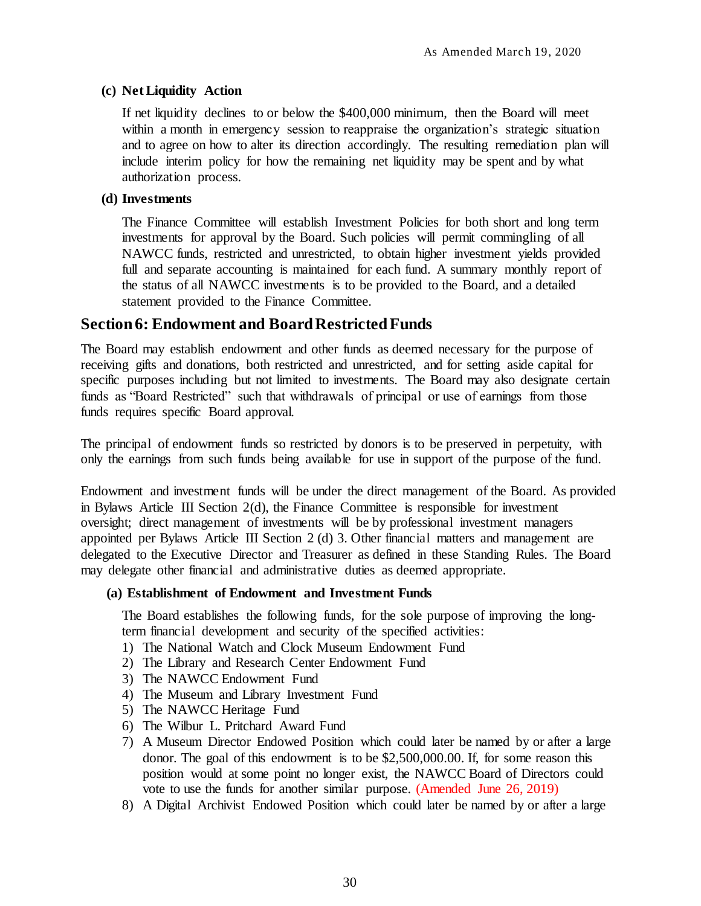## <span id="page-37-0"></span>**(c) Net Liquidity Action**

If net liquidity declines to or below the \$400,000 minimum, then the Board will meet within a month in emergency session to reappraise the organization's strategic situation and to agree on how to alter its direction accordingly. The resulting remediation plan will include interim policy for how the remaining net liquidity may be spent and by what authorization process.

## <span id="page-37-1"></span>**(d) Investments**

The Finance Committee will establish Investment Policies for both short and long term investments for approval by the Board. Such policies will permit commingling of all NAWCC funds, restricted and unrestricted, to obtain higher investment yields provided full and separate accounting is maintained for each fund. A summary monthly report of the status of all NAWCC investments is to be provided to the Board, and a detailed statement provided to the Finance Committee.

# <span id="page-37-2"></span>**Section 6: Endowment and Board Restricted Funds**

The Board may establish endowment and other funds as deemed necessary for the purpose of receiving gifts and donations, both restricted and unrestricted, and for setting aside capital for specific purposes including but not limited to investments. The Board may also designate certain funds as "Board Restricted" such that withdrawals of principal or use of earnings from those funds requires specific Board approval.

The principal of endowment funds so restricted by donors is to be preserved in perpetuity, with only the earnings from such funds being available for use in support of the purpose of the fund.

Endowment and investment funds will be under the direct management of the Board. As provided in Bylaws Article III Section  $2(d)$ , the Finance Committee is responsible for investment oversight; direct management of investments will be by professional investment managers appointed per Bylaws Article III Section 2 (d) 3. Other financial matters and management are delegated to the Executive Director and Treasurer as defined in these Standing Rules. The Board may delegate other financial and administrative duties as deemed appropriate.

### <span id="page-37-3"></span>**(a) Establishment of Endowment and Investment Funds**

The Board establishes the following funds, for the sole purpose of improving the longterm financial development and security of the specified activities:

- 1) The National Watch and Clock Museum Endowment Fund
- 2) The Library and Research Center Endowment Fund
- 3) The NAWCC Endowment Fund
- 4) The Museum and Library Investment Fund
- 5) The NAWCC Heritage Fund
- 6) The Wilbur L. Pritchard Award Fund
- 7) A Museum Director Endowed Position which could later be named by or after a large donor. The goal of this endowment is to be \$2,500,000.00. If, for some reason this position would at some point no longer exist, the NAWCC Board of Directors could vote to use the funds for another similar purpose. (Amended June 26, 2019)
- 8) A Digital Archivist Endowed Position which could later be named by or after a large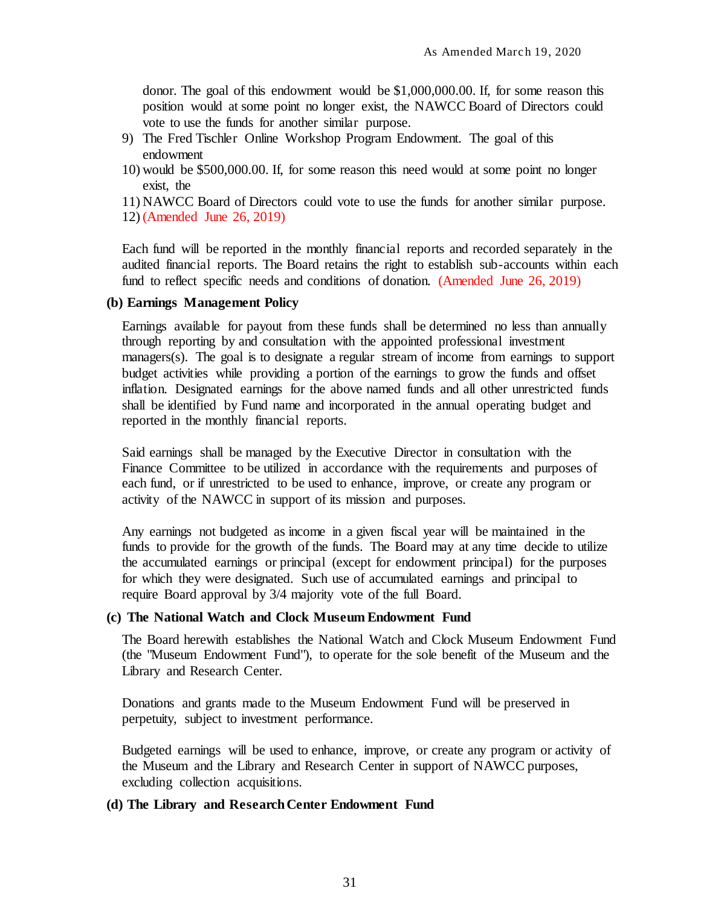donor. The goal of this endowment would be \$1,000,000.00. If, for some reason this position would at some point no longer exist, the NAWCC Board of Directors could vote to use the funds for another similar purpose.

- 9) The Fred Tischler Online Workshop Program Endowment. The goal of this endowment
- 10) would be \$500,000.00. If, for some reason this need would at some point no longer exist, the
- 11) NAWCC Board of Directors could vote to use the funds for another similar purpose.
- 12) (Amended June 26, 2019)

Each fund will be reported in the monthly financial reports and recorded separately in the audited financial reports. The Board retains the right to establish sub-accounts within each fund to reflect specific needs and conditions of donation. (Amended June 26, 2019)

#### <span id="page-38-0"></span>**(b) Earnings Management Policy**

Earnings available for payout from these funds shall be determined no less than annually through reporting by and consultation with the appointed professional investment managers(s). The goal is to designate a regular stream of income from earnings to support budget activities while providing a portion of the earnings to grow the funds and offset inflation. Designated earnings for the above named funds and all other unrestricted funds shall be identified by Fund name and incorporated in the annual operating budget and reported in the monthly financial reports.

Said earnings shall be managed by the Executive Director in consultation with the Finance Committee to be utilized in accordance with the requirements and purposes of each fund, or if unrestricted to be used to enhance, improve, or create any program or activity of the NAWCC in support of its mission and purposes.

Any earnings not budgeted as income in a given fiscal year will be maintained in the funds to provide for the growth of the funds. The Board may at any time decide to utilize the accumulated earnings or principal (except for endowment principal) for the purposes for which they were designated. Such use of accumulated earnings and principal to require Board approval by 3/4 majority vote of the full Board.

#### <span id="page-38-1"></span>**(c) The National Watch and Clock Museum Endowment Fund**

The Board herewith establishes the National Watch and Clock Museum Endowment Fund (the "Museum Endowment Fund"), to operate for the sole benefit of the Museum and the Library and Research Center.

Donations and grants made to the Museum Endowment Fund will be preserved in perpetuity, subject to investment performance.

Budgeted earnings will be used to enhance, improve, or create any program or activity of the Museum and the Library and Research Center in support of NAWCC purposes, excluding collection acquisitions.

#### <span id="page-38-2"></span>**(d) The Library and Research Center Endowment Fund**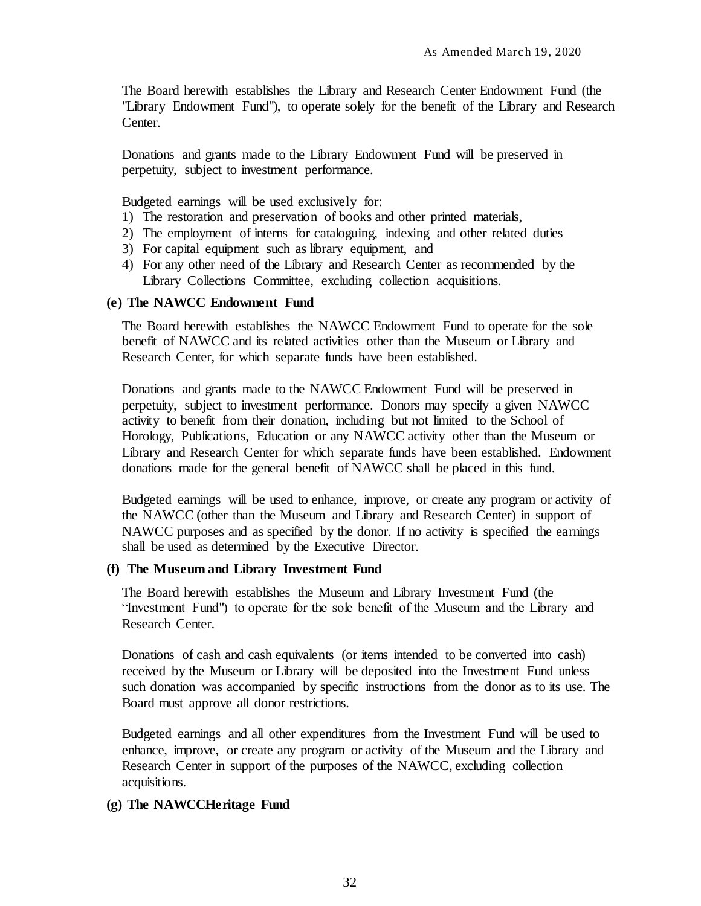The Board herewith establishes the Library and Research Center Endowment Fund (the "Library Endowment Fund"), to operate solely for the benefit of the Library and Research Center.

Donations and grants made to the Library Endowment Fund will be preserved in perpetuity, subject to investment performance.

Budgeted earnings will be used exclusively for:

- 1) The restoration and preservation of books and other printed materials,
- 2) The employment of interns for cataloguing, indexing and other related duties
- 3) For capital equipment such as library equipment, and
- 4) For any other need of the Library and Research Center as recommended by the Library Collections Committee, excluding collection acquisitions.

#### <span id="page-39-0"></span>**(e) The NAWCC Endowment Fund**

The Board herewith establishes the NAWCC Endowment Fund to operate for the sole benefit of NAWCC and its related activities other than the Museum or Library and Research Center, for which separate funds have been established.

Donations and grants made to the NAWCC Endowment Fund will be preserved in perpetuity, subject to investment performance. Donors may specify a given NAWCC activity to benefit from their donation, including but not limited to the School of Horology, Publications, Education or any NAWCC activity other than the Museum or Library and Research Center for which separate funds have been established. Endowment donations made for the general benefit of NAWCC shall be placed in this fund.

Budgeted earnings will be used to enhance, improve, or create any program or activity of the NAWCC (other than the Museum and Library and Research Center) in support of NAWCC purposes and as specified by the donor. If no activity is specified the earnings shall be used as determined by the Executive Director.

#### <span id="page-39-1"></span>**(f) The Museum and Library Investment Fund**

The Board herewith establishes the Museum and Library Investment Fund (the "Investment Fund") to operate for the sole benefit of the Museum and the Library and Research Center.

Donations of cash and cash equivalents (or items intended to be converted into cash) received by the Museum or Library will be deposited into the Investment Fund unless such donation was accompanied by specific instructions from the donor as to its use. The Board must approve all donor restrictions.

Budgeted earnings and all other expenditures from the Investment Fund will be used to enhance, improve, or create any program or activity of the Museum and the Library and Research Center in support of the purposes of the NAWCC, excluding collection acquisitions.

#### <span id="page-39-2"></span>**(g) The NAWCCHeritage Fund**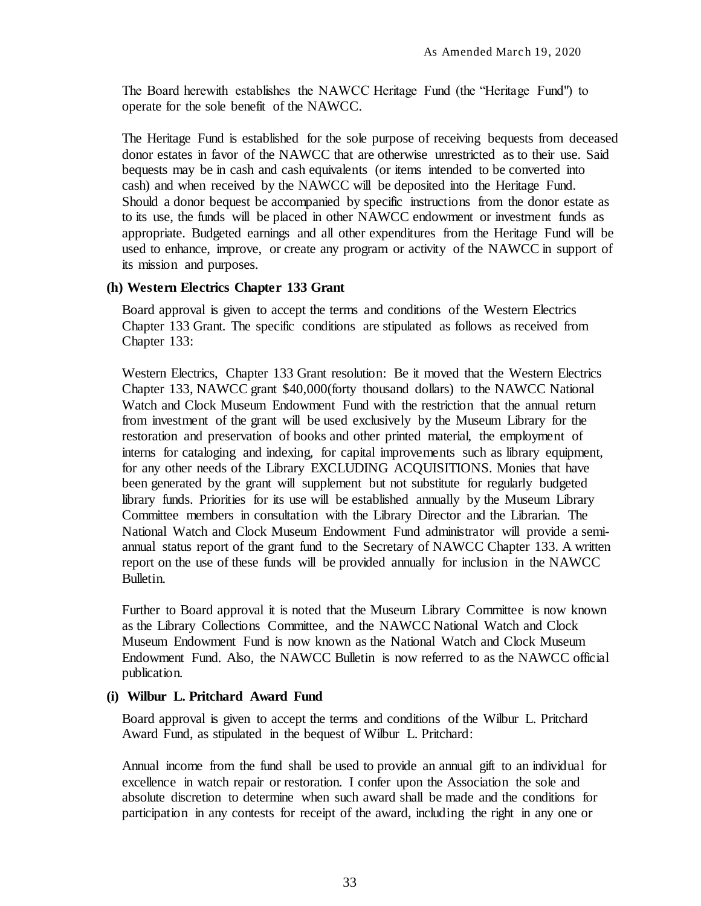The Board herewith establishes the NAWCC Heritage Fund (the "Heritage Fund") to operate for the sole benefit of the NAWCC.

The Heritage Fund is established for the sole purpose of receiving bequests from deceased donor estates in favor of the NAWCC that are otherwise unrestricted as to their use. Said bequests may be in cash and cash equivalents (or items intended to be converted into cash) and when received by the NAWCC will be deposited into the Heritage Fund. Should a donor bequest be accompanied by specific instructions from the donor estate as to its use, the funds will be placed in other NAWCC endowment or investment funds as appropriate. Budgeted earnings and all other expenditures from the Heritage Fund will be used to enhance, improve, or create any program or activity of the NAWCC in support of its mission and purposes.

#### <span id="page-40-0"></span>**(h) Western Electrics Chapter 133 Grant**

Board approval is given to accept the terms and conditions of the Western Electrics Chapter 133 Grant. The specific conditions are stipulated as follows as received from Chapter 133:

Western Electrics, Chapter 133 Grant resolution: Be it moved that the Western Electrics Chapter 133, NAWCC grant \$40,000(forty thousand dollars) to the NAWCC National Watch and Clock Museum Endowment Fund with the restriction that the annual return from investment of the grant will be used exclusively by the Museum Library for the restoration and preservation of books and other printed material, the employment of interns for cataloging and indexing, for capital improvements such as library equipment, for any other needs of the Library EXCLUDING ACQUISITIONS. Monies that have been generated by the grant will supplement but not substitute for regularly budgeted library funds. Priorities for its use will be established annually by the Museum Library Committee members in consultation with the Library Director and the Librarian. The National Watch and Clock Museum Endowment Fund administrator will provide a semiannual status report of the grant fund to the Secretary of NAWCC Chapter 133. A written report on the use of these funds will be provided annually for inclusion in the NAWCC Bulletin.

Further to Board approval it is noted that the Museum Library Committee is now known as the Library Collections Committee, and the NAWCC National Watch and Clock Museum Endowment Fund is now known as the National Watch and Clock Museum Endowment Fund. Also, the NAWCC Bulletin is now referred to as the NAWCC official publication.

#### <span id="page-40-1"></span>**(i) Wilbur L. Pritchard Award Fund**

Board approval is given to accept the terms and conditions of the Wilbur L. Pritchard Award Fund, as stipulated in the bequest of Wilbur L. Pritchard:

Annual income from the fund shall be used to provide an annual gift to an individual for excellence in watch repair or restoration. I confer upon the Association the sole and absolute discretion to determine when such award shall be made and the conditions for participation in any contests for receipt of the award, including the right in any one or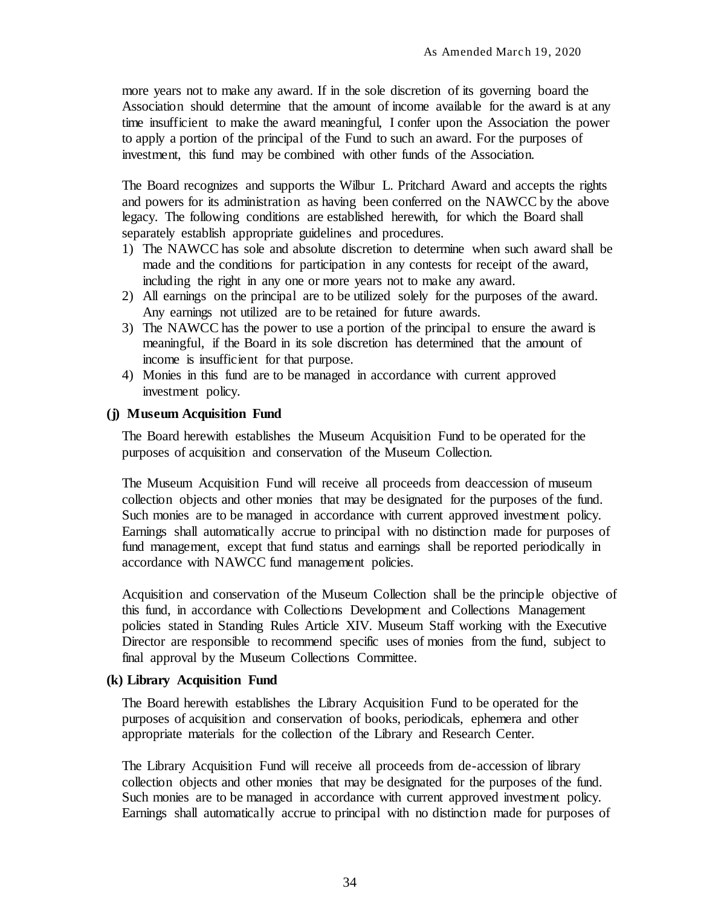more years not to make any award. If in the sole discretion of its governing board the Association should determine that the amount of income available for the award is at any time insufficient to make the award meaningful, I confer upon the Association the power to apply a portion of the principal of the Fund to such an award. For the purposes of investment, this fund may be combined with other funds of the Association.

The Board recognizes and supports the Wilbur L. Pritchard Award and accepts the rights and powers for its administration as having been conferred on the NAWCC by the above legacy. The following conditions are established herewith, for which the Board shall separately establish appropriate guidelines and procedures.

- 1) The NAWCC has sole and absolute discretion to determine when such award shall be made and the conditions for participation in any contests for receipt of the award, including the right in any one or more years not to make any award.
- 2) All earnings on the principal are to be utilized solely for the purposes of the award. Any earnings not utilized are to be retained for future awards.
- 3) The NAWCC has the power to use a portion of the principal to ensure the award is meaningful, if the Board in its sole discretion has determined that the amount of income is insufficient for that purpose.
- 4) Monies in this fund are to be managed in accordance with current approved investment policy.

### <span id="page-41-0"></span>**(j) Museum Acquisition Fund**

The Board herewith establishes the Museum Acquisition Fund to be operated for the purposes of acquisition and conservation of the Museum Collection.

The Museum Acquisition Fund will receive all proceeds from deaccession of museum collection objects and other monies that may be designated for the purposes of the fund. Such monies are to be managed in accordance with current approved investment policy. Earnings shall automatically accrue to principal with no distinction made for purposes of fund management, except that fund status and earnings shall be reported periodically in accordance with NAWCC fund management policies.

Acquisition and conservation of the Museum Collection shall be the principle objective of this fund, in accordance with Collections Development and Collections Management policies stated in Standing Rules Article XIV. Museum Staff working with the Executive Director are responsible to recommend specific uses of monies from the fund, subject to final approval by the Museum Collections Committee.

### <span id="page-41-1"></span>**(k) Library Acquisition Fund**

The Board herewith establishes the Library Acquisition Fund to be operated for the purposes of acquisition and conservation of books, periodicals, ephemera and other appropriate materials for the collection of the Library and Research Center.

The Library Acquisition Fund will receive all proceeds from de-accession of library collection objects and other monies that may be designated for the purposes of the fund. Such monies are to be managed in accordance with current approved investment policy. Earnings shall automatically accrue to principal with no distinction made for purposes of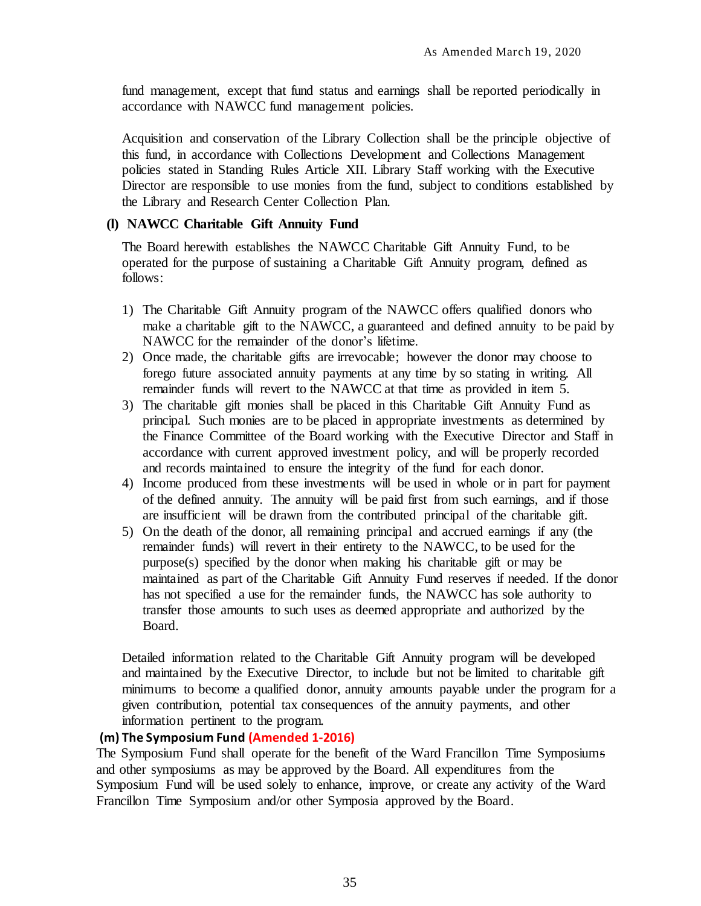fund management, except that fund status and earnings shall be reported periodically in accordance with NAWCC fund management policies.

Acquisition and conservation of the Library Collection shall be the principle objective of this fund, in accordance with Collections Development and Collections Management policies stated in Standing Rules Article XII. Library Staff working with the Executive Director are responsible to use monies from the fund, subject to conditions established by the Library and Research Center Collection Plan.

#### <span id="page-42-0"></span>**(l) NAWCC Charitable Gift Annuity Fund**

The Board herewith establishes the NAWCC Charitable Gift Annuity Fund, to be operated for the purpose of sustaining a Charitable Gift Annuity program, defined as follows:

- 1) The Charitable Gift Annuity program of the NAWCC offers qualified donors who make a charitable gift to the NAWCC, a guaranteed and defined annuity to be paid by NAWCC for the remainder of the donor's lifetime.
- 2) Once made, the charitable gifts are irrevocable; however the donor may choose to forego future associated annuity payments at any time by so stating in writing. All remainder funds will revert to the NAWCC at that time as provided in item 5.
- 3) The charitable gift monies shall be placed in this Charitable Gift Annuity Fund as principal. Such monies are to be placed in appropriate investments as determined by the Finance Committee of the Board working with the Executive Director and Staff in accordance with current approved investment policy, and will be properly recorded and records maintained to ensure the integrity of the fund for each donor.
- 4) Income produced from these investments will be used in whole or in part for payment of the defined annuity. The annuity will be paid first from such earnings, and if those are insufficient will be drawn from the contributed principal of the charitable gift.
- 5) On the death of the donor, all remaining principal and accrued earnings if any (the remainder funds) will revert in their entirety to the NAWCC, to be used for the purpose(s) specified by the donor when making his charitable gift or may be maintained as part of the Charitable Gift Annuity Fund reserves if needed. If the donor has not specified a use for the remainder funds, the NAWCC has sole authority to transfer those amounts to such uses as deemed appropriate and authorized by the Board.

Detailed information related to the Charitable Gift Annuity program will be developed and maintained by the Executive Director, to include but not be limited to charitable gift minimums to become a qualified donor, annuity amounts payable under the program for a given contribution, potential tax consequences of the annuity payments, and other information pertinent to the program.

## **(m) The Symposium Fund (Amended 1-2016)**

The Symposium Fund shall operate for the benefit of the Ward Francillon Time Symposiums and other symposiums as may be approved by the Board. All expenditures from the Symposium Fund will be used solely to enhance, improve, or create any activity of the Ward Francillon Time Symposium and/or other Symposia approved by the Board.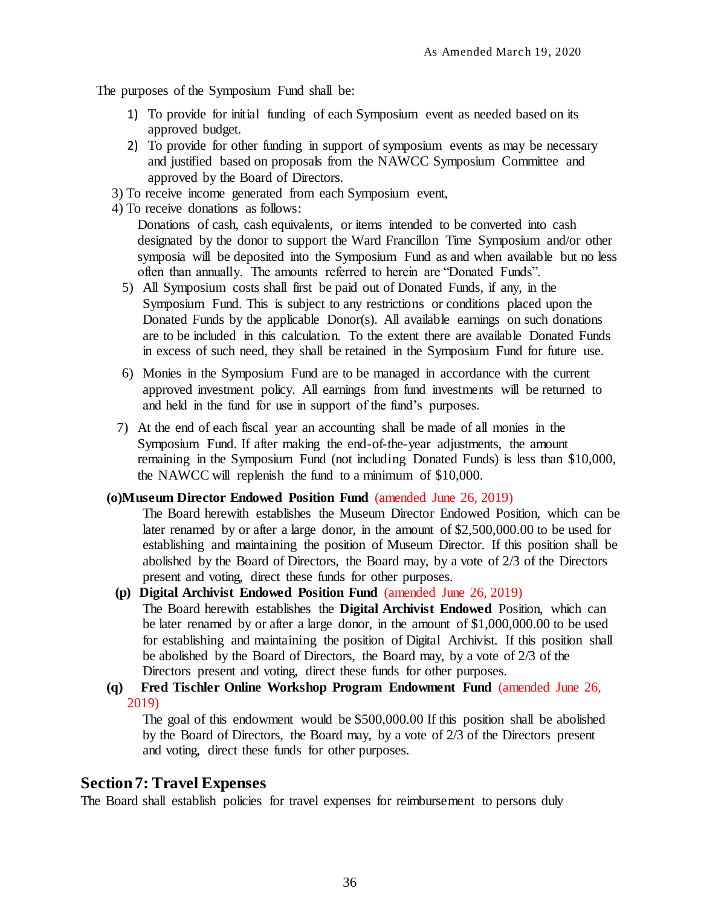The purposes of the Symposium Fund shall be:

- 1) To provide for initial funding of each Symposium event as needed based on its approved budget.
- 2) To provide for other funding in support of symposium events as may be necessary and justified based on proposals from the NAWCC Symposium Committee and approved by the Board of Directors.
- 3) To receive income generated from each Symposium event,
- 4) To receive donations as follows:

Donations of cash, cash equivalents, or items intended to be converted into cash designated by the donor to support the Ward Francillon Time Symposium and/or other symposia will be deposited into the Symposium Fund as and when available but no less often than annually. The amounts referred to herein are "Donated Funds".

- 5) All Symposium costs shall first be paid out of Donated Funds, if any, in the Symposium Fund. This is subject to any restrictions or conditions placed upon the Donated Funds by the applicable Donor(s). All available earnings on such donations are to be included in this calculation. To the extent there are available Donated Funds in excess of such need, they shall be retained in the Symposium Fund for future use.
- 6) Monies in the Symposium Fund are to be managed in accordance with the current approved investment policy. All earnings from fund investments will be returned to and held in the fund for use in support of the fund's purposes.
- 7) At the end of each fiscal year an accounting shall be made of all monies in the Symposium Fund. If after making the end-of-the-year adjustments, the amount remaining in the Symposium Fund (not including Donated Funds) is less than \$10,000, the NAWCC will replenish the fund to a minimum of \$10,000.

#### **(o)Museum Director Endowed Position Fund** (amended June 26, 2019)

The Board herewith establishes the Museum Director Endowed Position, which can be later renamed by or after a large donor, in the amount of \$2,500,000.00 to be used for establishing and maintaining the position of Museum Director. If this position shall be abolished by the Board of Directors, the Board may, by a vote of 2/3 of the Directors present and voting, direct these funds for other purposes.

- **(p) Digital Archivist Endowed Position Fund** (amended June 26, 2019) The Board herewith establishes the **Digital Archivist Endowed** Position, which can be later renamed by or after a large donor, in the amount of \$1,000,000.00 to be used for establishing and maintaining the position of Digital Archivist. If this position shall be abolished by the Board of Directors, the Board may, by a vote of 2/3 of the Directors present and voting, direct these funds for other purposes.
- **(q) Fred Tischler Online Workshop Program Endowment Fund** (amended June 26, 2019)

<span id="page-43-0"></span>The goal of this endowment would be \$500,000.00 If this position shall be abolished by the Board of Directors, the Board may, by a vote of 2/3 of the Directors present and voting, direct these funds for other purposes.

# **Section 7: Travel Expenses**

The Board shall establish policies for travel expenses for reimbursement to persons duly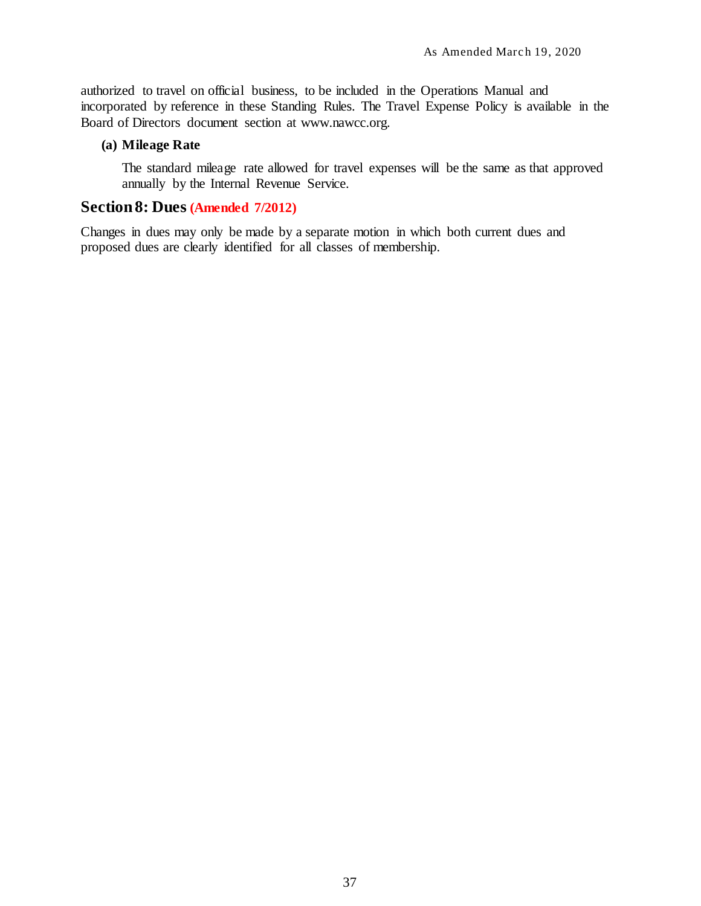authorized to travel on official business, to be included in the Operations Manual and incorporated by reference in these Standing Rules. The Travel Expense Policy is available in the Board of Directors document section at [www.nawcc.org.](http://www.nawcc.org/)

### <span id="page-44-0"></span>**(a) Mileage Rate**

The standard mileage rate allowed for travel expenses will be the same as that approved annually by the Internal Revenue Service.

# <span id="page-44-1"></span>**Section 8: Dues (Amended 7/2012)**

Changes in dues may only be made by a separate motion in which both current dues and proposed dues are clearly identified for all classes of membership.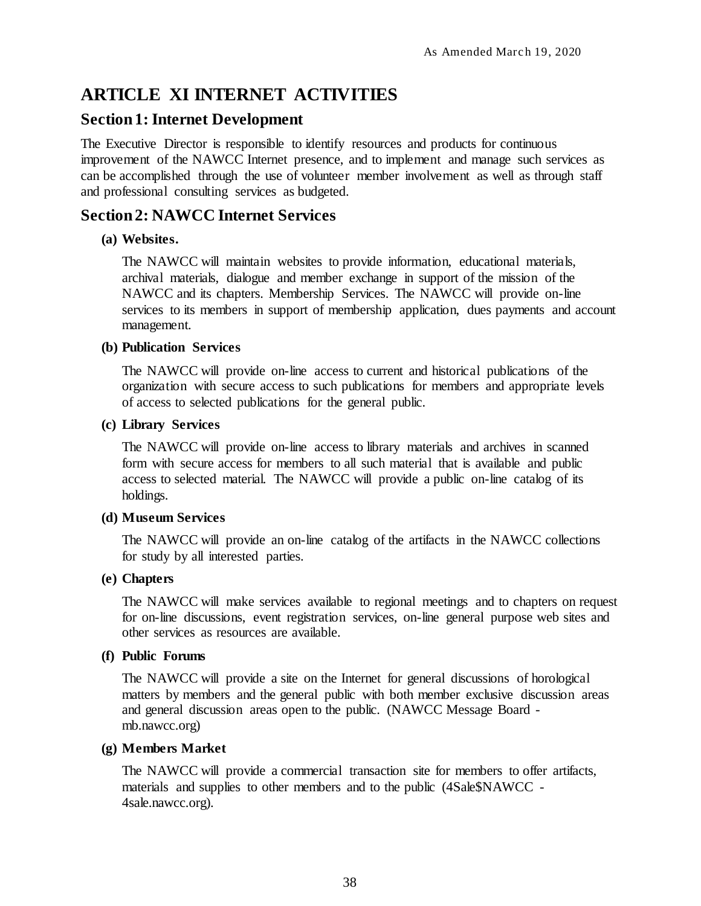# <span id="page-45-0"></span>**ARTICLE XI INTERNET ACTIVITIES**

# <span id="page-45-1"></span>**Section 1: Internet Development**

The Executive Director is responsible to identify resources and products for continuous improvement of the NAWCC Internet presence, and to implement and manage such services as can be accomplished through the use of volunteer member involvement as well as through staff and professional consulting services as budgeted.

# <span id="page-45-2"></span>**Section 2: NAWCC Internet Services**

# <span id="page-45-3"></span>**(a) Websites.**

The NAWCC will maintain websites to provide information, educational materials, archival materials, dialogue and member exchange in support of the mission of the NAWCC and its chapters. Membership Services. The NAWCC will provide on-line services to its members in support of membership application, dues payments and account management.

# <span id="page-45-4"></span>**(b) Publication Services**

The NAWCC will provide on-line access to current and historical publications of the organization with secure access to such publications for members and appropriate levels of access to selected publications for the general public.

## <span id="page-45-5"></span>**(c) Library Services**

The NAWCC will provide on-line access to library materials and archives in scanned form with secure access for members to all such material that is available and public access to selected material. The NAWCC will provide a public on-line catalog of its holdings.

# <span id="page-45-6"></span>**(d) Museum Services**

The NAWCC will provide an on-line catalog of the artifacts in the NAWCC collections for study by all interested parties.

# <span id="page-45-7"></span>**(e) Chapters**

The NAWCC will make services available to regional meetings and to chapters on request for on-line discussions, event registration services, on-line general purpose web sites and other services as resources are available.

# <span id="page-45-8"></span>**(f) Public Forums**

The NAWCC will provide a site on the Internet for general discussions of horological matters by members and the general public with both member exclusive discussion areas and general discussion areas open to the public. (NAWCC Message Board mb.nawcc.org)

# <span id="page-45-9"></span>**(g) Members Market**

The NAWCC will provide a commercial transaction site for members to offer artifacts, materials and supplies to other members and to the public (4Sale\$NAWCC - 4sale.nawcc.org).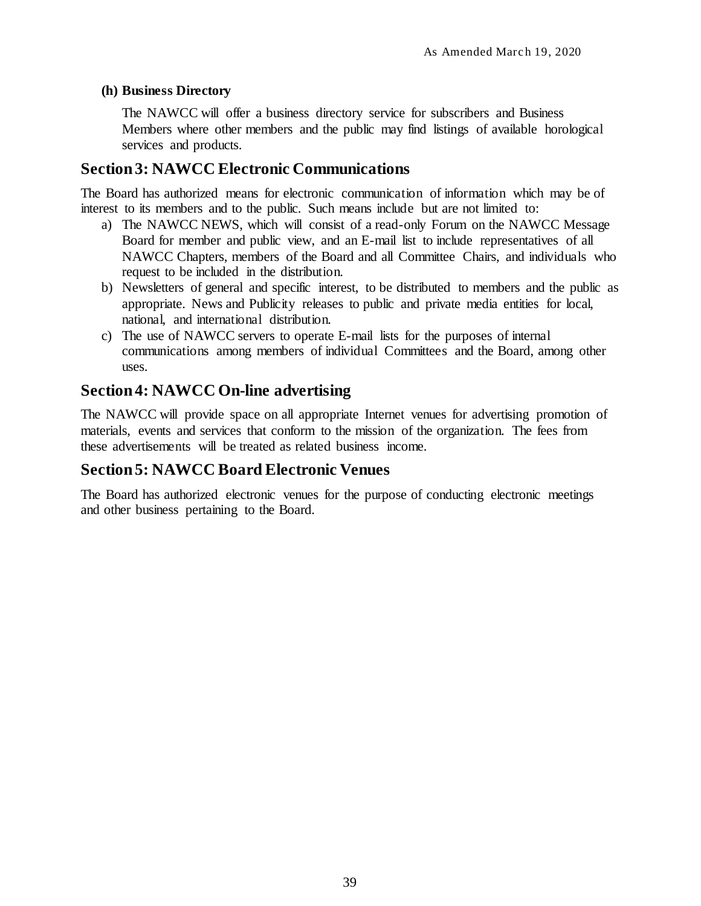## <span id="page-46-0"></span>**(h) Business Directory**

The NAWCC will offer a business directory service for subscribers and Business Members where other members and the public may find listings of available horological services and products.

# <span id="page-46-1"></span>**Section 3: NAWCC Electronic Communications**

The Board has authorized means for electronic communication of information which may be of interest to its members and to the public. Such means include but are not limited to:

- a) The NAWCC NEWS, which will consist of a read-only Forum on the NAWCC Message Board for member and public view, and an E-mail list to include representatives of all NAWCC Chapters, members of the Board and all Committee Chairs, and individuals who request to be included in the distribution.
- b) Newsletters of general and specific interest, to be distributed to members and the public as appropriate. News and Publicity releases to public and private media entities for local, national, and international distribution.
- c) The use of NAWCC servers to operate E-mail lists for the purposes of internal communications among members of individual Committees and the Board, among other uses.

# <span id="page-46-2"></span>**Section 4: NAWCC On-line advertising**

The NAWCC will provide space on all appropriate Internet venues for advertising promotion of materials, events and services that conform to the mission of the organization. The fees from these advertisements will be treated as related business income.

# <span id="page-46-3"></span>**Section 5: NAWCC Board Electronic Venues**

The Board has authorized electronic venues for the purpose of conducting electronic meetings and other business pertaining to the Board.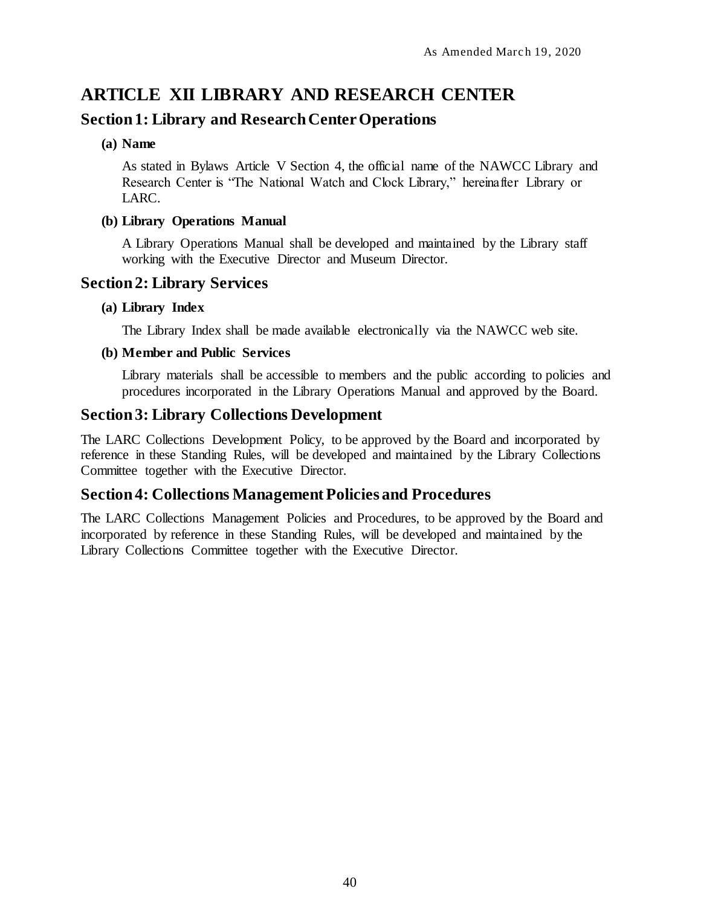# <span id="page-47-0"></span>**ARTICLE XII LIBRARY AND RESEARCH CENTER**

# <span id="page-47-1"></span>**Section 1: Library and Research Center Operations**

### <span id="page-47-2"></span>**(a) Name**

As stated in Bylaws Article V Section 4, the official name of the NAWCC Library and Research Center is "The National Watch and Clock Library," hereinafter Library or LARC.

## <span id="page-47-3"></span>**(b) Library Operations Manual**

A Library Operations Manual shall be developed and maintained by the Library staff working with the Executive Director and Museum Director.

# <span id="page-47-4"></span>**Section 2: Library Services**

## <span id="page-47-5"></span>**(a) Library Index**

The Library Index shall be made available electronically via the NAWCC web site.

## <span id="page-47-6"></span>**(b) Member and Public Services**

Library materials shall be accessible to members and the public according to policies and procedures incorporated in the Library Operations Manual and approved by the Board.

# <span id="page-47-7"></span>**Section 3: Library Collections Development**

The LARC Collections Development Policy, to be approved by the Board and incorporated by reference in these Standing Rules, will be developed and maintained by the Library Collections Committee together with the Executive Director.

# <span id="page-47-8"></span>**Section 4: Collections Management Policies and Procedures**

The LARC Collections Management Policies and Procedures, to be approved by the Board and incorporated by reference in these Standing Rules, will be developed and maintained by the Library Collections Committee together with the Executive Director.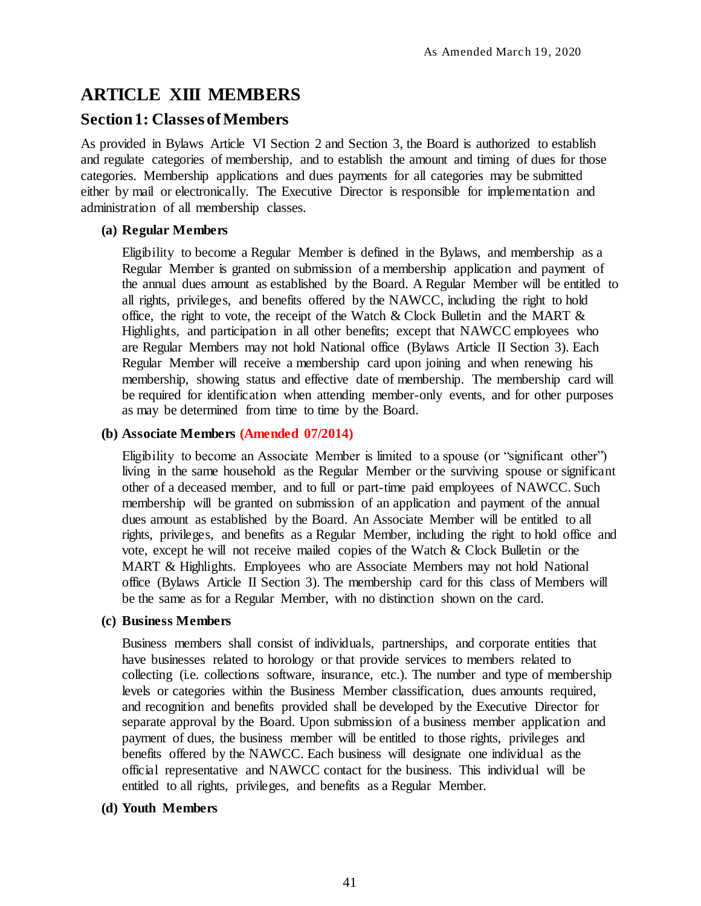# <span id="page-48-0"></span>**ARTICLE XIII MEMBERS**

# <span id="page-48-1"></span>**Section 1: Classes of Members**

As provided in Bylaws Article VI Section 2 and Section 3, the Board is authorized to establish and regulate categories of membership, and to establish the amount and timing of dues for those categories. Membership applications and dues payments for all categories may be submitted either by mail or electronically. The Executive Director is responsible for implementation and administration of all membership classes.

## <span id="page-48-2"></span>**(a) Regular Members**

Eligibility to become a Regular Member is defined in the Bylaws, and membership as a Regular Member is granted on submission of a membership application and payment of the annual dues amount as established by the Board. A Regular Member will be entitled to all rights, privileges, and benefits offered by the NAWCC, including the right to hold office, the right to vote, the receipt of the Watch & Clock Bulletin and the MART  $\&$ Highlights, and participation in all other benefits; except that NAWCC employees who are Regular Members may not hold National office (Bylaws Article II Section 3). Each Regular Member will receive a membership card upon joining and when renewing his membership, showing status and effective date of membership. The membership card will be required for identification when attending member-only events, and for other purposes as may be determined from time to time by the Board.

## <span id="page-48-3"></span>**(b) Associate Members (Amended 07/2014)**

Eligibility to become an Associate Member is limited to a spouse (or "significant other") living in the same household as the Regular Member or the surviving spouse or significant other of a deceased member, and to full or part-time paid employees of NAWCC. Such membership will be granted on submission of an application and payment of the annual dues amount as established by the Board. An Associate Member will be entitled to all rights, privileges, and benefits as a Regular Member, including the right to hold office and vote, except he will not receive mailed copies of the Watch & Clock Bulletin or the MART & Highlights. Employees who are Associate Members may not hold National office (Bylaws Article II Section 3). The membership card for this class of Members will be the same as for a Regular Member, with no distinction shown on the card.

### <span id="page-48-4"></span>**(c) Business Members**

Business members shall consist of individuals, partnerships, and corporate entities that have businesses related to horology or that provide services to members related to collecting (i.e. collections software, insurance, etc.). The number and type of membership levels or categories within the Business Member classification, dues amounts required, and recognition and benefits provided shall be developed by the Executive Director for separate approval by the Board. Upon submission of a business member application and payment of dues, the business member will be entitled to those rights, privileges and benefits offered by the NAWCC. Each business will designate one individual as the official representative and NAWCC contact for the business. This individual will be entitled to all rights, privileges, and benefits as a Regular Member.

### <span id="page-48-5"></span>**(d) Youth Members**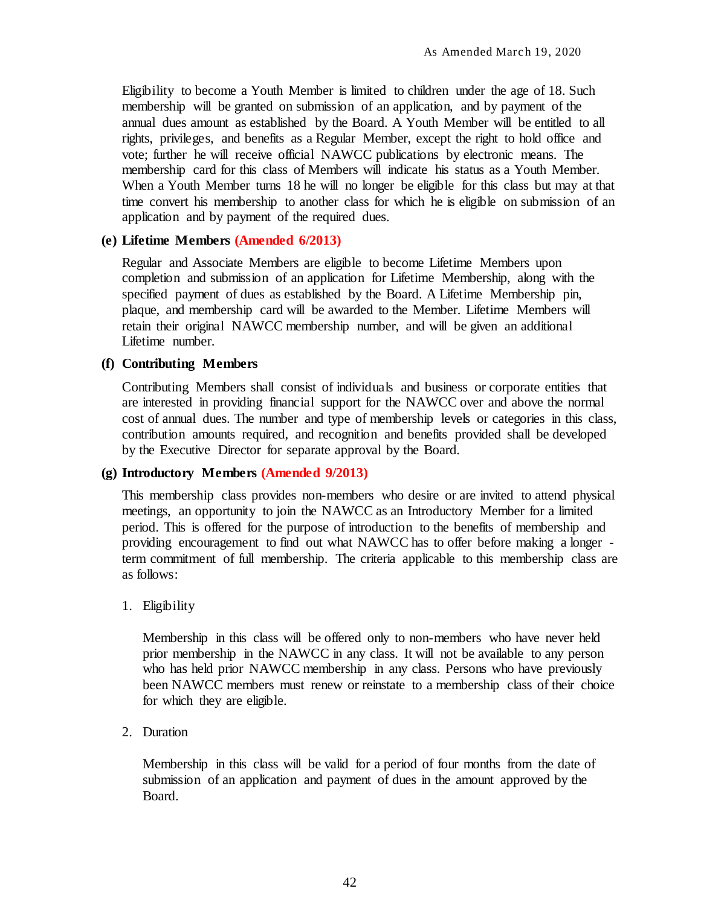Eligibility to become a Youth Member is limited to children under the age of 18. Such membership will be granted on submission of an application, and by payment of the annual dues amount as established by the Board. A Youth Member will be entitled to all rights, privileges, and benefits as a Regular Member, except the right to hold office and vote; further he will receive official NAWCC publications by electronic means. The membership card for this class of Members will indicate his status as a Youth Member. When a Youth Member turns 18 he will no longer be eligible for this class but may at that time convert his membership to another class for which he is eligible on submission of an application and by payment of the required dues.

#### <span id="page-49-0"></span>**(e) Lifetime Members (Amended 6/2013)**

Regular and Associate Members are eligible to become Lifetime Members upon completion and submission of an application for Lifetime Membership, along with the specified payment of dues as established by the Board. A Lifetime Membership pin, plaque, and membership card will be awarded to the Member. Lifetime Members will retain their original NAWCC membership number, and will be given an additional Lifetime number.

#### <span id="page-49-1"></span>**(f) Contributing Members**

Contributing Members shall consist of individuals and business or corporate entities that are interested in providing financial support for the NAWCC over and above the normal cost of annual dues. The number and type of membership levels or categories in this class, contribution amounts required, and recognition and benefits provided shall be developed by the Executive Director for separate approval by the Board.

#### <span id="page-49-2"></span>**(g) Introductory Members (Amended 9/2013)**

This membership class provides non-members who desire or are invited to attend physical meetings, an opportunity to join the NAWCC as an Introductory Member for a limited period. This is offered for the purpose of introduction to the benefits of membership and providing encouragement to find out what NAWCC has to offer before making a longer term commitment of full membership. The criteria applicable to this membership class are as follows:

#### 1. Eligibility

Membership in this class will be offered only to non-members who have never held prior membership in the NAWCC in any class. It will not be available to any person who has held prior NAWCC membership in any class. Persons who have previously been NAWCC members must renew or reinstate to a membership class of their choice for which they are eligible.

#### 2. Duration

Membership in this class will be valid for a period of four months from the date of submission of an application and payment of dues in the amount approved by the Board.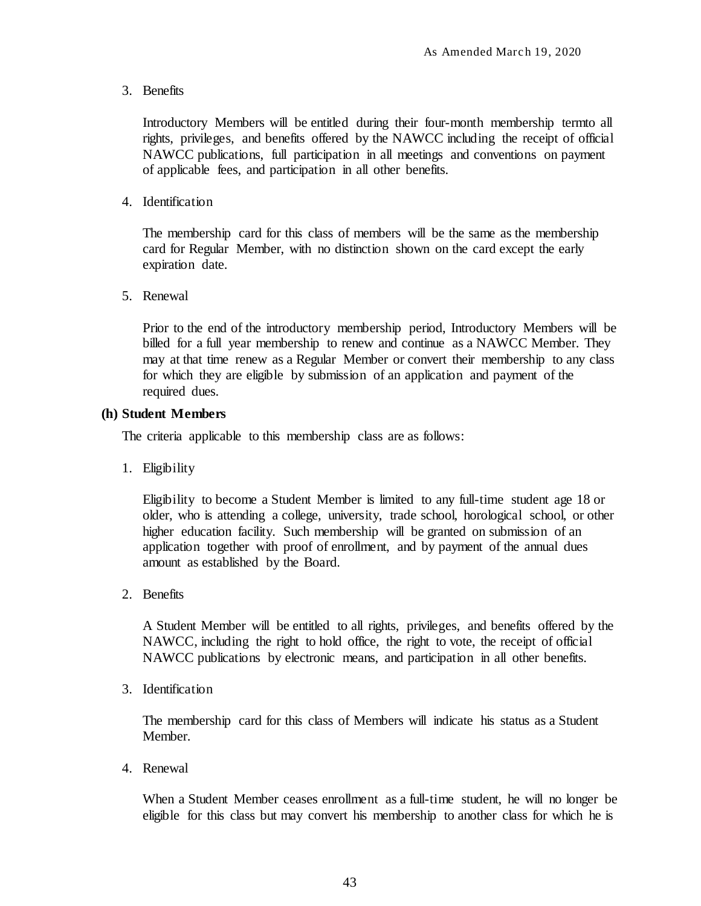3. Benefits

Introductory Members will be entitled during their four-month membership termto all rights, privileges, and benefits offered by the NAWCC including the receipt of official NAWCC publications, full participation in all meetings and conventions on payment of applicable fees, and participation in all other benefits.

4. Identification

The membership card for this class of members will be the same as the membership card for Regular Member, with no distinction shown on the card except the early expiration date.

5. Renewal

Prior to the end of the introductory membership period, Introductory Members will be billed for a full year membership to renew and continue as a NAWCC Member. They may at that time renew as a Regular Member or convert their membership to any class for which they are eligible by submission of an application and payment of the required dues.

### <span id="page-50-0"></span>**(h) Student Members**

The criteria applicable to this membership class are as follows:

1. Eligibility

Eligibility to become a Student Member is limited to any full-time student age 18 or older, who is attending a college, university, trade school, horological school, or other higher education facility. Such membership will be granted on submission of an application together with proof of enrollment, and by payment of the annual dues amount as established by the Board.

2. Benefits

A Student Member will be entitled to all rights, privileges, and benefits offered by the NAWCC, including the right to hold office, the right to vote, the receipt of official NAWCC publications by electronic means, and participation in all other benefits.

3. Identification

The membership card for this class of Members will indicate his status as a Student Member.

4. Renewal

When a Student Member ceases enrollment as a full-time student, he will no longer be eligible for this class but may convert his membership to another class for which he is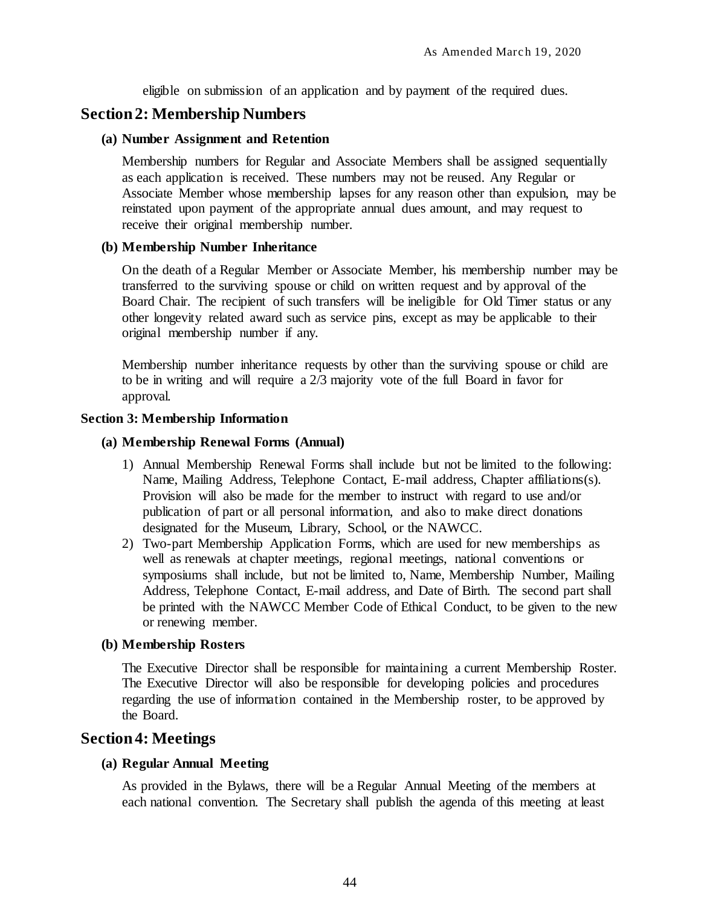eligible on submission of an application and by payment of the required dues.

# <span id="page-51-0"></span>**Section 2: Membership Numbers**

#### <span id="page-51-1"></span>**(a) Number Assignment and Retention**

Membership numbers for Regular and Associate Members shall be assigned sequentially as each application is received. These numbers may not be reused. Any Regular or Associate Member whose membership lapses for any reason other than expulsion, may be reinstated upon payment of the appropriate annual dues amount, and may request to receive their original membership number.

#### <span id="page-51-2"></span>**(b) Membership Number Inheritance**

On the death of a Regular Member or Associate Member, his membership number may be transferred to the surviving spouse or child on written request and by approval of the Board Chair. The recipient of such transfers will be ineligible for Old Timer status or any other longevity related award such as service pins, except as may be applicable to their original membership number if any.

Membership number inheritance requests by other than the surviving spouse or child are to be in writing and will require a 2/3 majority vote of the full Board in favor for approval.

#### <span id="page-51-4"></span><span id="page-51-3"></span>**Section 3: Membership Information**

#### **(a) Membership Renewal Forms (Annual)**

- 1) Annual Membership Renewal Forms shall include but not be limited to the following: Name, Mailing Address, Telephone Contact, E-mail address, Chapter affiliations(s). Provision will also be made for the member to instruct with regard to use and/or publication of part or all personal information, and also to make direct donations designated for the Museum, Library, School, or the NAWCC.
- 2) Two-part Membership Application Forms, which are used for new memberships as well as renewals at chapter meetings, regional meetings, national conventions or symposiums shall include, but not be limited to, Name, Membership Number, Mailing Address, Telephone Contact, E-mail address, and Date of Birth. The second part shall be printed with the NAWCC Member Code of Ethical Conduct, to be given to the new or renewing member.

### <span id="page-51-5"></span>**(b) Membership Rosters**

The Executive Director shall be responsible for maintaining a current Membership Roster. The Executive Director will also be responsible for developing policies and procedures regarding the use of information contained in the Membership roster, to be approved by the Board.

# <span id="page-51-7"></span><span id="page-51-6"></span>**Section 4: Meetings**

### **(a) Regular Annual Meeting**

As provided in the Bylaws, there will be a Regular Annual Meeting of the members at each national convention. The Secretary shall publish the agenda of this meeting at least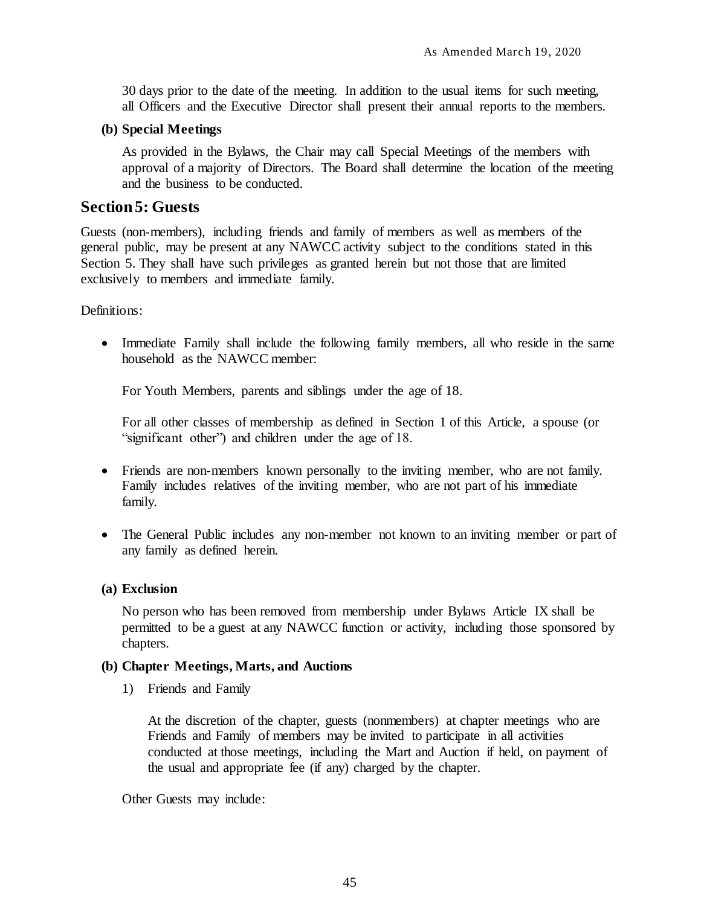30 days prior to the date of the meeting. In addition to the usual items for such meeting, all Officers and the Executive Director shall present their annual reports to the members.

## <span id="page-52-0"></span>**(b) Special Meetings**

As provided in the Bylaws, the Chair may call Special Meetings of the members with approval of a majority of Directors. The Board shall determine the location of the meeting and the business to be conducted.

# <span id="page-52-1"></span>**Section 5: Guests**

Guests (non-members), including friends and family of members as well as members of the general public, may be present at any NAWCC activity subject to the conditions stated in this Section 5. They shall have such privileges as granted herein but not those that are limited exclusively to members and immediate family.

Definitions:

 Immediate Family shall include the following family members, all who reside in the same household as the NAWCC member:

For Youth Members, parents and siblings under the age of 18.

For all other classes of membership as defined in Section 1 of this Article, a spouse (or "significant other") and children under the age of 18.

- Friends are non-members known personally to the inviting member, who are not family. Family includes relatives of the inviting member, who are not part of his immediate family.
- The General Public includes any non-member not known to an inviting member or part of any family as defined herein.

### <span id="page-52-2"></span>**(a) Exclusion**

No person who has been removed from membership under Bylaws Article IX shall be permitted to be a guest at any NAWCC function or activity, including those sponsored by chapters.

### <span id="page-52-3"></span>**(b) Chapter Meetings, Marts, and Auctions**

1) Friends and Family

At the discretion of the chapter, guests (nonmembers) at chapter meetings who are Friends and Family of members may be invited to participate in all activities conducted at those meetings, including the Mart and Auction if held, on payment of the usual and appropriate fee (if any) charged by the chapter.

Other Guests may include: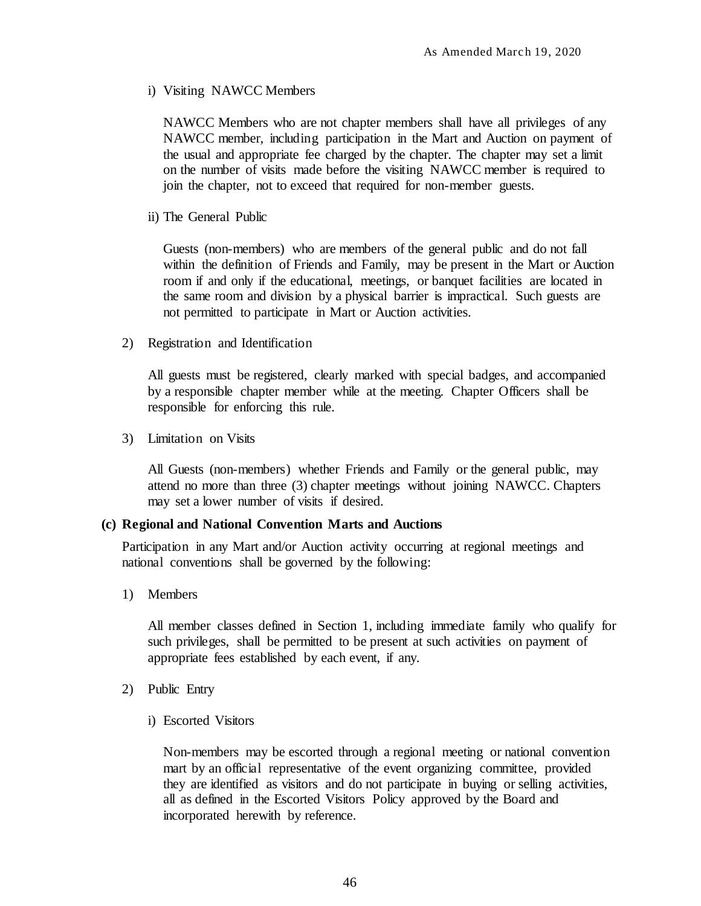i) Visiting NAWCC Members

NAWCC Members who are not chapter members shall have all privileges of any NAWCC member, including participation in the Mart and Auction on payment of the usual and appropriate fee charged by the chapter. The chapter may set a limit on the number of visits made before the visiting NAWCC member is required to join the chapter, not to exceed that required for non-member guests.

ii) The General Public

Guests (non-members) who are members of the general public and do not fall within the definition of Friends and Family, may be present in the Mart or Auction room if and only if the educational, meetings, or banquet facilities are located in the same room and division by a physical barrier is impractical. Such guests are not permitted to participate in Mart or Auction activities.

2) Registration and Identification

All guests must be registered, clearly marked with special badges, and accompanied by a responsible chapter member while at the meeting. Chapter Officers shall be responsible for enforcing this rule.

3) Limitation on Visits

All Guests (non-members) whether Friends and Family or the general public, may attend no more than three (3) chapter meetings without joining NAWCC. Chapters may set a lower number of visits if desired.

#### <span id="page-53-0"></span>**(c) Regional and National Convention Marts and Auctions**

Participation in any Mart and/or Auction activity occurring at regional meetings and national conventions shall be governed by the following:

1) Members

All member classes defined in Section 1, including immediate family who qualify for such privileges, shall be permitted to be present at such activities on payment of appropriate fees established by each event, if any.

- 2) Public Entry
	- i) Escorted Visitors

Non-members may be escorted through a regional meeting or national convention mart by an official representative of the event organizing committee, provided they are identified as visitors and do not participate in buying or selling activities, all as defined in the Escorted Visitors Policy approved by the Board and incorporated herewith by reference.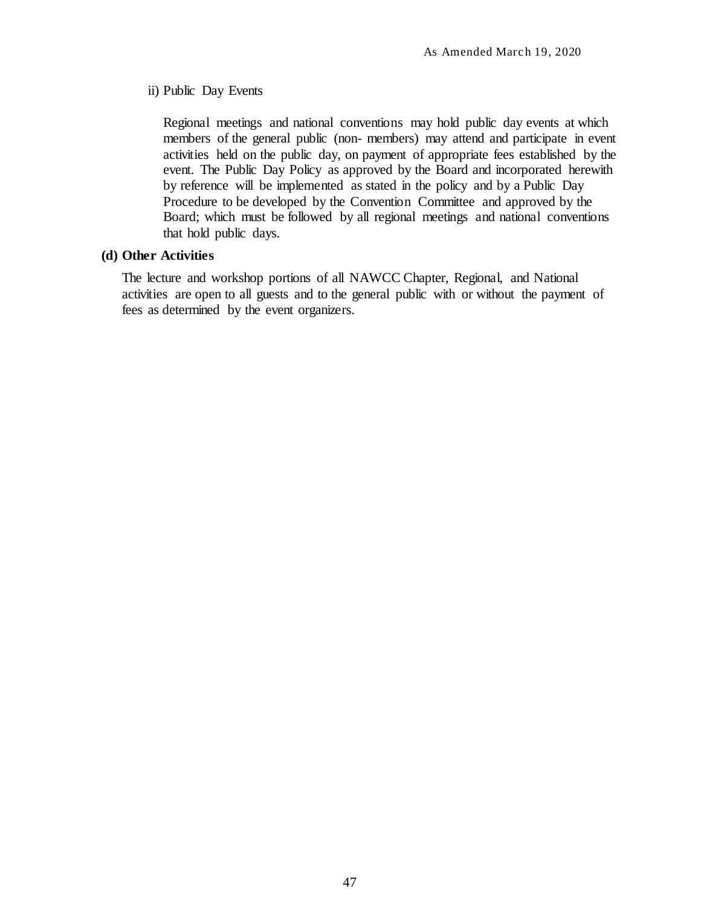#### ii) Public Day Events

Regional meetings and national conventions may hold public day events at which members of the general public (non- members) may attend and participate in event activities held on the public day, on payment of appropriate fees established by the event. The Public Day Policy as approved by the Board and incorporated herewith by reference will be implemented as stated in the policy and by a Public Day Procedure to be developed by the Convention Committee and approved by the Board; which must be followed by all regional meetings and national conventions that hold public days.

#### <span id="page-54-0"></span>**(d) Other Activities**

The lecture and workshop portions of all NAWCC Chapter, Regional, and National activities are open to all guests and to the general public with or without the payment of fees as determined by the event organizers.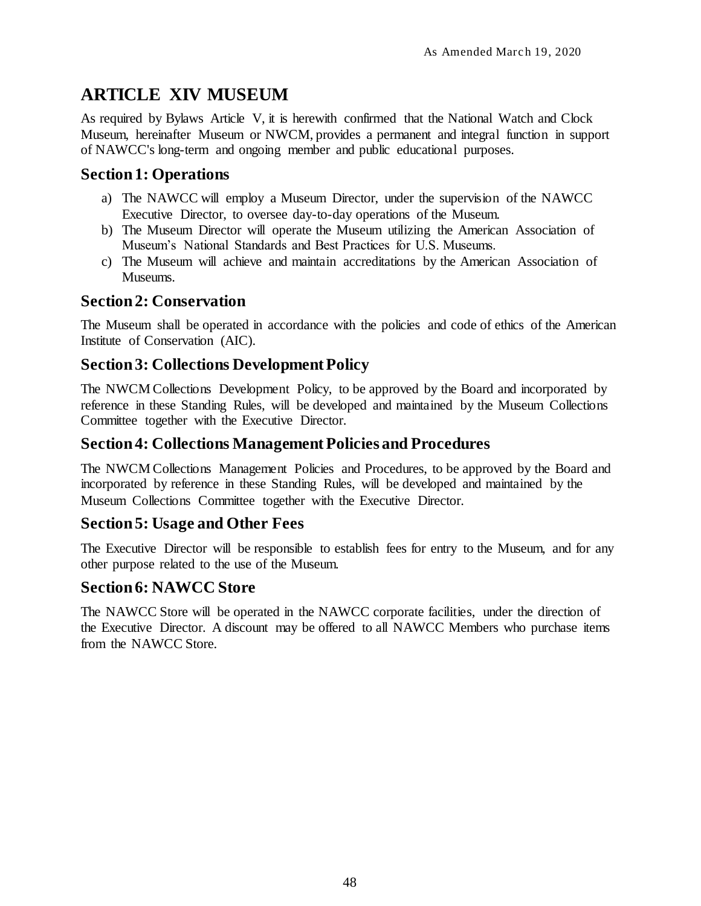# <span id="page-55-0"></span>**ARTICLE XIV MUSEUM**

As required by Bylaws Article V, it is herewith confirmed that the National Watch and Clock Museum, hereinafter Museum or NWCM, provides a permanent and integral function in support of NAWCC's long-term and ongoing member and public educational purposes.

# <span id="page-55-1"></span>**Section 1: Operations**

- a) The NAWCC will employ a Museum Director, under the supervision of the NAWCC Executive Director, to oversee day-to-day operations of the Museum.
- b) The Museum Director will operate the Museum utilizing the American Association of Museum's National Standards and Best Practices for U.S. Museums.
- c) The Museum will achieve and maintain accreditations by the American Association of Museums.

# <span id="page-55-2"></span>**Section 2: Conservation**

The Museum shall be operated in accordance with the policies and code of ethics of the American Institute of Conservation (AIC).

# <span id="page-55-3"></span>**Section 3: Collections Development Policy**

The NWCM Collections Development Policy, to be approved by the Board and incorporated by reference in these Standing Rules, will be developed and maintained by the Museum Collections Committee together with the Executive Director.

# <span id="page-55-4"></span>**Section 4: Collections Management Policies and Procedures**

The NWCM Collections Management Policies and Procedures, to be approved by the Board and incorporated by reference in these Standing Rules, will be developed and maintained by the Museum Collections Committee together with the Executive Director.

# <span id="page-55-5"></span>**Section 5: Usage and Other Fees**

The Executive Director will be responsible to establish fees for entry to the Museum, and for any other purpose related to the use of the Museum.

# <span id="page-55-6"></span>**Section 6: NAWCC Store**

The NAWCC Store will be operated in the NAWCC corporate facilities, under the direction of the Executive Director. A discount may be offered to all NAWCC Members who purchase items from the NAWCC Store.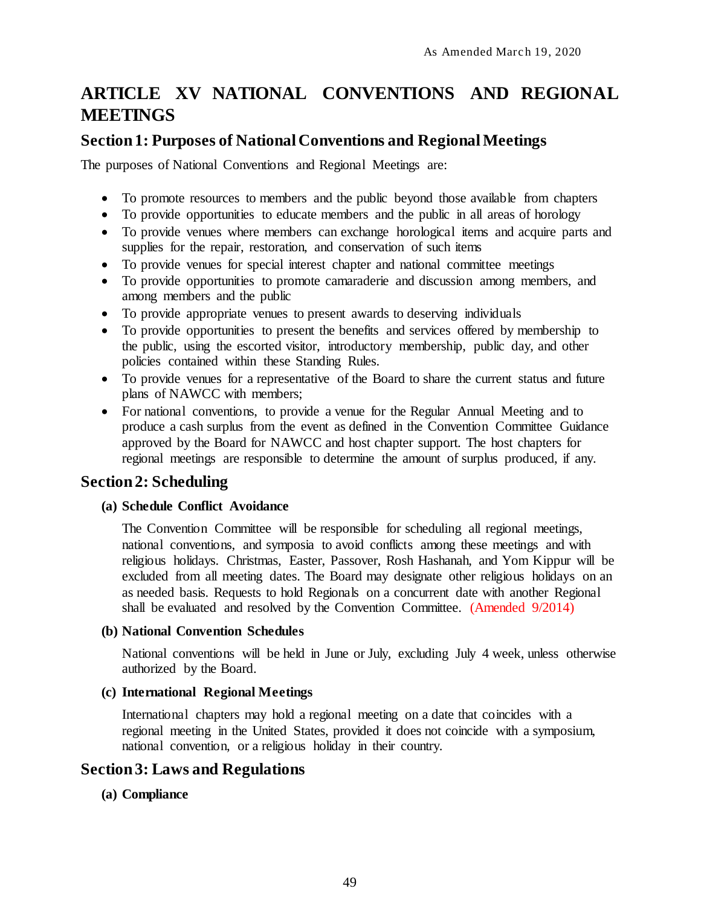# <span id="page-56-0"></span>**ARTICLE XV NATIONAL CONVENTIONS AND REGIONAL MEETINGS**

# <span id="page-56-1"></span>**Section 1: Purposes of National Conventions and Regional Meetings**

The purposes of National Conventions and Regional Meetings are:

- To promote resources to members and the public beyond those available from chapters
- To provide opportunities to educate members and the public in all areas of horology
- To provide venues where members can exchange horological items and acquire parts and supplies for the repair, restoration, and conservation of such items
- To provide venues for special interest chapter and national committee meetings
- To provide opportunities to promote camaraderie and discussion among members, and among members and the public
- To provide appropriate venues to present awards to deserving individuals
- To provide opportunities to present the benefits and services offered by membership to the public, using the escorted visitor, introductory membership, public day, and other policies contained within these Standing Rules.
- To provide venues for a representative of the Board to share the current status and future plans of NAWCC with members;
- For national conventions, to provide a venue for the Regular Annual Meeting and to produce a cash surplus from the event as defined in the Convention Committee Guidance approved by the Board for NAWCC and host chapter support. The host chapters for regional meetings are responsible to determine the amount of surplus produced, if any.

# <span id="page-56-2"></span>**Section 2: Scheduling**

#### <span id="page-56-3"></span>**(a) Schedule Conflict Avoidance**

The Convention Committee will be responsible for scheduling all regional meetings, national conventions, and symposia to avoid conflicts among these meetings and with religious holidays. Christmas, Easter, Passover, Rosh Hashanah, and Yom Kippur will be excluded from all meeting dates. The Board may designate other religious holidays on an as needed basis. Requests to hold Regionals on a concurrent date with another Regional shall be evaluated and resolved by the Convention Committee. (Amended 9/2014)

#### <span id="page-56-4"></span>**(b) National Convention Schedules**

National conventions will be held in June or July, excluding July 4 week, unless otherwise authorized by the Board.

## <span id="page-56-5"></span>**(c) International Regional Meetings**

International chapters may hold a regional meeting on a date that coincides with a regional meeting in the United States, provided it does not coincide with a symposium, national convention, or a religious holiday in their country.

# <span id="page-56-6"></span>**Section 3: Laws and Regulations**

<span id="page-56-7"></span>**(a) Compliance**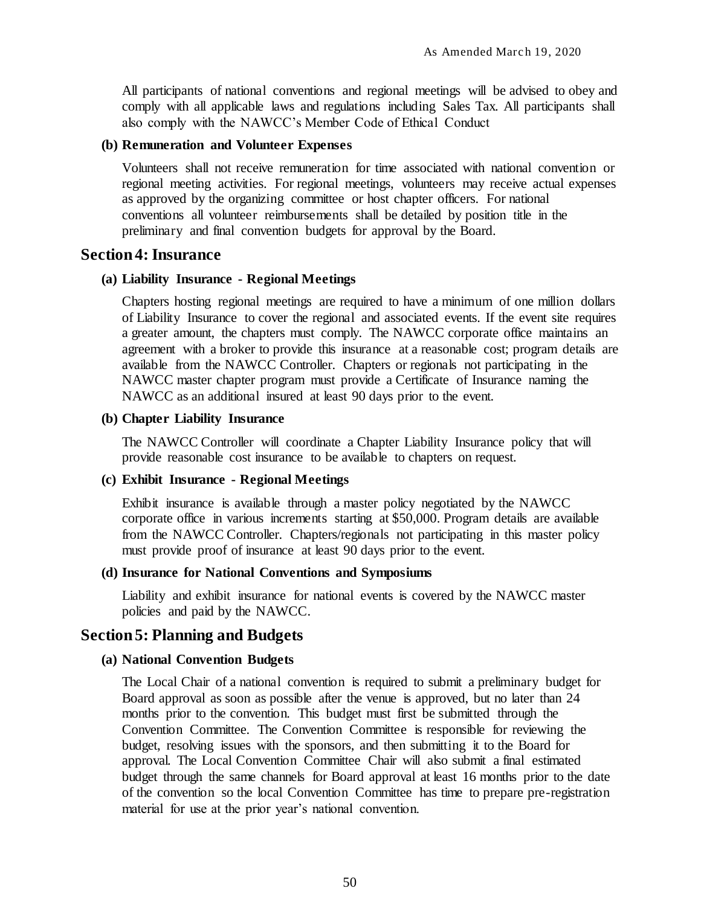All participants of national conventions and regional meetings will be advised to obey and comply with all applicable laws and regulations including Sales Tax. All participants shall also comply with the NAWCC's Member Code of Ethical Conduct

#### <span id="page-57-0"></span>**(b) Remuneration and Volunteer Expenses**

Volunteers shall not receive remuneration for time associated with national convention or regional meeting activities. For regional meetings, volunteers may receive actual expenses as approved by the organizing committee or host chapter officers. For national conventions all volunteer reimbursements shall be detailed by position title in the preliminary and final convention budgets for approval by the Board.

## <span id="page-57-1"></span>**Section 4: Insurance**

#### <span id="page-57-2"></span>**(a) Liability Insurance - Regional Meetings**

Chapters hosting regional meetings are required to have a minimum of one million dollars of Liability Insurance to cover the regional and associated events. If the event site requires a greater amount, the chapters must comply. The NAWCC corporate office maintains an agreement with a broker to provide this insurance at a reasonable cost; program details are available from the NAWCC Controller. Chapters or regionals not participating in the NAWCC master chapter program must provide a Certificate of Insurance naming the NAWCC as an additional insured at least 90 days prior to the event.

#### <span id="page-57-3"></span>**(b) Chapter Liability Insurance**

The NAWCC Controller will coordinate a Chapter Liability Insurance policy that will provide reasonable cost insurance to be available to chapters on request.

#### <span id="page-57-4"></span>**(c) Exhibit Insurance - Regional Meetings**

Exhibit insurance is available through a master policy negotiated by the NAWCC corporate office in various increments starting at \$50,000. Program details are available from the NAWCC Controller. Chapters/regionals not participating in this master policy must provide proof of insurance at least 90 days prior to the event.

#### <span id="page-57-5"></span>**(d) Insurance for National Conventions and Symposiums**

Liability and exhibit insurance for national events is covered by the NAWCC master policies and paid by the NAWCC.

## <span id="page-57-6"></span>**Section 5: Planning and Budgets**

#### <span id="page-57-7"></span>**(a) National Convention Budgets**

The Local Chair of a national convention is required to submit a preliminary budget for Board approval as soon as possible after the venue is approved, but no later than 24 months prior to the convention. This budget must first be submitted through the Convention Committee. The Convention Committee is responsible for reviewing the budget, resolving issues with the sponsors, and then submitting it to the Board for approval. The Local Convention Committee Chair will also submit a final estimated budget through the same channels for Board approval at least 16 months prior to the date of the convention so the local Convention Committee has time to prepare pre-registration material for use at the prior year's national convention.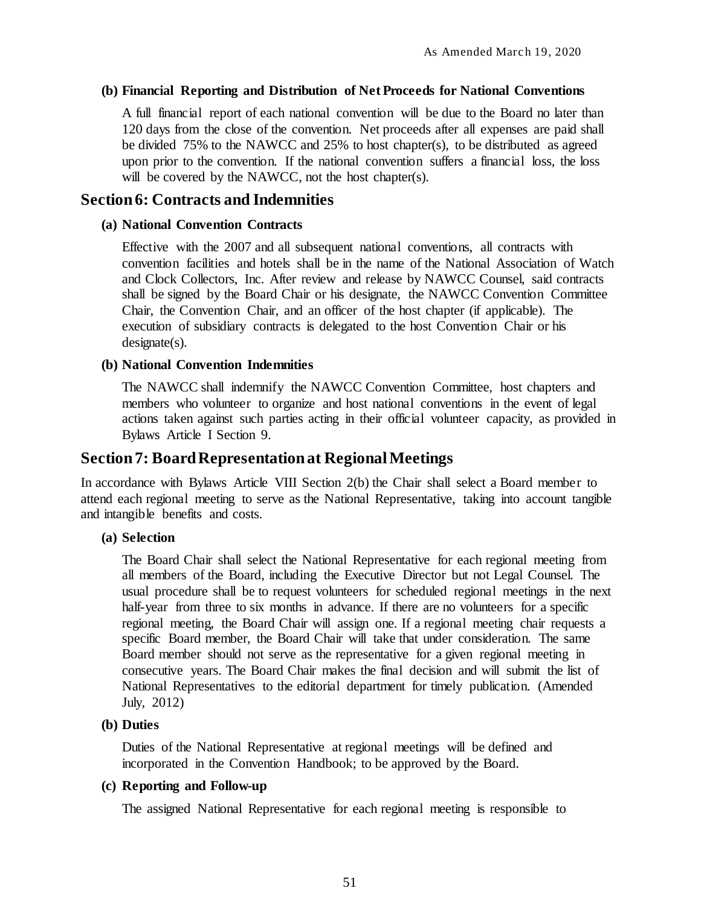#### <span id="page-58-0"></span>**(b) Financial Reporting and Distribution of Net Proceeds for National Conventions**

A full financial report of each national convention will be due to the Board no later than 120 days from the close of the convention. Net proceeds after all expenses are paid shall be divided 75% to the NAWCC and 25% to host chapter(s), to be distributed as agreed upon prior to the convention. If the national convention suffers a financial loss, the loss will be covered by the NAWCC, not the host chapter(s).

# <span id="page-58-1"></span>**Section 6: Contracts and Indemnities**

### <span id="page-58-2"></span>**(a) National Convention Contracts**

Effective with the 2007 and all subsequent national conventions, all contracts with convention facilities and hotels shall be in the name of the National Association of Watch and Clock Collectors, Inc. After review and release by NAWCC Counsel, said contracts shall be signed by the Board Chair or his designate, the NAWCC Convention Committee Chair, the Convention Chair, and an officer of the host chapter (if applicable). The execution of subsidiary contracts is delegated to the host Convention Chair or his designate(s).

#### <span id="page-58-3"></span>**(b) National Convention Indemnities**

The NAWCC shall indemnify the NAWCC Convention Committee, host chapters and members who volunteer to organize and host national conventions in the event of legal actions taken against such parties acting in their official volunteer capacity, as provided in Bylaws Article I Section 9.

# <span id="page-58-4"></span>**Section 7: Board Representation at Regional Meetings**

In accordance with Bylaws Article VIII Section 2(b) the Chair shall select a Board member to attend each regional meeting to serve as the National Representative, taking into account tangible and intangible benefits and costs.

### <span id="page-58-5"></span>**(a) Selection**

The Board Chair shall select the National Representative for each regional meeting from all members of the Board, including the Executive Director but not Legal Counsel. The usual procedure shall be to request volunteers for scheduled regional meetings in the next half-year from three to six months in advance. If there are no volunteers for a specific regional meeting, the Board Chair will assign one. If a regional meeting chair requests a specific Board member, the Board Chair will take that under consideration. The same Board member should not serve as the representative for a given regional meeting in consecutive years. The Board Chair makes the final decision and will submit the list of National Representatives to the editorial department for timely publication. (Amended July, 2012)

### <span id="page-58-6"></span>**(b) Duties**

Duties of the National Representative at regional meetings will be defined and incorporated in the Convention Handbook; to be approved by the Board.

### <span id="page-58-7"></span>**(c) Reporting and Follow-up**

The assigned National Representative for each regional meeting is responsible to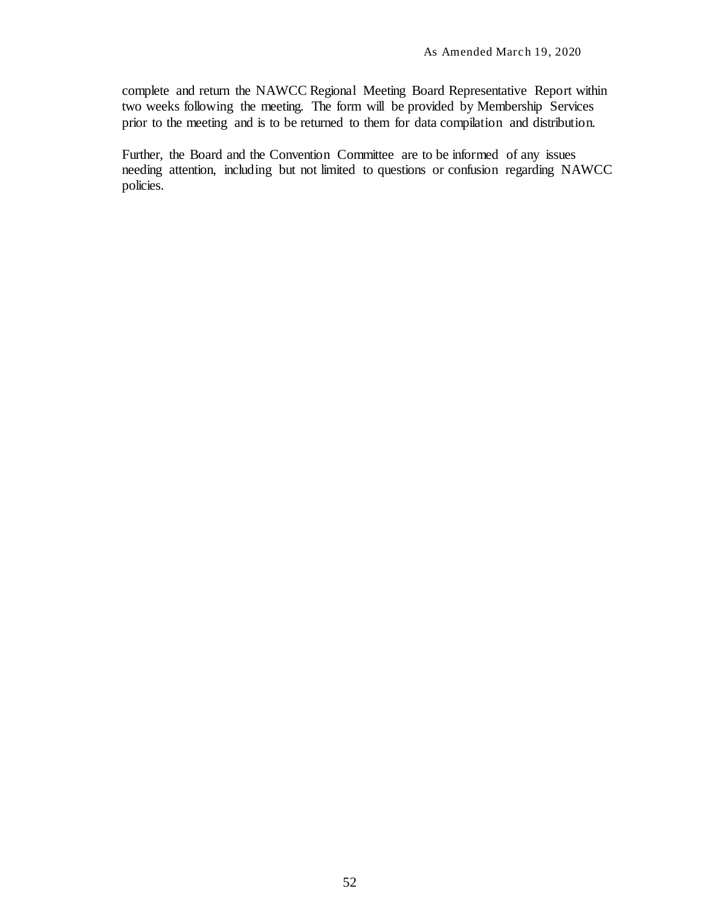complete and return the NAWCC Regional Meeting Board Representative Report within two weeks following the meeting. The form will be provided by Membership Services prior to the meeting and is to be returned to them for data compilation and distribution.

Further, the Board and the Convention Committee are to be informed of any issues needing attention, including but not limited to questions or confusion regarding NAWCC policies.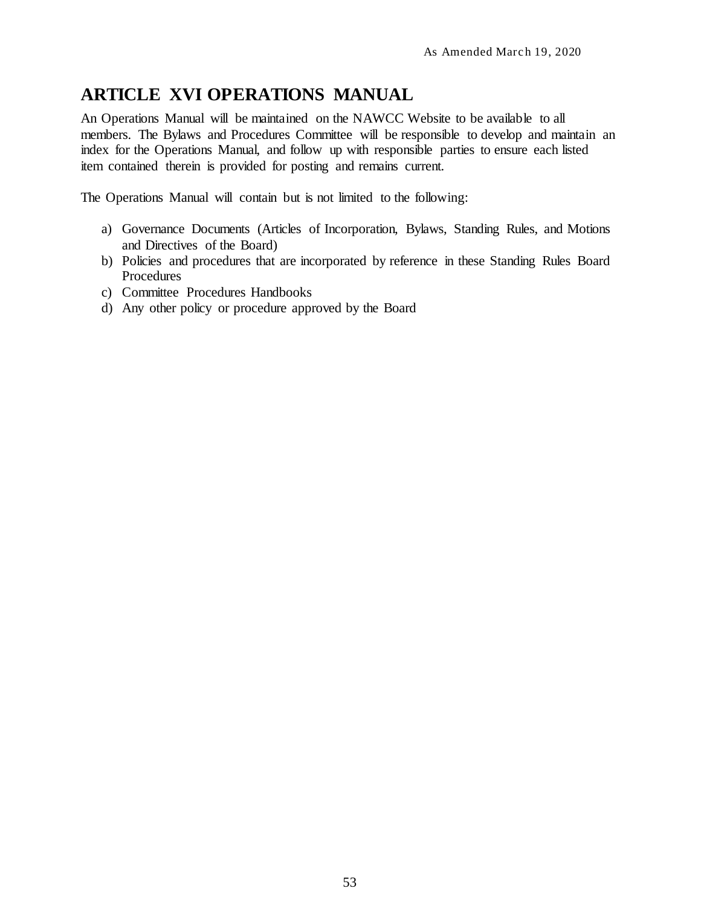# <span id="page-60-0"></span>**ARTICLE XVI OPERATIONS MANUAL**

An Operations Manual will be maintained on the NAWCC Website to be available to all members. The Bylaws and Procedures Committee will be responsible to develop and maintain an index for the Operations Manual, and follow up with responsible parties to ensure each listed item contained therein is provided for posting and remains current.

The Operations Manual will contain but is not limited to the following:

- a) Governance Documents (Articles of Incorporation, Bylaws, Standing Rules, and Motions and Directives of the Board)
- b) Policies and procedures that are incorporated by reference in these Standing Rules Board Procedures
- c) Committee Procedures Handbooks
- d) Any other policy or procedure approved by the Board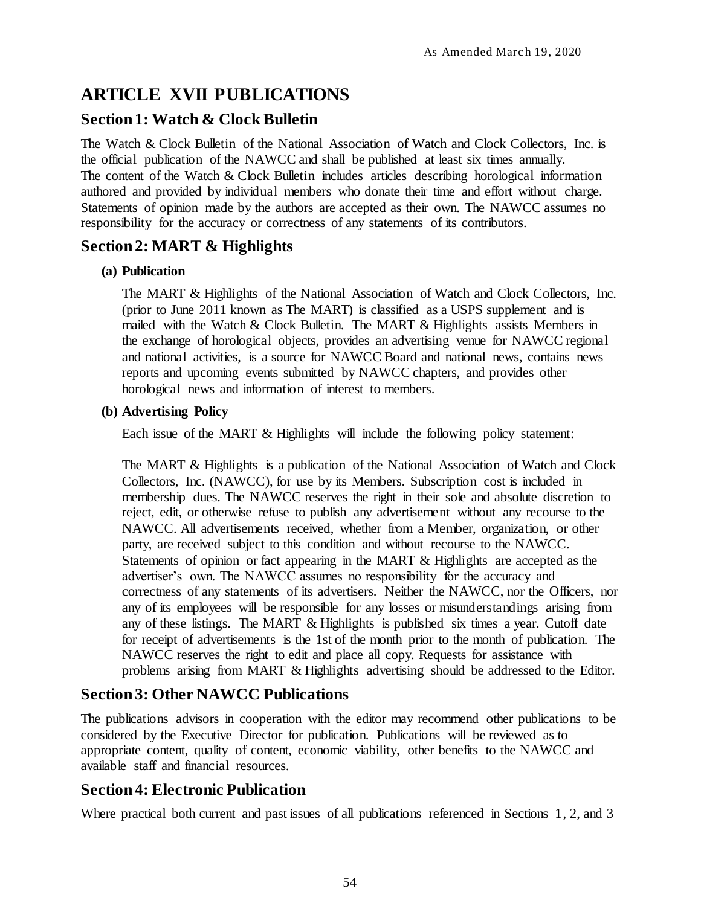# <span id="page-61-0"></span>**ARTICLE XVII PUBLICATIONS**

# <span id="page-61-1"></span>**Section 1: Watch & Clock Bulletin**

The Watch & Clock Bulletin of the National Association of Watch and Clock Collectors, Inc. is the official publication of the NAWCC and shall be published at least six times annually. The content of the Watch & Clock Bulletin includes articles describing horological information authored and provided by individual members who donate their time and effort without charge. Statements of opinion made by the authors are accepted as their own. The NAWCC assumes no responsibility for the accuracy or correctness of any statements of its contributors.

# <span id="page-61-2"></span>**Section 2: MART & Highlights**

# <span id="page-61-3"></span>**(a) Publication**

The MART & Highlights of the National Association of Watch and Clock Collectors, Inc. (prior to June 2011 known as The MART) is classified as a USPS supplement and is mailed with the Watch & Clock Bulletin. The MART & Highlights assists Members in the exchange of horological objects, provides an advertising venue for NAWCC regional and national activities, is a source for NAWCC Board and national news, contains news reports and upcoming events submitted by NAWCC chapters, and provides other horological news and information of interest to members.

# <span id="page-61-4"></span>**(b) Advertising Policy**

Each issue of the MART & Highlights will include the following policy statement:

The MART & Highlights is a publication of the National Association of Watch and Clock Collectors, Inc. (NAWCC), for use by its Members. Subscription cost is included in membership dues. The NAWCC reserves the right in their sole and absolute discretion to reject, edit, or otherwise refuse to publish any advertisement without any recourse to the NAWCC. All advertisements received, whether from a Member, organization, or other party, are received subject to this condition and without recourse to the NAWCC. Statements of opinion or fact appearing in the MART & Highlights are accepted as the advertiser's own. The NAWCC assumes no responsibility for the accuracy and correctness of any statements of its advertisers. Neither the NAWCC, nor the Officers, nor any of its employees will be responsible for any losses or misunderstandings arising from any of these listings. The MART & Highlights is published six times a year. Cutoff date for receipt of advertisements is the 1st of the month prior to the month of publication. The NAWCC reserves the right to edit and place all copy. Requests for assistance with problems arising from MART & Highlights advertising should be addressed to the Editor.

# <span id="page-61-5"></span>**Section 3: Other NAWCC Publications**

The publications advisors in cooperation with the editor may recommend other publications to be considered by the Executive Director for publication. Publications will be reviewed as to appropriate content, quality of content, economic viability, other benefits to the NAWCC and available staff and financial resources.

# <span id="page-61-6"></span>**Section 4: Electronic Publication**

Where practical both current and past issues of all publications referenced in Sections 1, 2, and 3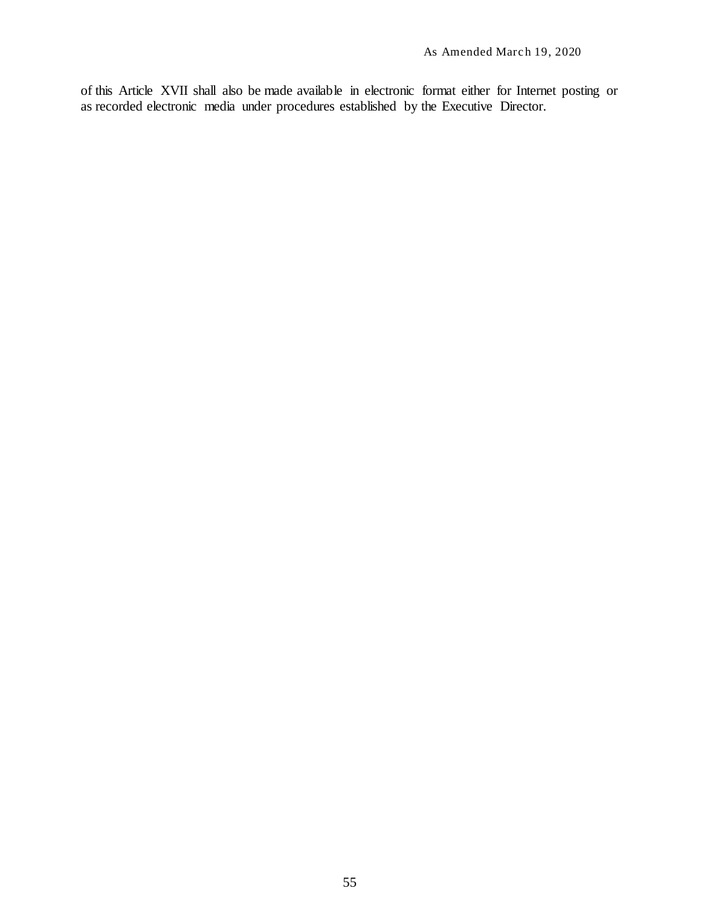of this Article XVII shall also be made available in electronic format either for Internet posting or as recorded electronic media under procedures established by the Executive Director.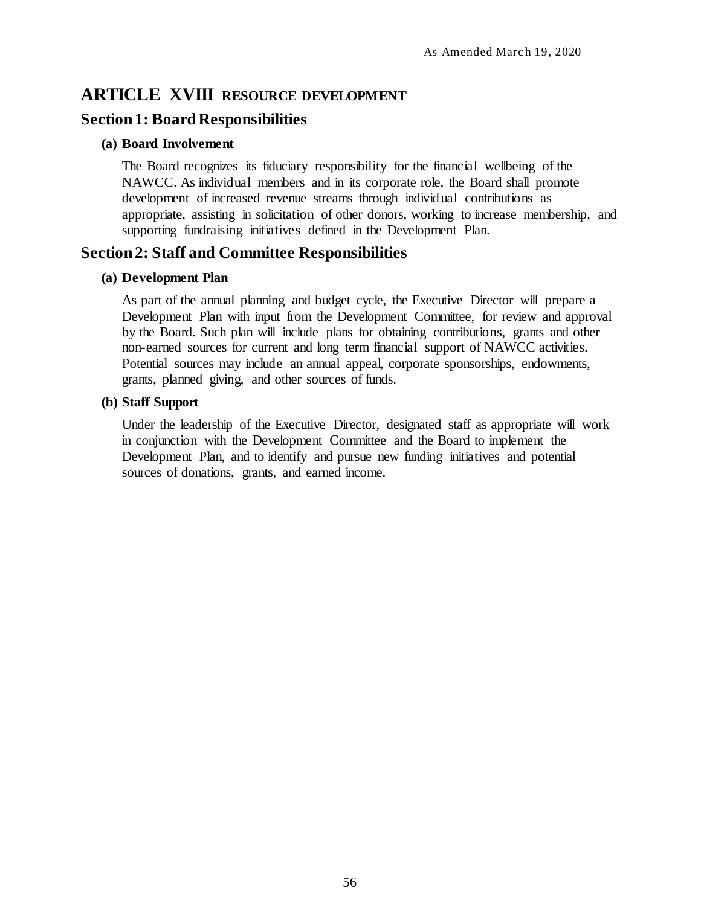# <span id="page-63-0"></span>**ARTICLE XVIII RESOURCE DEVELOPMENT**

# <span id="page-63-1"></span>**Section 1: Board Responsibilities**

### <span id="page-63-2"></span>**(a) Board Involvement**

The Board recognizes its fiduciary responsibility for the financial wellbeing of the NAWCC. As individual members and in its corporate role, the Board shall promote development of increased revenue streams through individual contributions as appropriate, assisting in solicitation of other donors, working to increase membership, and supporting fundraising initiatives defined in the Development Plan.

# <span id="page-63-3"></span>**Section 2: Staff and Committee Responsibilities**

#### <span id="page-63-4"></span>**(a) Development Plan**

As part of the annual planning and budget cycle, the Executive Director will prepare a Development Plan with input from the Development Committee, for review and approval by the Board. Such plan will include plans for obtaining contributions, grants and other non-earned sources for current and long term financial support of NAWCC activities. Potential sources may include an annual appeal, corporate sponsorships, endowments, grants, planned giving, and other sources of funds.

### <span id="page-63-5"></span>**(b) Staff Support**

Under the leadership of the Executive Director, designated staff as appropriate will work in conjunction with the Development Committee and the Board to implement the Development Plan, and to identify and pursue new funding initiatives and potential sources of donations, grants, and earned income.